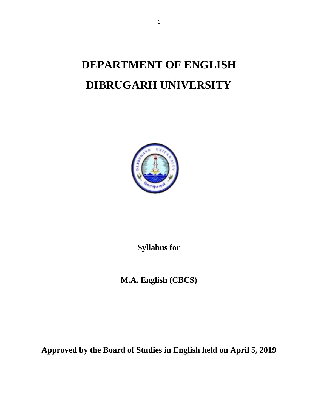# **DEPARTMENT OF ENGLISH DIBRUGARH UNIVERSITY**



**Syllabus for** 

**M.A. English (CBCS)** 

**Approved by the Board of Studies in English held on April 5, 2019**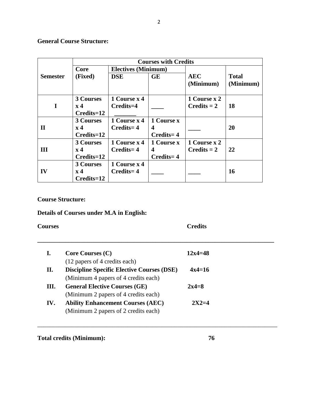# **General Course Structure:**

|                 | <b>Courses with Credits</b>                          |                               |                              |                                |                           |  |  |
|-----------------|------------------------------------------------------|-------------------------------|------------------------------|--------------------------------|---------------------------|--|--|
| <b>Semester</b> | Core                                                 | <b>Electives (Minimum)</b>    |                              |                                |                           |  |  |
|                 | (Fixed)                                              | <b>DSE</b>                    | <b>GE</b>                    | <b>AEC</b><br>(Minimum)        | <b>Total</b><br>(Minimum) |  |  |
| I               | <b>3 Courses</b><br>$\mathbf{x}$ 4<br>$Credits = 12$ | 1 Course x 4<br>Credits=4     |                              | 1 Course x 2<br>$C$ redits = 2 | <b>18</b>                 |  |  |
| $\mathbf H$     | <b>3 Courses</b><br>$\mathbf{x}$ 4                   | 1 Course x 4<br>Credits=4     | 1 Course x<br>4              |                                | <b>20</b>                 |  |  |
|                 | $Credits = 12$                                       |                               | $Credits = 4$                |                                |                           |  |  |
| Ш               | <b>3 Courses</b><br>$\mathbf{x}$ 4<br>$Credits = 12$ | 1 Course x 4<br>$C$ redits= 4 | 1 Course x<br>4<br>Credits=4 | 1 Course x 2<br>$C$ redits = 2 | 22                        |  |  |
| IV              | <b>3 Courses</b><br>$\mathbf{x}$ 4<br>Credits=12     | 1 Course x 4<br>$Credits = 4$ |                              |                                | 16                        |  |  |

# **Course Structure:**

# **Details of Courses under M.A in English:**

| <b>Courses</b> |                                                                                                                            | <b>Credits</b> |
|----------------|----------------------------------------------------------------------------------------------------------------------------|----------------|
| I.             | Core Courses (C)                                                                                                           | $12x4 = 48$    |
| П.             | (12 papers of 4 credits each)<br><b>Discipline Specific Elective Courses (DSE)</b><br>(Minimum 4 papers of 4 credits each) | $4x4=16$       |
| Ш.             | <b>General Elective Courses (GE)</b><br>(Minimum 2 papers of 4 credits each)                                               | $2x4=8$        |
| IV.            | <b>Ability Enhancement Courses (AEC)</b><br>(Minimum 2 papers of 2 credits each)                                           | $2X2=4$        |

\_\_\_\_\_\_\_\_\_\_\_\_\_\_\_\_\_\_\_\_\_\_\_\_\_\_\_\_\_\_\_\_\_\_\_\_\_\_\_\_\_\_\_\_\_\_\_\_\_\_\_\_\_\_\_\_\_\_\_\_\_\_\_\_\_\_\_\_\_\_\_\_\_\_\_\_\_

Total credits (Minimum): 76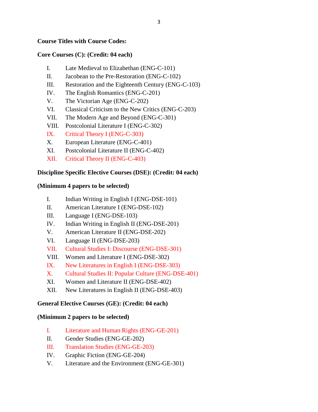# **Course Titles with Course Codes:**

# **Core Courses (C): (Credit: 04 each)**

- I. Late Medieval to Elizabethan (ENG-C-101)
- II. Jacobean to the Pre-Restoration (ENG-C-102)
- III. Restoration and the Eighteenth Century (ENG-C-103)
- IV. The English Romantics (ENG-C-201)
- V. The Victorian Age (ENG-C-202)
- VI. Classical Criticism to the New Critics (ENG-C-203)
- VII. The Modern Age and Beyond (ENG-C-301)
- VIII. Postcolonial Literature I (ENG-C-302)
- IX. Critical Theory I (ENG-C-303)
- X. European Literature (ENG-C-401)
- XI. Postcolonial Literature II (ENG-C-402)
- XII. Critical Theory II (ENG-C-403)

# **Discipline Specific Elective Courses (DSE): (Credit: 04 each)**

# **(Minimum 4 papers to be selected)**

- I. Indian Writing in English I (ENG-DSE-101)
- II. American Literature I (ENG-DSE-102)
- III. Language I (ENG-DSE-103)
- IV. Indian Writing in English II (ENG-DSE-201)
- V. American Literature II (ENG-DSE-202)
- VI. Language II (ENG-DSE-203)
- VII. Cultural Studies I: Discourse (ENG-DSE-301)
- VIII. Women and Literature I (ENG-DSE-302)
- IX. New Literatures in English I (ENG-DSE-303)
- X. Cultural Studies II: Popular Culture (ENG-DSE-401)
- XI. Women and Literature II (ENG-DSE-402)
- XII. New Literatures in English II (ENG-DSE-403)

# **General Elective Courses (GE): (Credit: 04 each)**

# **(Minimum 2 papers to be selected)**

- I. Literature and Human Rights (ENG-GE-201)
- II. Gender Studies (ENG-GE-202)
- III. Translation Studies (ENG-GE-203)
- IV. Graphic Fiction (ENG-GE-204)
- V. Literature and the Environment (ENG-GE-301)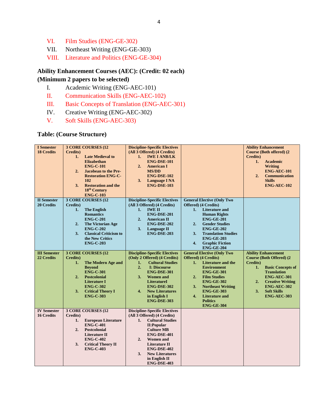- VI. Film Studies (ENG-GE-302)
- VII. Northeast Writing (ENG-GE-303)
- VIII. Literature and Politics (ENG-GE-304)

# **Ability Enhancement Courses (AEC): (Credit: 02 each)**

# **(Minimum 2 papers to be selected)**

- I. Academic Writing (ENG-AEC-101)
- II. Communication Skills (ENG-AEC-102)
- III. Basic Concepts of Translation (ENG-AEC-301)
- IV. Creative Writing (ENG-AEC-302)
- V. Soft Skills (ENG-AEC-303)

# **Table: (Course Structure)**

| <b>I</b> Semester<br><b>18 Credits</b>  | 3 CORE COURSES (12<br>Credits)<br><b>Late Medieval to</b><br>1.<br><b>Elizabethan</b><br><b>ENG-C-101</b><br>2.<br><b>Jacobean to the Pre-</b><br><b>Restoration ENG-C-</b><br>102<br><b>Restoration and the</b><br>3 <sub>1</sub><br>18 <sup>th</sup> Century<br><b>ENG-C-103</b> | <b>Discipline-Specific Electives</b><br>(All 3 Offered) (4 Credits)<br><b>IWE I ANB/LK</b><br>1.<br><b>ENG-DSE-101</b><br>2.<br><b>American I</b><br><b>MS/DD</b><br><b>ENG-DSE-102</b><br>3.<br><b>Language I NA</b><br>ENG-DSE-103                                                                 |                                                                                                                                                                                                                                                                                                                  | <b>Ability Enhancement</b><br><b>Course (Both offered) (2)</b><br><b>Credits</b> )<br><b>Academic</b><br>1.<br>Writing<br><b>ENG-AEC-101</b><br>2.<br><b>Communication</b><br><b>Skills</b><br>ENG-AEC-102                                                 |
|-----------------------------------------|------------------------------------------------------------------------------------------------------------------------------------------------------------------------------------------------------------------------------------------------------------------------------------|------------------------------------------------------------------------------------------------------------------------------------------------------------------------------------------------------------------------------------------------------------------------------------------------------|------------------------------------------------------------------------------------------------------------------------------------------------------------------------------------------------------------------------------------------------------------------------------------------------------------------|------------------------------------------------------------------------------------------------------------------------------------------------------------------------------------------------------------------------------------------------------------|
| <b>II</b> Semester<br><b>20 Credits</b> | 3 CORE COURSES (12<br>Credits)<br><b>The English</b><br>1.<br><b>Romantics</b><br><b>ENG-C-201</b><br>2.<br>The Victorian Age<br><b>ENG-C-202</b><br>3.<br><b>Classical Criticism to</b><br>the New Critics<br><b>ENG-C-203</b>                                                    | <b>Discipline-Specific Electives</b><br>(All 3 Offered) (4 Credits)<br><b>IWE II</b><br>1.<br>ENG-DSE-201<br>2.<br><b>American II</b><br>ENG-DSE-202<br><b>Language II</b><br>3.<br><b>ENG-DSE-203</b>                                                                                               | <b>General Elective (Only Two</b><br>Offered) (4 Credits)<br><b>Literature and</b><br>1.<br><b>Human Rights</b><br><b>ENG-GE-201</b><br><b>Gender Studies</b><br>2.<br><b>ENG-GE-202</b><br><b>Translation Studies</b><br>3.<br><b>ENG-GE-203</b><br>4.<br><b>Graphic Fiction</b><br><b>ENG-GE-204</b>           |                                                                                                                                                                                                                                                            |
| <b>III</b> Semester<br>22 Credits       | 3 CORE COURSES (12<br>Credits)<br><b>The Modern Age and</b><br>1.<br><b>Bevond</b><br><b>ENG-C-301</b><br>2.<br><b>Postcolonial</b><br><b>Literature I</b><br><b>ENG-C-302</b><br>3.<br><b>Critical Theory I</b><br><b>ENG-C-303</b>                                               | <b>Discipline-Specific Electives</b><br>(Only 2 Offered) (4 Credits)<br><b>Cultural Studies</b><br>1.<br>2.<br><b>I: Discourse</b><br><b>ENG-DSE-301</b><br><b>Women</b> and<br>3.<br><b>LiteratureI</b><br><b>ENG-DSE-302</b><br>4.<br><b>New Literatures</b><br>in English I<br><b>ENG-DSE-303</b> | <b>General Elective (Only Two</b><br>Offered) (4 Credits)<br>Literature and the<br>1.<br><b>Environment</b><br><b>ENG-GE-301</b><br><b>Film Studies</b><br>2.<br><b>ENG-GE-302</b><br><b>Northeast Writing</b><br>3.<br><b>ENG-GE-303</b><br>4.<br><b>Literature and</b><br><b>Politics</b><br><b>ENG-GE-304</b> | <b>Ability Enhancement</b><br><b>Course (Both Offered) (2)</b><br>Credits)<br><b>Basic Concepts of</b><br>1.<br><b>Translation</b><br><b>ENG-AEC-301</b><br>2.<br><b>Creative Writing</b><br>ENG-AEC-302<br><b>Soft Skills</b><br>3.<br><b>ENG-AEC-303</b> |
| <b>IV Semester</b><br><b>16 Credits</b> | 3 CORE COURSES (12<br>Credits)<br><b>European Literature</b><br>1.<br><b>ENG-C-401</b><br>2.<br><b>Postcolonial</b><br><b>Literature II</b><br><b>ENG-C-402</b><br>3.<br><b>Critical Theory II</b><br><b>ENG-C-403</b>                                                             | <b>Discipline-Specific Electives</b><br>(All 3 Offered) (4 Credits)<br>1.<br><b>Cultural Studies</b><br><b>II:Popular</b><br><b>Culture MB</b><br>ENG-DSE-401<br>2.<br><b>Women</b> and<br>Literature II<br>ENG-DSE-402<br>3.<br><b>New Literatures</b><br>in English II<br>ENG-DSE-403              |                                                                                                                                                                                                                                                                                                                  |                                                                                                                                                                                                                                                            |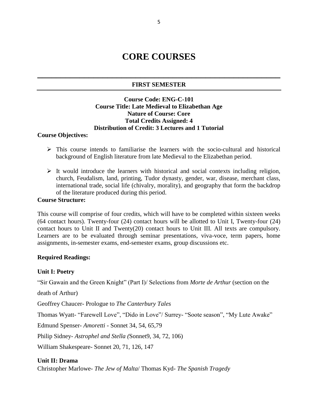# **CORE COURSES**

# **\_\_\_\_\_\_\_\_\_\_\_\_\_\_\_\_\_\_\_\_\_\_\_\_\_\_\_\_\_\_\_\_\_\_\_\_\_\_\_\_\_\_\_\_\_\_\_\_\_\_\_\_ FIRST SEMESTER**

# **Course Code: ENG-C-101 Course Title: Late Medieval to Elizabethan Age Nature of Course: Core Total Credits Assigned: 4 Distribution of Credit: 3 Lectures and 1 Tutorial**

#### **Course Objectives:**

- $\triangleright$  This course intends to familiarise the learners with the socio-cultural and historical background of English literature from late Medieval to the Elizabethan period.
- $\triangleright$  It would introduce the learners with historical and social contexts including religion, church, Feudalism, land, printing, Tudor dynasty, gender, war, disease, merchant class, international trade, social life (chivalry, morality), and geography that form the backdrop of the literature produced during this period.

# **Course Structure:**

This course will comprise of four credits, which will have to be completed within sixteen weeks (64 contact hours). Twenty-four (24) contact hours will be allotted to Unit I, Twenty-four (24) contact hours to Unit II and Twenty(20) contact hours to Unit III. All texts are compulsory. Learners are to be evaluated through seminar presentations, viva-voce, term papers, home assignments, in-semester exams, end-semester exams, group discussions etc.

# **Required Readings:**

# **Unit I: Poetry**

"Sir Gawain and the Green Knight" (Part I)/ Selections from *Morte de Arthur* (section on the

death of Arthur)

Geoffrey Chaucer- Prologue to *The Canterbury Tales*

Thomas Wyatt- "Farewell Love", "Dido in Love"/ Surrey- "Soote season", "My Lute Awake"

Edmund Spenser- *Amoretti* - Sonnet 34, 54, 65,79

Philip Sidney- *Astrophel and Stella (*Sonnet9, 34, 72, 106)

William Shakespeare- Sonnet 20, 71, 126, 147

# **Unit II: Drama**

Christopher Marlowe- *The Jew of Malta*/ Thomas Kyd- *The Spanish Tragedy*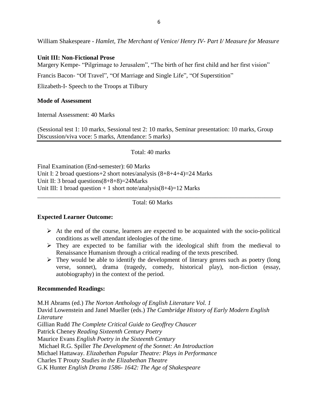William Shakespeare *- Hamlet, The Merchant of Venice/ Henry IV- Part I/ Measure for Measure*

# **Unit III: Non-Fictional Prose**

Margery Kempe- "Pilgrimage to Jerusalem", "The birth of her first child and her first vision"

Francis Bacon- "Of Travel", "Of Marriage and Single Life", "Of Superstition"

Elizabeth-I- Speech to the Troops at Tilbury

# **Mode of Assessment**

Internal Assessment: 40 Marks

(Sessional test 1: 10 marks, Sessional test 2: 10 marks, Seminar presentation: 10 marks, Group Discussion/viva voce: 5 marks, Attendance: 5 marks)

Total: 40 marks

Final Examination (End-semester): 60 Marks Unit I: 2 broad questions+2 short notes/analysis (8+8+4+4)=24 Marks Unit II: 3 broad questions(8+8+8)=24Marks Unit III: 1 broad question  $+ 1$  short note/analysis(8+4)=12 Marks

Total: 60 Marks

\_\_\_\_\_\_\_\_\_\_\_\_\_\_\_\_\_\_\_\_\_\_\_\_\_\_\_\_\_\_\_\_\_\_\_\_\_\_\_\_\_\_\_\_\_\_\_\_\_\_\_\_\_\_\_\_\_\_\_\_\_\_\_\_\_\_\_\_\_\_\_\_\_\_\_\_\_\_

# **Expected Learner Outcome:**

- $\triangleright$  At the end of the course, learners are expected to be acquainted with the socio-political conditions as well attendant ideologies of the time.
- $\triangleright$  They are expected to be familiar with the ideological shift from the medieval to Renaissance Humanism through a critical reading of the texts prescribed.
- $\triangleright$  They would be able to identify the development of literary genres such as poetry (long verse, sonnet), drama (tragedy, comedy, historical play), non-fiction (essay, autobiography) in the context of the period.

# **Recommended Readings:**

M.H Abrams (ed.) *The Norton Anthology of English Literature Vol. 1*  David Lowenstein and Janel Mueller (eds.) *The Cambridge History of Early Modern English Literature* Gillian Rudd *The Complete Critical Guide to Geoffrey Chaucer* Patrick Cheney *Reading Sixteenth Century Poetry* Maurice Evans *English Poetry in the Sixteenth Century* Michael R.G. Spiller *The Development of the Sonnet: An Introduction* Michael Hattaway. *Elizabethan Popular Theatre: Plays in Performance* Charles T Prouty *Studies in the Elizabethan Theatre* G.K Hunter *English Drama 1586- 1642: The Age of Shakespeare*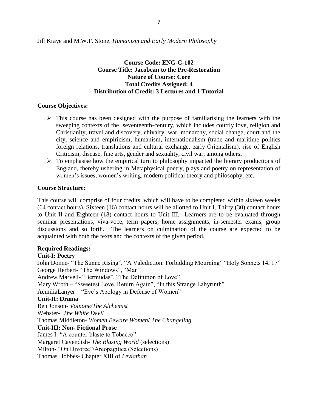Jill Kraye and M.W.F. Stone. *Humanism and Early Modern Philosophy*

# **Course Code: ENG-C-102 Course Title: Jacobean to the Pre-Restoration Nature of Course: Core Total Credits Assigned: 4 Distribution of Credit: 3 Lectures and 1 Tutorial**

# **Course Objectives:**

- $\triangleright$  This course has been designed with the purpose of familiarising the learners with the sweeping contexts of the seventeenth-century, which includes courtly love, religion and Christianity, travel and discovery, chivalry, war, monarchy, social change, court and the city, science and empiricism, humanism, internationalism (trade and maritime politics foreign relations, translations and cultural exchange, early Orientalism), rise of English Criticism, disease, fine arts, gender and sexuality, civil war, among others**.**
- $\triangleright$  To emphasise how the empirical turn to philosophy impacted the literary productions of England, thereby ushering in Metaphysical poetry, plays and poetry on representation of women's issues, women's writing, modern political theory and philosophy, etc.

# **Course Structure:**

This course will comprise of four credits, which will have to be completed within sixteen weeks (64 contact hours). Sixteen (16) contact hours will be allotted to Unit I, Thirty (30) contact hours to Unit II and Eighteen (18) contact hours to Unit III. Learners are to be evaluated through seminar presentations, viva-voce, term papers, home assignments, in-semester exams, group discussions and so forth. The learners on culmination of the course are expected to be acquainted with both the texts and the contexts of the given period.

# **Required Readings:**

# **Unit-I: Poetry**

John Donne- "The Sunne Rising", ["A Valediction: Forbidding Mourning" "](https://www.google.co.in/url?sa=t&rct=j&q=&esrc=s&source=web&cd=1&cad=rja&uact=8&ved=0ahUKEwilre6PvpzLAhURC44KHRFdDgoQFggcMAA&url=http%3A%2F%2Fwww.poetryfoundation.org%2Fpoem%2F173387&usg=AFQjCNGElL-654eTaDi6x2DRYEzcMGKTkA)Holy Sonnets 14, 17" George Herbert- "The Windows", "Man" Andrew Marvell- "Bermudas", "The Definition of Love" Mary Wroth – "Sweetest Love, Return Again", "In this Strange Labyrinth" AemiliaLanyer – "Eve's Apology in Defense of Women" **Unit-II: Drama**  Ben Jonson- *Volpone/The Alchemist* Webster- *The White Devil* Thomas Middleton- *[Women Beware Women](https://en.wikipedia.org/wiki/Women_Beware_Women)*/ *[The Changeling](https://en.wikipedia.org/wiki/The_Changeling_(play))* **Unit-III: Non- Fictional Prose**  James I- "A counter-blaste to Tobacco" Margaret Cavendish- *The Blazing World* (selections) Milton- "On Divorce"/Areopagitica (Selections) Thomas Hobbes- Chapter XIII of *Leviathan*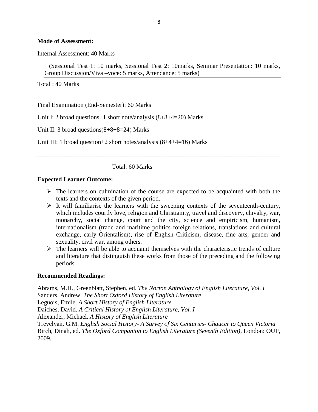#### **Mode of Assessment:**

Internal Assessment: 40 Marks

(Sessional Test 1: 10 marks, Sessional Test 2: 10marks, Seminar Presentation: 10 marks, Group Discussion/Viva –voce: 5 marks, Attendance: 5 marks)

Total : 40 Marks

Final Examination (End-Semester): 60 Marks

Unit I: 2 broad questions+1 short note/analysis (8+8+4=20) Marks

Unit II: 3 broad questions(8+8+8=24) Marks

Unit III: 1 broad question+2 short notes/analysis (8+4+4=16) Marks

Total: 60 Marks

#### **Expected Learner Outcome:**

 $\triangleright$  The learners on culmination of the course are expected to be acquainted with both the texts and the contexts of the given period.

\_\_\_\_\_\_\_\_\_\_\_\_\_\_\_\_\_\_\_\_\_\_\_\_\_\_\_\_\_\_\_\_\_\_\_\_\_\_\_\_\_\_\_\_\_\_\_\_\_\_\_\_\_\_\_\_\_\_\_\_\_\_\_\_\_\_\_\_\_\_\_\_\_\_\_\_\_\_

- $\triangleright$  It will familiarise the learners with the sweeping contexts of the seventeenth-century, which includes courtly love, religion and Christianity, travel and discovery, chivalry, war, monarchy, social change, court and the city, science and empiricism, humanism, internationalism (trade and maritime politics foreign relations, translations and cultural exchange, early Orientalism), rise of English Criticism, disease, fine arts, gender and sexuality, civil war, among others.
- $\triangleright$  The learners will be able to acquaint themselves with the characteristic trends of culture and literature that distinguish these works from those of the preceding and the following periods.

#### **Recommended Readings:**

Abrams, M.H., Greenblatt, Stephen, ed. *The Norton Anthology of English Literature, Vol. I* Sanders, Andrew. *The Short Oxford History of English Literature* Leguois, Emile. *A Short History of English Literature* Daiches, David. *A Critical History of English Literature, Vol. I* Alexander, Michael. *A History of English Literature* Trevelyan, G.M. *English Social History- A Survey of Six Centuries- Chaucer to Queen Victoria* Birch, Dinah, ed. *The Oxford Companion to English Literature (Seventh Edition)*, London: OUP, 2009.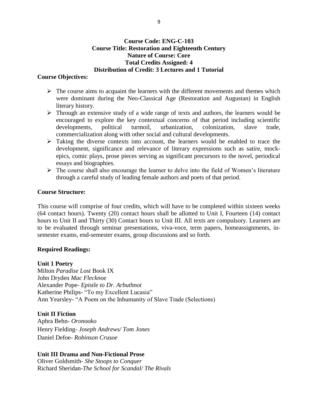# **Course Code: ENG-C-103 Course Title: Restoration and Eighteenth Century Nature of Course: Core Total Credits Assigned: 4 Distribution of Credit: 3 Lectures and 1 Tutorial**

# **Course Objectives:**

- $\triangleright$  The course aims to acquaint the learners with the different movements and themes which were dominant during the Neo-Classical Age (Restoration and Augustan) in English literary history.
- Through an extensive study of a wide range of texts and authors, the learners would be encouraged to explore the key contextual concerns of that period including scientific developments, political turmoil, urbanization, colonization, slave trade, commercialization along with other social and cultural developments.
- $\triangleright$  Taking the diverse contexts into account, the learners would be enabled to trace the development, significance and relevance of literary expressions such as satire, mockepics, comic plays, prose pieces serving as significant precursors to the novel, periodical essays and biographies.
- $\triangleright$  The course shall also encourage the learner to delve into the field of Women's literature through a careful study of leading female authors and poets of that period.

# **Course Structure:**

This course will comprise of four credits, which will have to be completed within sixteen weeks (64 contact hours). Twenty (20) contact hours shall be allotted to Unit I, Fourteen (14) contact hours to Unit II and Thirty (30) Contact hours to Unit III. All texts are compulsory. Learners are to be evaluated through seminar presentations, viva-voce, term papers, homeassignments, insemester exams, end-semester exams, group discussions and so forth.

# **Required Readings:**

# **Unit 1 Poetry**

Milton *Paradise Lost* Book IX John Dryden *Mac Flecknoe* Alexander Pope- *Epistle to Dr. Arbuthnot* Katherine Philips- "To my Excellent Lucasia" Ann Yearsley- "A Poem on the Inhumanity of Slave Trade (Selections)

# **Unit II Fiction**

Aphra Behn- *Oronooko* Henry Fielding- *Joseph Andrews/ Tom Jones* Daniel Defoe- *Robinson Crusoe*

# **Unit III Drama and Non-Fictional Prose**

Oliver Goldsmith- *She Stoops to Conquer*  Richard Sheridan-*The School for Scandal/ The Rivals*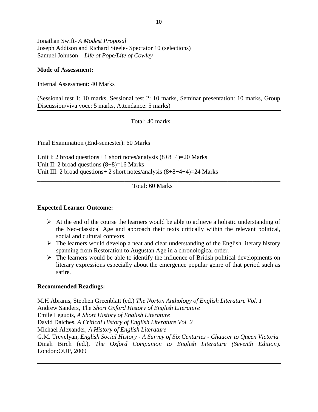Jonathan Swift- *A Modest Proposal* Joseph Addison and Richard Steele- Spectator 10 (selections) Samuel Johnson – *Life of Pope/Life of Cowley*

# **Mode of Assessment:**

Internal Assessment: 40 Marks

(Sessional test 1: 10 marks, Sessional test 2: 10 marks, Seminar presentation: 10 marks, Group Discussion/viva voce: 5 marks, Attendance: 5 marks)

Total: 40 marks

Final Examination (End-semester): 60 Marks

Unit I: 2 broad questions+ 1 short notes/analysis (8+8+4)=20 Marks Unit II: 2 broad questions  $(8+8)=16$  Marks Unit III: 2 broad questions+ 2 short notes/analysis (8+8+4+4)=24 Marks

Total: 60 Marks

\_\_\_\_\_\_\_\_\_\_\_\_\_\_\_\_\_\_\_\_\_\_\_\_\_\_\_\_\_\_\_\_\_\_\_\_\_\_\_\_\_\_\_\_\_\_\_\_\_\_\_\_\_\_\_\_\_\_\_\_\_\_\_\_\_\_\_\_\_\_\_\_\_\_\_\_\_\_

# **Expected Learner Outcome:**

- $\triangleright$  At the end of the course the learners would be able to achieve a holistic understanding of the Neo-classical Age and approach their texts critically within the relevant political, social and cultural contexts.
- $\triangleright$  The learners would develop a neat and clear understanding of the English literary history spanning from Restoration to Augustan Age in a chronological order.
- $\triangleright$  The learners would be able to identify the influence of British political developments on literary expressions especially about the emergence popular genre of that period such as satire.

#### **Recommended Readings:**

M.H Abrams, Stephen Greenblatt (ed.) *The Norton Anthology of English Literature Vol. 1* Andrew Sanders, The *Short Oxford History of English Literature*  Emile Leguois*, A Short History of English Literature* David Daiches, *A Critical History of English Literature Vol. 2* Michael Alexander, *A History of English Literature* G.M. Trevelyan*, English Social History - A Survey of Six Centuries - Chaucer to Queen Victoria* Dinah Birch (ed.), *The Oxford Companion to English Literature (Seventh Edition*). London:OUP, 2009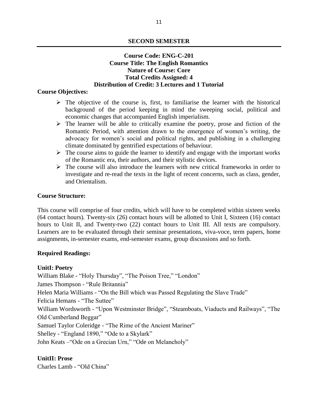# **SECOND SEMESTER**

# **Course Code: ENG-C-201 Course Title: The English Romantics Nature of Course: Core Total Credits Assigned: 4 Distribution of Credit: 3 Lectures and 1 Tutorial**

# **Course Objectives:**

- $\triangleright$  The objective of the course is, first, to familiarise the learner with the historical background of the period keeping in mind the sweeping social, political and economic changes that accompanied English imperialism.
- $\triangleright$  The learner will be able to critically examine the poetry, prose and fiction of the Romantic Period, with attention drawn to the emergence of women's writing, the advocacy for women's social and political rights, and publishing in a challenging climate dominated by gentrified expectations of behaviour.
- $\triangleright$  The course aims to guide the learner to identify and engage with the important works of the Romantic era, their authors, and their stylistic devices.
- $\triangleright$  The course will also introduce the learners with new critical frameworks in order to investigate and re-read the texts in the light of recent concerns, such as class, gender, and Orientalism.

### **Course Structure:**

This course will comprise of four credits, which will have to be completed within sixteen weeks (64 contact hours). Twenty-six (26) contact hours will be allotted to Unit I, Sixteen (16) contact hours to Unit II, and Twenty-two (22) contact hours to Unit III. All texts are compulsory. Learners are to be evaluated through their seminar presentations, viva-voce, term papers, home assignments, in-semester exams, end-semester exams, group discussions and so forth.

# **Required Readings:**

# **UnitI: Poetry**

William Blake - "Holy Thursday", "The Poison Tree," "London"

James Thompson - "Rule Britannia"

Helen Maria Williams - "On the Bill which was Passed Regulating the Slave Trade"

Felicia Hemans - "The Suttee"

William Wordsworth - "Upon Westminster Bridge", "Steamboats, Viaducts and Railways", "The Old Cumberland Beggar"

Samuel Taylor Coleridge - "The Rime of the Ancient Mariner"

Shelley - "England 1890," "Ode to a Skylark"

John Keats –"Ode on a Grecian Urn," "Ode on Melancholy"

# **UnitII: Prose**

Charles Lamb - "Old China"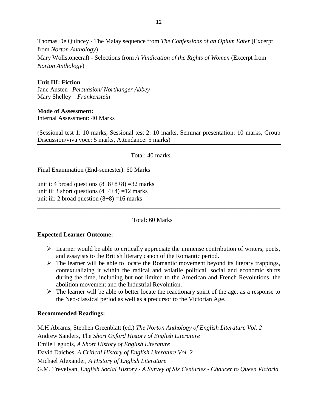Thomas De Quincey - The Malay sequence from *The Confessions of an Opium Eater* (Excerpt from *Norton Anthology*) Mary Wollstonecraft - Selections from *A Vindication of the Rights of Women* (Excerpt from *Norton Anthology*)

# **Unit III: Fiction**

Jane Austen –*Persuasion/ Northanger Abbey* Mary Shelley – *Frankenstein*

# **Mode of Assessment:**

Internal Assessment: 40 Marks

(Sessional test 1: 10 marks, Sessional test 2: 10 marks, Seminar presentation: 10 marks, Group Discussion/viva voce: 5 marks, Attendance: 5 marks)

Total: 40 marks

Final Examination (End-semester): 60 Marks

unit i: 4 broad questions  $(8+8+8+8) = 32$  marks unit ii: 3 short questions  $(4+4+4)$  =12 marks unit iii: 2 broad question  $(8+8) = 16$  marks

Total: 60 Marks

\_\_\_\_\_\_\_\_\_\_\_\_\_\_\_\_\_\_\_\_\_\_\_\_\_\_\_\_\_\_\_\_\_\_\_\_\_\_\_\_\_\_\_\_\_\_\_\_\_\_\_\_\_\_\_\_\_\_\_\_\_\_\_\_\_\_\_\_\_\_\_\_\_\_\_\_\_\_

# **Expected Learner Outcome:**

- $\triangleright$  Learner would be able to critically appreciate the immense contribution of writers, poets, and essayists to the British literary canon of the Romantic period.
- $\triangleright$  The learner will be able to locate the Romantic movement beyond its literary trappings, contextualizing it within the radical and volatile political, social and economic shifts during the time, including but not limited to the American and French Revolutions, the abolition movement and the Industrial Revolution.
- $\triangleright$  The learner will be able to better locate the reactionary spirit of the age, as a response to the Neo-classical period as well as a precursor to the Victorian Age.

# **Recommended Readings:**

M.H Abrams, Stephen Greenblatt (ed.) *The Norton Anthology of English Literature Vol. 2* Andrew Sanders, The *Short Oxford History of English Literature*  Emile Leguois*, A Short History of English Literature* David Daiches, *A Critical History of English Literature Vol. 2* Michael Alexander, *A History of English Literature* G.M. Trevelyan*, English Social History - A Survey of Six Centuries - Chaucer to Queen Victoria*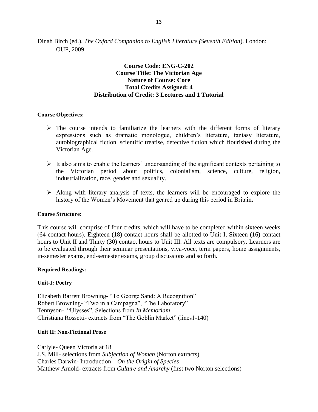Dinah Birch (ed.), *The Oxford Companion to English Literature (Seventh Edition*). London: OUP, 2009

# **Course Code: ENG-C-202 Course Title: The Victorian Age Nature of Course: Core Total Credits Assigned: 4 Distribution of Credit: 3 Lectures and 1 Tutorial**

#### **Course Objectives:**

- $\triangleright$  The course intends to familiarize the learners with the different forms of literary expressions such as dramatic monologue, children's literature, fantasy literature, autobiographical fiction, scientific treatise, detective fiction which flourished during the Victorian Age.
- $\triangleright$  It also aims to enable the learners' understanding of the significant contexts pertaining to the Victorian period about politics, colonialism, science, culture, religion, industrialization, race, gender and sexuality.
- $\triangleright$  Along with literary analysis of texts, the learners will be encouraged to explore the history of the Women's Movement that geared up during this period in Britain**.**

#### **Course Structure:**

This course will comprise of four credits, which will have to be completed within sixteen weeks (64 contact hours). Eighteen (18) contact hours shall be allotted to Unit I, Sixteen (16) contact hours to Unit II and Thirty (30) contact hours to Unit III. All texts are compulsory. Learners are to be evaluated through their seminar presentations, viva-voce, term papers, home assignments, in-semester exams, end-semester exams, group discussions and so forth.

#### **Required Readings:**

#### **Unit-I: Poetry**

Elizabeth Barrett Browning- "To George Sand: A Recognition" Robert Browning- "Two in a Campagna", "The Laboratory" Tennyson- "Ulysses", Selections from *In Memoriam* Christiana Rossetti- extracts from "The Goblin Market" (lines1-140)

#### **Unit II: Non-Fictional Prose**

Carlyle- Queen Victoria at 18 J.S. Mill- selections from *Subjection of Women* (Norton extracts) Charles Darwin- Introduction – *On the Origin of Species* Matthew Arnold- extracts from *Culture and Anarchy* (first two Norton selections)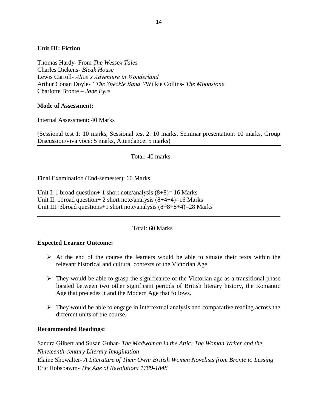# **Unit III: Fiction**

Thomas Hardy- From *The Wessex Tales* Charles Dickens- *Bleak House* Lewis Carroll- *Alice's Adventure in Wonderland* Arthur Conan Doyle- *"The Speckle Band"/*Wilkie Collins*- The Moonstone* Charlotte Bronte *– Jane Eyre*

# **Mode of Assessment:**

Internal Assessment: 40 Marks

(Sessional test 1: 10 marks, Sessional test 2: 10 marks, Seminar presentation: 10 marks, Group Discussion/viva voce: 5 marks, Attendance: 5 marks)

Total: 40 marks

Final Examination (End-semester): 60 Marks

Unit I: 1 broad question + 1 short note/analysis  $(8+8)$  = 16 Marks Unit II: 1broad question + 2 short note/analysis  $(8+4+4)=16$  Marks Unit III: 3broad questions+1 short note/analysis (8+8+8+4)=28 Marks

Total: 60 Marks

\_\_\_\_\_\_\_\_\_\_\_\_\_\_\_\_\_\_\_\_\_\_\_\_\_\_\_\_\_\_\_\_\_\_\_\_\_\_\_\_\_\_\_\_\_\_\_\_\_\_\_\_\_\_\_\_\_\_\_\_\_\_\_\_\_\_\_\_\_\_\_\_\_\_\_\_\_\_

# **Expected Learner Outcome:**

- $\triangleright$  At the end of the course the learners would be able to situate their texts within the relevant historical and cultural contexts of the Victorian Age.
- $\triangleright$  They would be able to grasp the significance of the Victorian age as a transitional phase located between two other significant periods of British literary history, the Romantic Age that precedes it and the Modern Age that follows.
- $\triangleright$  They would be able to engage in intertextual analysis and comparative reading across the different units of the course.

# **Recommended Readings:**

Sandra Gilbert and Susan Gubar- *The Madwoman in the Attic: The Woman Writer and the Nineteenth-century Literary Imagination* Elaine Showalter- *A Literature of Their Own: British Women Novelists from Bronte to Lessing* Eric Hobsbawm- *The Age of Revolution: 1789-1848*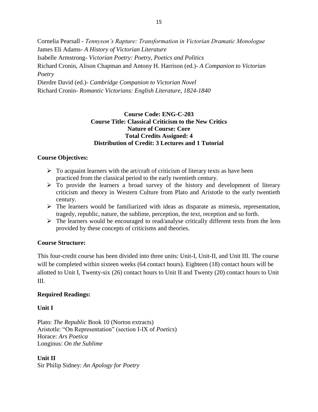Cornelia Pearsall - *Tennyson's Rapture: Transformation in Victorian Dramatic Monologue* James Eli Adams- *A History of Victorian Literature* Isabelle Armstrong- *Victorian Poetry: Poetry, Poetics and Politics* Richard Cronin, Alison Chapman and Antony H. Harrison (ed.)- *A Companion to Victorian Poetry* Dierdre David (ed.)- *Cambridge Companion to Victorian Novel* Richard Cronin- *Romantic Victorians: English Literature, 1824-1840*

# **Course Code: ENG-C-203 Course Title: Classical Criticism to the New Critics Nature of Course: Core Total Credits Assigned: 4 Distribution of Credit: 3 Lectures and 1 Tutorial**

# **Course Objectives:**

- $\triangleright$  To acquaint learners with the art/craft of criticism of literary texts as have been practiced from the classical period to the early twentieth century.
- $\triangleright$  To provide the learners a broad survey of the history and development of literary criticism and theory in Western Culture from Plato and Aristotle to the early twentieth century.
- $\triangleright$  The learners would be familiarized with ideas as disparate as mimesis, representation, tragedy, republic, nature, the sublime, perception, the text, reception and so forth.
- $\triangleright$  The learners would be encouraged to read/analyse critically different texts from the lens provided by these concepts of criticisms and theories.

# **Course Structure:**

This four-credit course has been divided into three units: Unit-I, Unit-II, and Unit III. The course will be completed within sixteen weeks (64 contact hours). Eighteen (18) contact hours will be allotted to Unit I, Twenty-six (26) contact hours to Unit II and Twenty (20) contact hours to Unit III.

# **Required Readings:**

# **Unit I**

Plato: *The Republic* Book 10 (Norton extracts) Aristotle: "On Representation" (section I-IX of *Poetics*) Horace: *Ars Poetica* Longinus: *On the Sublime*

# **Unit II**

Sir Philip Sidney: *An Apology for Poetry*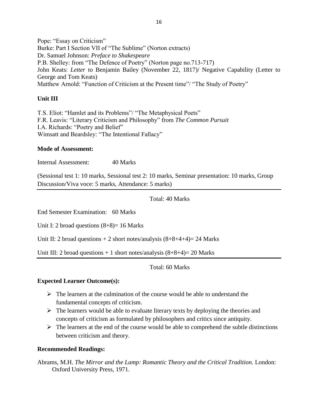Pope: "Essay on Criticism" Burke: Part I Section VII of "The Sublime" (Norton extracts) Dr. Samuel Johnson: *Preface to Shakespeare* P.B. Shelley: from "The Defence of Poetry" (Norton page no.713-717) John Keats: *Letter* to Benjamin Bailey (November 22, 1817)/ Negative Capability (Letter to George and Tom Keats) Matthew Arnold: "Function of Criticism at the Present time"/ "The Study of Poetry"

# **Unit III**

T.S. Eliot: "Hamlet and its Problems"/ "The Metaphysical Poets" F.R. Leavis: "Literary Criticism and Philosophy" from *The Common Pursuit* I.A. Richards: "Poetry and Belief" Wimsatt and Beardsley: "The Intentional Fallacy"

# **Mode of Assessment:**

Internal Assessment: 40 Marks

(Sessional test 1: 10 marks, Sessional test 2: 10 marks, Seminar presentation: 10 marks, Group Discussion/Viva voce: 5 marks, Attendance: 5 marks)

Total: 40 Marks

End Semester Examination: 60 Marks

Unit I: 2 broad questions  $(8+8)=16$  Marks

Unit II: 2 broad questions  $+ 2$  short notes/analysis  $(8+8+4+4)= 24$  Marks

Unit III: 2 broad questions  $+1$  short notes/analysis  $(8+8+4)=20$  Marks

Total: 60 Marks

# **Expected Learner Outcome(s):**

- $\triangleright$  The learners at the culmination of the course would be able to understand the fundamental concepts of criticism.
- $\triangleright$  The learners would be able to evaluate literary texts by deploying the theories and concepts of criticism as formulated by philosophers and critics since antiquity.
- $\triangleright$  The learners at the end of the course would be able to comprehend the subtle distinctions between criticism and theory.

# **Recommended Readings:**

Abrams, M.H. *The Mirror and the Lamp: Romantic Theory and the Critical Tradition.* London: Oxford University Press, 1971.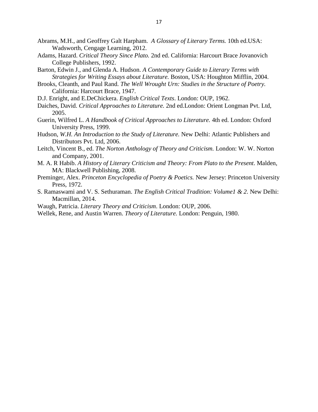- Abrams, M.H., and Geoffrey Galt Harpham. *A Glossary of Literary Terms.* 10th ed.USA: Wadsworth, Cengage Learning, 2012.
- Adams, Hazard. *Critical Theory Since Plato.* 2nd ed. California: Harcourt Brace Jovanovich College Publishers, 1992.
- Barton, Edwin J., and Glenda A. Hudson. *A Contemporary Guide to Literary Terms with Strategies for Writing Essays about Literature.* Boston, USA: Houghton Mifflin, 2004.
- Brooks, Cleanth*,* and Paul Rand. *The Well Wrought Urn: Studies in the Structure of Poetry.* California: Harcourt Brace, 1947.
- D.J. Enright, and E.DeChickera. *English Critical Texts*. London: OUP, 1962.
- Daiches, David. *Critical Approaches to Literature.* 2nd ed.London: Orient Longman Pvt. Ltd, 2005.
- Guerin, Wilfred L. *A Handbook of Critical Approaches to Literature.* 4th ed. London: Oxford University Press, 1999.
- Hudson, *W.H. An Introduction to the Study of Literature.* New Delhi: Atlantic Publishers and Distributors Pvt. Ltd, 2006.
- Leitch, Vincent B., ed. *The Norton Anthology of Theory and Criticism.* London: W. W. Norton and Company, 2001.
- M. A. R Habib. *A History of Literary Criticism and Theory: From Plato to the Present*. Malden, MA: Blackwell Publishing, 2008.
- Preminger, Alex. *Princeton Encyclopedia of Poetry & Poetics.* New Jersey: Princeton University Press, 1972.
- S. Ramaswami and V. S. Sethuraman. *The English Critical Tradition: Volume1 & 2*. New Delhi: Macmillan, 2014.
- Waugh, Patricia. *Literary Theory and Criticism*. London: OUP, 2006.
- Wellek, Rene, and Austin Warren. *Theory of Literature.* London: Penguin, 1980.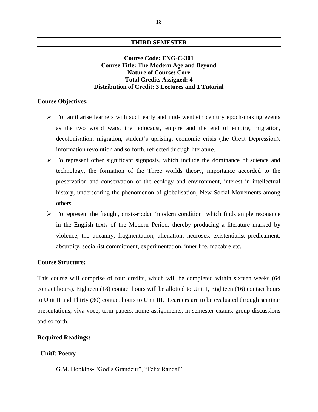#### **THIRD SEMESTER**

# **Course Code: ENG-C-301 Course Title: The Modern Age and Beyond Nature of Course: Core Total Credits Assigned: 4 Distribution of Credit: 3 Lectures and 1 Tutorial**

# **Course Objectives:**

- $\triangleright$  To familiarise learners with such early and mid-twentieth century epoch-making events as the two world wars, the holocaust, empire and the end of empire, migration, decolonisation, migration, student's uprising, economic crisis (the Great Depression), information revolution and so forth, reflected through literature.
- $\triangleright$  To represent other significant signposts, which include the dominance of science and technology, the formation of the Three worlds theory, importance accorded to the preservation and conservation of the ecology and environment, interest in intellectual history, underscoring the phenomenon of globalisation, New Social Movements among others.
- $\triangleright$  To represent the fraught, crisis-ridden 'modern condition' which finds ample resonance in the English texts of the Modern Period, thereby producing a literature marked by violence, the uncanny, fragmentation, alienation, neuroses, existentialist predicament, absurdity, social/ist commitment, experimentation, inner life, macabre etc.

#### **Course Structure:**

This course will comprise of four credits, which will be completed within sixteen weeks (64 contact hours). Eighteen (18) contact hours will be allotted to Unit I, Eighteen (16) contact hours to Unit II and Thirty (30) contact hours to Unit III. Learners are to be evaluated through seminar presentations, viva-voce, term papers, home assignments, in-semester exams, group discussions and so forth.

### **Required Readings:**

#### **UnitI: Poetry**

G.M. Hopkins- "God's Grandeur", "Felix Randal"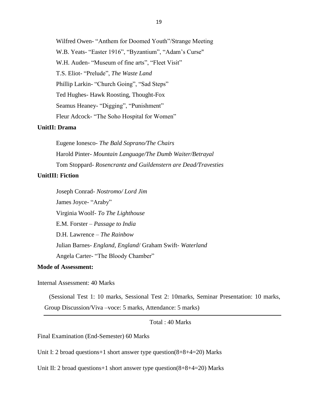Wilfred Owen- "Anthem for Doomed Youth"/Strange Meeting W.B. Yeats- "Easter 1916", "Byzantium", "Adam's Curse" W.H. Auden- "Museum of fine arts", "Fleet Visit" T.S. Eliot- "Prelude", *The Waste Land* Phillip Larkin- "Church Going", "Sad Steps" Ted Hughes- Hawk Roosting, Thought-Fox Seamus Heaney- "Digging", "Punishment" Fleur Adcock- "The Soho Hospital for Women"

# **UnitII: Drama**

Eugene Ionesco- *The Bald Soprano/The Chairs* Harold Pinter- *Mountain Language/The Dumb Waiter/Betrayal* Tom Stoppard- *Rosencrantz and Guildenstern are Dead[/Travesties](https://en.wikipedia.org/wiki/Travesties)*

# **UnitIII: Fiction**

Joseph Conrad- *Nostromo/ Lord Jim* James Joyce- "Araby" Virginia Woolf*- To The Lighthouse* E.M. Forster *– Passage to India* D.H. Lawrence *– The Rainbow* Julian Barnes- *England, England*/ Graham Swift- *Waterland* Angela Carter- "The Bloody Chamber"

# **Mode of Assessment:**

Internal Assessment: 40 Marks

(Sessional Test 1: 10 marks, Sessional Test 2: 10marks, Seminar Presentation: 10 marks, Group Discussion/Viva –voce: 5 marks, Attendance: 5 marks)

Total : 40 Marks

Final Examination (End-Semester) 60 Marks

Unit I: 2 broad questions+1 short answer type question(8+8+4=20) Marks

Unit II: 2 broad questions+1 short answer type question(8+8+4=20) Marks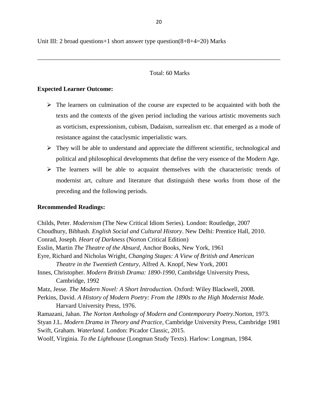Unit III: 2 broad questions+1 short answer type question(8+8+4=20) Marks

# Total: 60 Marks

# **Expected Learner Outcome:**

- $\triangleright$  The learners on culmination of the course are expected to be acquainted with both the texts and the contexts of the given period including the various artistic movements such as vorticism, expressionism, cubism, Dadaism, surrealism etc. that emerged as a mode of resistance against the cataclysmic imperialistic wars.
- $\triangleright$  They will be able to understand and appreciate the different scientific, technological and political and philosophical developments that define the very essence of the Modern Age.
- $\triangleright$  The learners will be able to acquaint themselves with the characteristic trends of modernist art, culture and literature that distinguish these works from those of the preceding and the following periods.

# **Recommended Readings:**

Childs, Peter. *Modernism* (The New Critical Idiom Series)*.* London: Routledge, 2007 Choudhury, Bibhash. *English Social and Cultural History*. New Delhi: Prentice Hall, 2010. Conrad, Joseph. *Heart of Darkness* (Norton Critical Edition) Esslin, Martin *The Theatre of the Absurd,* Anchor Books, New York, 1961 Eyre, Richard and Nicholas Wright, *Changing Stages: A View of British and American Theatre in the Twentieth Century,* Alfred A. Knopf, New York, 2001 Innes, Christopher. *Modern British Drama: 1890-1990*, Cambridge University Press, Cambridge, 1992 Matz, Jesse. *The Modern Novel: A Short Introduction.* Oxford: Wiley Blackwell, 2008. Perkins, David. *A History of Modern Poetry: From the 1890s to the High Modernist Mode.* Harvard University Press, 1976. Ramazani, Jahan. *The Norton Anthology of Modern and Contemporary Poetry.*Norton, 1973. Styan J.L. *Modern Drama in Theory and Practice*, Cambridge University Press, Cambridge 1981 Swift, Graham. *Waterland.* London: Picador Classic, 2015. Woolf, Virginia. *To the Lighthouse* (Longman Study Texts). Harlow: Longman, 1984.

\_\_\_\_\_\_\_\_\_\_\_\_\_\_\_\_\_\_\_\_\_\_\_\_\_\_\_\_\_\_\_\_\_\_\_\_\_\_\_\_\_\_\_\_\_\_\_\_\_\_\_\_\_\_\_\_\_\_\_\_\_\_\_\_\_\_\_\_\_\_\_\_\_\_\_\_\_\_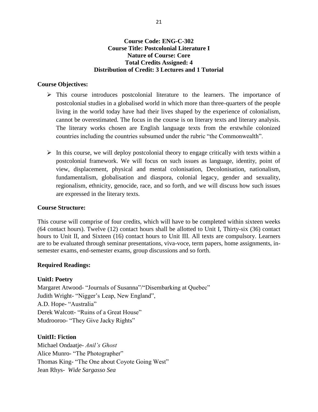# **Course Code: ENG-C-302 Course Title: Postcolonial Literature I Nature of Course: Core Total Credits Assigned: 4 Distribution of Credit: 3 Lectures and 1 Tutorial**

# **Course Objectives:**

- $\triangleright$  This course introduces postcolonial literature to the learners. The importance of postcolonial studies in a globalised world in which more than three-quarters of the people living in the world today have had their lives shaped by the experience of colonialism, cannot be overestimated. The focus in the course is on literary texts and literary analysis. The literary works chosen are English language texts from the erstwhile colonized countries including the countries subsumed under the rubric "the Commonwealth".
- $\triangleright$  In this course, we will deploy postcolonial theory to engage critically with texts within a postcolonial framework. We will focus on such issues as language, identity, point of view, displacement, physical and mental colonisation, Decolonisation, nationalism, fundamentalism, globalisation and diaspora, colonial legacy, gender and sexuality, regionalism, ethnicity, genocide, race, and so forth, and we will discuss how such issues are expressed in the literary texts.

#### **Course Structure:**

This course will comprise of four credits, which will have to be completed within sixteen weeks (64 contact hours). Twelve (12) contact hours shall be allotted to Unit I, Thirty-six (36) contact hours to Unit II, and Sixteen (16) contact hours to Unit III. All texts are compulsory. Learners are to be evaluated through seminar presentations, viva-voce, term papers, home assignments, insemester exams, end-semester exams, group discussions and so forth.

# **Required Readings:**

# **UnitI: Poetry**

Margaret Atwood- "Journals of Susanna"/"Disembarking at Quebec" Judith Wright- "Nigger's Leap, New England", A.D. Hope- "Australia" Derek Walcott- "Ruins of a Great House" Mudrooroo- "They Give Jacky Rights"

#### **UnitII: Fiction**

Michael Ondaatje- *Anil's Ghost* Alice Munro- "The Photographer" Thomas King- "The One about Coyote Going West" Jean Rhys- *Wide Sargasso Sea*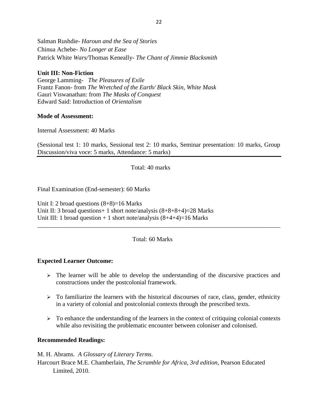Salman Rushdie- *Haroun and the Sea of Stories* Chinua Achebe- *No Longer at Ease* Patrick White *Wars/*Thomas Keneally- *The Chant of Jimmie Blacksmith*

# **Unit III: Non-Fiction**

George Lamming- *The Pleasures of Exile* Frantz Fanon- from *The Wretched of the Earth/ Black Skin, White Mask* Gauri Viswanathan: from *The Masks of Conquest* Edward Said: Introduction of *Orientalism*

# **Mode of Assessment:**

Internal Assessment: 40 Marks

(Sessional test 1: 10 marks, Sessional test 2: 10 marks, Seminar presentation: 10 marks, Group Discussion/viva voce: 5 marks, Attendance: 5 marks)

Total: 40 marks

Final Examination (End-semester): 60 Marks

Unit I: 2 broad questions  $(8+8)=16$  Marks Unit II: 3 broad questions+ 1 short note/analysis (8+8+8+4)=28 Marks Unit III: 1 broad question  $+ 1$  short note/analysis  $(8+4+4)=16$  Marks

Total: 60 Marks

\_\_\_\_\_\_\_\_\_\_\_\_\_\_\_\_\_\_\_\_\_\_\_\_\_\_\_\_\_\_\_\_\_\_\_\_\_\_\_\_\_\_\_\_\_\_\_\_\_\_\_\_\_\_\_\_\_\_\_\_\_\_\_\_\_\_\_\_\_\_\_\_\_\_\_\_\_\_

# **Expected Learner Outcome:**

- $\triangleright$  The learner will be able to develop the understanding of the discursive practices and constructions under the postcolonial framework.
- $\triangleright$  To familiarize the learners with the historical discourses of race, class, gender, ethnicity in a variety of colonial and postcolonial contexts through the prescribed texts.
- $\triangleright$  To enhance the understanding of the learners in the context of critiquing colonial contexts while also revisiting the problematic encounter between coloniser and colonised.

# **Recommended Readings:**

M. H. Abrams. *A Glossary of Literary Terms.* 

Harcourt Brace M.E. Chamberlain, *The Scramble for Africa, 3rd edition*, Pearson Educated Limited, 2010.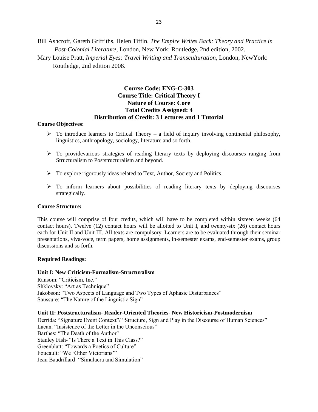Bill Ashcroft, Gareth Griffiths, Helen Tiffin, *The Empire Writes Back: Theory and Practice in Post-Colonial Literature,* London, New York: Routledge, 2nd edition, 2002.

Mary Louise Pratt, *Imperial Eyes: Travel Writing and Transculturation*, London, NewYork: Routledge, 2nd edition 2008.

# **Course Code: ENG-C-303 Course Title: Critical Theory I Nature of Course: Core Total Credits Assigned: 4 Distribution of Credit: 3 Lectures and 1 Tutorial**

#### **Course Objectives:**

- $\triangleright$  To introduce learners to Critical Theory a field of inquiry involving continental philosophy, linguistics, anthropology, sociology, literature and so forth.
- To providevarious strategies of reading literary texts by deploying discourses ranging from Structuralism to Poststructuralism and beyond.
- $\triangleright$  To explore rigorously ideas related to Text, Author, Society and Politics.
- $\triangleright$  To inform learners about possibilities of reading literary texts by deploying discourses strategically.

#### **Course Structure:**

This course will comprise of four credits, which will have to be completed within sixteen weeks (64 contact hours). Twelve (12) contact hours will be allotted to Unit I, and twenty-six (26) contact hours each for Unit II and Unit III. All texts are compulsory. Learners are to be evaluated through their seminar presentations, viva-voce, term papers, home assignments, in-semester exams, end-semester exams, group discussions and so forth.

#### **Required Readings:**

#### **Unit I: New Criticism-Formalism-Structuralism**

Ransom: "Criticism, Inc." Shklovsky: "Art as Technique" Jakobson: "Two Aspects of Language and Two Types of Aphasic Disturbances" Saussure: "The Nature of the Linguistic Sign"

#### **Unit II: Poststructuralism- Reader-Oriented Theories- New Historicism-Postmodernism**

Derrida: "Signature Event Context"/ "Structure, Sign and Play in the Discourse of Human Sciences" Lacan: "Insistence of the Letter in the Unconscious" Barthes: "The Death of the Author" Stanley Fish- "Is There a Text in This Class?" Greenblatt: "Towards a Poetics of Culture" Foucault: "We 'Other Victorians'" Jean Baudrillard- "Simulacra and Simulation"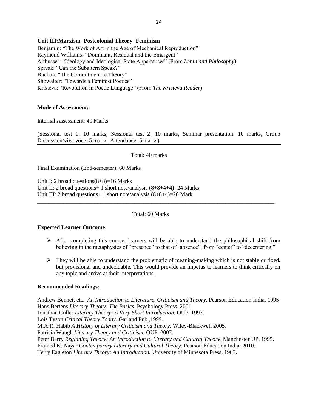#### **Unit III:Marxism- Postcolonial Theory- Feminism**

Benjamin: "The Work of Art in the Age of Mechanical Reproduction" Raymond Williams- "Dominant, Residual and the Emergent" Althusser: "Ideology and Ideological State Apparatuses" (From *Lenin and Philosophy*) Spivak: "Can the Subaltern Speak?" Bhabha: "The Commitment to Theory" Showalter: "Towards a Feminist Poetics" Kristeva: "Revolution in Poetic Language" (From *The Kristeva Reader*)

#### **Mode of Assessment:**

Internal Assessment: 40 Marks

(Sessional test 1: 10 marks, Sessional test 2: 10 marks, Seminar presentation: 10 marks, Group Discussion/viva voce: 5 marks, Attendance: 5 marks)

Total: 40 marks

Final Examination (End-semester): 60 Marks

Unit I: 2 broad questions $(8+8)=16$  Marks Unit II: 2 broad questions + 1 short note/analysis  $(8+8+4+4)=24$  Marks Unit III: 2 broad questions+ 1 short note/analysis (8+8+4)=20 Mark

Total: 60 Marks

\_\_\_\_\_\_\_\_\_\_\_\_\_\_\_\_\_\_\_\_\_\_\_\_\_\_\_\_\_\_\_\_\_\_\_\_\_\_\_\_\_\_\_\_\_\_\_\_\_\_\_\_\_\_\_\_\_\_\_\_\_\_\_\_\_\_\_\_\_\_\_\_\_\_\_\_\_\_\_\_\_\_\_

#### **Expected Learner Outcome:**

- After completing this course, learners will be able to understand the philosophical shift from believing in the metaphysics of "presence" to that of "absence", from "center" to "decentering."
- $\triangleright$  They will be able to understand the problematic of meaning-making which is not stable or fixed, but provisional and undecidable. This would provide an impetus to learners to think critically on any topic and arrive at their interpretations.

#### **Recommended Readings:**

Andrew Bennett etc. *An Introduction to Literature, Criticism and Theory.* Pearson Education India. 1995 Hans Bertens *Literary Theory: The Basics*. Psychology Press. 2001. Jonathan Culler *Literary Theory: A Very Short Introduction.* OUP. 1997. Lois Tyson *Critical Theory Today.* Garland Pub*.,*1999. M.A.R. Habib *A History of Literary Criticism and Theory.* Wiley-Blackwell 2005*.* Patricia Waugh *Literary Theory and Criticism.* OUP. 2007. Peter Barry *Beginning Theory: An Introduction to Literary and Cultural Theory*. Manchester UP. 1995. Pramod K. Nayar *Contemporary Literary and Cultural Theory.* Pearson Education India. 2010. Terry Eagleton *Literary Theory: An Introduction.* University of Minnesota Press, 1983.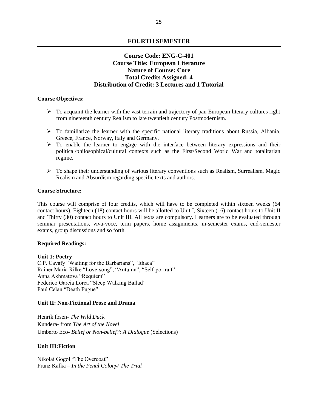### **FOURTH SEMESTER**

# **Course Code: ENG-C-401 Course Title: European Literature Nature of Course: Core Total Credits Assigned: 4 Distribution of Credit: 3 Lectures and 1 Tutorial**

#### **Course Objectives:**

- $\triangleright$  To acquaint the learner with the vast terrain and trajectory of pan European literary cultures right from nineteenth century Realism to late twentieth century Postmodernism.
- $\triangleright$  To familiarize the learner with the specific national literary traditions about Russia, Albania, Greece, France, Norway, Italy and Germany.
- $\triangleright$  To enable the learner to engage with the interface between literary expressions and their political/philosophical/cultural contexts such as the First/Second World War and totalitarian regime.
- $\triangleright$  To shape their understanding of various literary conventions such as Realism, Surrealism, Magic Realism and Absurdism regarding specific texts and authors.

#### **Course Structure:**

This course will comprise of four credits, which will have to be completed within sixteen weeks (64 contact hours). Eighteen (18) contact hours will be allotted to Unit I, Sixteen (16) contact hours to Unit II and Thirty (30) contact hours to Unit III. All texts are compulsory. Learners are to be evaluated through seminar presentations, viva-voce, term papers, home assignments, in-semester exams, end-semester exams, group discussions and so forth.

#### **Required Readings:**

#### **Unit 1: Poetry**

C.P. Cavafy "Waiting for the Barbarians", "Ithaca" Rainer Maria Rilke "Love-song", "Autumn", "Self-portrait" Anna Akhmatova "Requiem" Federico Garcia Lorca "Sleep Walking Ballad" Paul Celan "Death Fugue"

#### **Unit II: Non-Fictional Prose and Drama**

Henrik Ibsen- *The Wild Duck* Kundera- from *The Art of the Novel* Umberto Eco- *Belief or Non-belief?: A Dialogue* (Selections)

#### **Unit III:Fiction**

Nikolai Gogol "The Overcoat" Franz Kafka – *In the Penal Colony/ The Trial*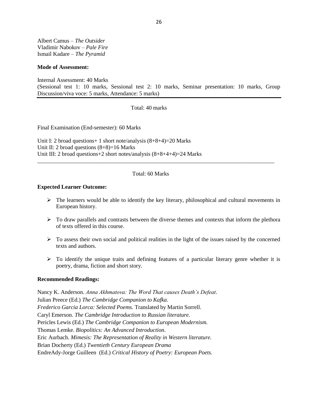Albert Camus – *The Outsider* Vladimir Nabokov – *Pale Fire* Ismail Kadare – *The Pyramid*

#### **Mode of Assessment:**

Internal Assessment: 40 Marks (Sessional test 1: 10 marks, Sessional test 2: 10 marks, Seminar presentation: 10 marks, Group Discussion/viva voce: 5 marks, Attendance: 5 marks)

Total: 40 marks

Final Examination (End-semester): 60 Marks

Unit I: 2 broad questions+ 1 short note/analysis (8+8+4)=20 Marks Unit II: 2 broad questions  $(8+8)=16$  Marks Unit III: 2 broad questions+2 short notes/analysis (8+8+4+4)=24 Marks

#### Total: 60 Marks

\_\_\_\_\_\_\_\_\_\_\_\_\_\_\_\_\_\_\_\_\_\_\_\_\_\_\_\_\_\_\_\_\_\_\_\_\_\_\_\_\_\_\_\_\_\_\_\_\_\_\_\_\_\_\_\_\_\_\_\_\_\_\_\_\_\_\_\_\_\_\_\_\_\_\_\_\_\_\_\_\_\_\_

#### **Expected Learner Outcome:**

- $\triangleright$  The learners would be able to identify the key literary, philosophical and cultural movements in European history.
- $\triangleright$  To draw parallels and contrasts between the diverse themes and contexts that inform the plethora of texts offered in this course.
- $\triangleright$  To assess their own social and political realities in the light of the issues raised by the concerned texts and authors.
- $\triangleright$  To identify the unique traits and defining features of a particular literary genre whether it is poetry, drama, fiction and short story.

#### **Recommended Readings:**

Nancy K. Anderson. *Anna Akhmatova: The Word That causes Death's Defeat*. Julian Preece (Ed.) *The Cambridge Companion to Kafka*. *Frederico Garcia Lorca: Selected Poems.* Translated by Martin Sorrell. Caryl Emerson. *The Cambridge Introduction to Russian literature.*  Pericles Lewis (Ed.) *The Cambridge Companion to European Modernism.*  Thomas Lemke. *Biopolitics: An Advanced Introduction*. Eric Aurbach. *Mimesis: The Representation of Reality in Western literature.*  Brian Docherty (Ed.) *Twentieth Century European Drama*  EndreAdy-Jorge Guilleen (Ed.) *Critical History of Poetry: European Poets.*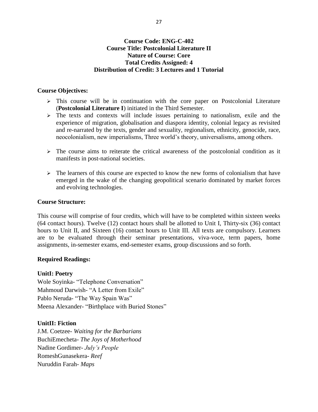# **Course Code: ENG-C-402 Course Title: Postcolonial Literature II Nature of Course: Core Total Credits Assigned: 4 Distribution of Credit: 3 Lectures and 1 Tutorial**

# **Course Objectives:**

- $\triangleright$  This course will be in continuation with the core paper on Postcolonial Literature (**Postcolonial Literature I**) initiated in the Third Semester.
- $\geq$  The texts and contexts will include issues pertaining to nationalism, exile and the experience of migration, globalisation and diaspora identity, colonial legacy as revisited and re-narrated by the texts, gender and sexuality, regionalism, ethnicity, genocide, race, neocolonialism, new imperialisms, Three world's theory, universalisms, among others.
- $\triangleright$  The course aims to reiterate the critical awareness of the postcolonial condition as it manifests in post-national societies.
- $\triangleright$  The learners of this course are expected to know the new forms of colonialism that have emerged in the wake of the changing geopolitical scenario dominated by market forces and evolving technologies.

# **Course Structure:**

This course will comprise of four credits, which will have to be completed within sixteen weeks (64 contact hours). Twelve (12) contact hours shall be allotted to Unit I, Thirty-six (36) contact hours to Unit II, and Sixteen (16) contact hours to Unit III. All texts are compulsory. Learners are to be evaluated through their seminar presentations, viva-voce, term papers, home assignments, in-semester exams, end-semester exams, group discussions and so forth.

# **Required Readings:**

# **UnitI: Poetry**

Wole Soyinka- "Telephone Conversation" Mahmoud Darwish- "A Letter from Exile" Pablo Neruda- "The Way Spain Was" Meena Alexander- "Birthplace with Buried Stones"

# **UnitII: Fiction**

J.M. Coetzee- *Waiting for the Barbarians* BuchiEmecheta- *The Joys of Motherhood* Nadine Gordimer- *July's People* RomeshGunasekera- *Reef* Nuruddin Farah- *Maps*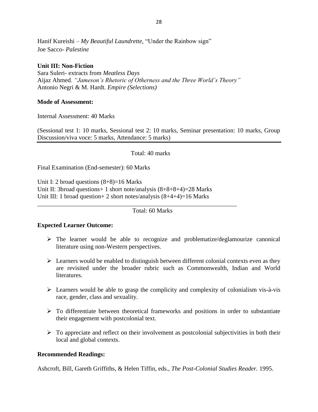Hanif Kureishi – *My Beautiful Laundrette,* "Under the Rainbow sign" Joe Sacco- *Palestine*

# **Unit III: Non-Fiction**

Sara Suleri- extracts from *Meatless Days* Aijaz Ahmed*. "Jameson's Rhetoric of Otherness and the Three World's Theory"* Antonio Negri & M. Hardt*. Empire (Selections)*

# **Mode of Assessment:**

Internal Assessment: 40 Marks

(Sessional test 1: 10 marks, Sessional test 2: 10 marks, Seminar presentation: 10 marks, Group Discussion/viva voce: 5 marks, Attendance: 5 marks)

Total: 40 marks

Final Examination (End-semester): 60 Marks

Unit I: 2 broad questions  $(8+8)=16$  Marks Unit II: 3broad questions+ 1 short note/analysis (8+8+8+4)=28 Marks Unit III: 1 broad question+ 2 short notes/analysis (8+4+4)=16 Marks

\_\_\_\_\_\_\_\_\_\_\_\_\_\_\_\_\_\_\_\_\_\_\_\_\_\_\_\_\_\_\_\_\_\_\_\_\_\_\_\_\_\_\_\_\_\_\_\_\_\_\_\_\_\_\_\_\_\_\_\_\_\_\_\_

Total: 60 Marks

# **Expected Learner Outcome:**

- $\triangleright$  The learner would be able to recognize and problematize/deglamourize canonical literature using non-Western perspectives.
- $\triangleright$  Learners would be enabled to distinguish between different colonial contexts even as they are revisited under the broader rubric such as Commonwealth, Indian and World literatures.
- $\triangleright$  Learners would be able to grasp the complicity and complexity of colonialism vis-à-vis race, gender, class and sexuality.
- $\triangleright$  To differentiate between theoretical frameworks and positions in order to substantiate their engagement with postcolonial text.
- $\triangleright$  To appreciate and reflect on their involvement as postcolonial subjectivities in both their local and global contexts.

# **Recommended Readings:**

Ashcroft, Bill, Gareth Griffiths, & Helen Tiffin, eds., *The Post-Colonial Studies Reader.* 1995.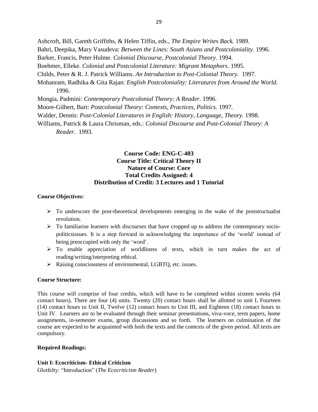Ashcroft, Bill, Gareth Griffiths, & Helen Tiffin, eds., *The Empire Writes Back.* 1989. Bahri, Deepika, Mary Vasudeva: *Between the Lines: South Asians and Postcoloniality.* 1996. Barker, Francis, Peter Hulme. *Colonial Discourse, Postcolonial Theory*. 1994. Boehmer, Elleke. *Colonial and Postcolonial Literature: Migrant Metaphors*. 1995. Childs, Peter & R. J. Patrick Williams. *An Introduction to Post-Colonial Theory.* 1997. Mohanram, Radhika & Gita Rajan: *English Postcoloniality: Literatures from Around the World.*  1996. Mongia, Padmini: *Contemporary Postcolonial Theory: A Reader.* 1996.

Moore-Gilbert, Bart: *Postcolonial Theory: Contexts, Practices, Politics.* 1997.

Walder, Dennis: *Post-Colonial Literatures in English: History, Language, Theory.* 1998.

Williams, Patrick & Laura Chrisman, eds.: *Colonial Discourse and Post-Colonial Theory: A Reader*. 1993.

# **Course Code: ENG-C-403 Course Title: Critical Theory II Nature of Course: Core Total Credits Assigned: 4 Distribution of Credit: 3 Lectures and 1 Tutorial**

#### **Course Objectives:**

- $\triangleright$  To underscore the post-theoretical developments emerging in the wake of the poststructualist revolution.
- $\triangleright$  To familiarise learners with discourses that have cropped up to address the contemporary sociopoliticsissues. It is a step forward in acknowledging the importance of the 'world' instead of being preoccupied with only the 'word'.
- $\triangleright$  To enable appreciation of worldliness of texts, which in turn makes the act of reading/writing/interpreting ethical.
- Raising consciousness of environmental, LGBTQ, etc. issues.

#### **Course Structure:**

This course will comprise of four credits, which will have to be completed within sixteen weeks (64 contact hours). There are four (4) units. Twenty (20) contact hours shall be allotted to unit I, Fourteen (14) contact hours to Unit II, Twelve (12) contact hours to Unit III, and Eighteen (18) contact hours to Unit IV. Learners are to be evaluated through their seminar presentations, viva-voce, term papers, home assignments, in-semester exams, group discussions and so forth. The learners on culmination of the course are expected to be acquainted with both the texts and the contexts of the given period. All texts are compulsory.

#### **Required Readings:**

#### **Unit I: Ecocriticism- Ethical Criticism**

Glotfelty: "Introduction" (*The Ecocriticism Reader*)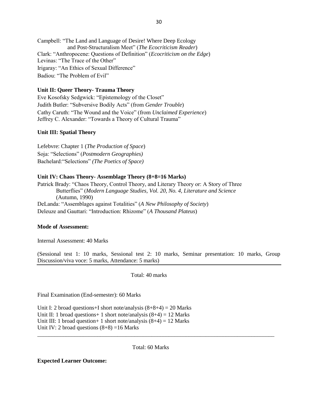Campbell: "The Land and Language of Desire! Where Deep Ecology and Post-Structuralism Meet" (*The Ecocriticism Reader*) Clark: "Anthropocene: Questions of Definition" (*Ecocriticism on the Edge*) Levinas: "The Trace of the Other" Irigaray: "An Ethics of Sexual Difference" Badiou: "The Problem of Evil"

#### **Unit II: Queer Theory- Trauma Theory**

Eve Kosofsky Sedgwick: "Epístemology of the Closet" Judith Butler: "Subversive Bodily Acts" (from *Gender Trouble*) Cathy Caruth: "The Wound and the Voice" (from *Unclaimed Experience*) Jeffrey C. Alexander: "Towards a Theory of Cultural Trauma"

#### **Unit III: Spatial Theory**

Lefebvre: Chapter 1 (*The Production of Space*) Soja: "Selections" (*Postmodern Geographies)* Bachelard:"Selections" *(The Poetics of Space)*

#### **Unit IV: Chaos Theory- Assemblage Theory (8+8=16 Marks)**

Patrick Brady: "Chaos Theory, Control Theory, and Literary Theory or: A Story of Three Butterflies" (*Modern Language Studies, Vol. 20, No. 4, Literature and Science* (Autumn, 1990) DeLanda: "Assemblages against Totalities" (*A New Philosophy of Society*) Deleuze and Gauttari: "Introduction: Rhizome" (*A Thousand Plateus*)

#### **Mode of Assessment:**

Internal Assessment: 40 Marks

(Sessional test 1: 10 marks, Sessional test 2: 10 marks, Seminar presentation: 10 marks, Group Discussion/viva voce: 5 marks, Attendance: 5 marks)

Total: 40 marks

Final Examination (End-semester): 60 Marks

Unit I: 2 broad questions+I short note/analysis  $(8+8+4) = 20$  Marks Unit II: 1 broad questions + 1 short note/analysis  $(8+4) = 12$  Marks Unit III: 1 broad question + 1 short note/analysis  $(8+4) = 12$  Marks Unit IV: 2 broad questions  $(8+8) = 16$  Marks

Total: 60 Marks

\_\_\_\_\_\_\_\_\_\_\_\_\_\_\_\_\_\_\_\_\_\_\_\_\_\_\_\_\_\_\_\_\_\_\_\_\_\_\_\_\_\_\_\_\_\_\_\_\_\_\_\_\_\_\_\_\_\_\_\_\_\_\_\_\_\_\_\_\_\_\_\_\_\_\_\_\_\_\_\_\_\_\_

**Expected Learner Outcome:**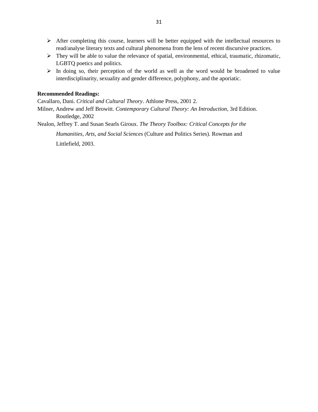- $\triangleright$  After completing this course, learners will be better equipped with the intellectual resources to read/analyse literary texts and cultural phenomena from the lens of recent discursive practices.
- $\triangleright$  They will be able to value the relevance of spatial, environmental, ethical, traumatic, rhizomatic, LGBTQ poetics and politics.
- $\triangleright$  In doing so, their perception of the world as well as the word would be broadened to value interdisciplinarity, sexuality and gender difference, polyphony, and the aporiatic.

#### **Recommended Readings:**

Cavallaro, Dani. *Critical and Cultural Theory*. Athlone Press, 2001 2.

Milner, Andrew and Jeff Browitt. *Contemporary Cultural Theory: An Introduction*, 3rd Edition. Routledge, 2002

Nealon, Jeffrey T. and Susan Searls Giroux. *The Theory Toolbox: Critical Concepts for the* 

*Humanities, Arts, and Social Sciences* (Culture and Politics Series). Rowman and

Littlefield, 2003.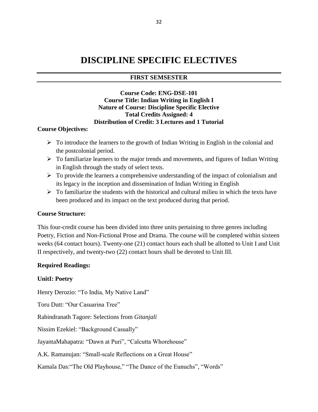# **DISCIPLINE SPECIFIC ELECTIVES**

# **FIRST SEMSESTER**

# **Course Code: ENG-DSE-101 Course Title: Indian Writing in English I Nature of Course: Discipline Specific Elective Total Credits Assigned: 4 Distribution of Credit: 3 Lectures and 1 Tutorial**

### **Course Objectives:**

- $\triangleright$  To introduce the learners to the growth of Indian Writing in English in the colonial and the postcolonial period.
- $\triangleright$  To familiarize learners to the major trends and movements, and figures of Indian Writing in English through the study of select texts.
- $\triangleright$  To provide the learners a comprehensive understanding of the impact of colonialism and its legacy in the inception and dissemination of Indian Writing in English
- $\triangleright$  To familiarize the students with the historical and cultural milieu in which the texts have been produced and its impact on the text produced during that period.

# **Course Structure:**

This four-credit course has been divided into three units pertaining to three genres including Poetry, Fiction and Non-Fictional Prose and Drama. The course will be completed within sixteen weeks (64 contact hours). Twenty-one (21) contact hours each shall be allotted to Unit I and Unit II respectively, and twenty-two (22) contact hours shall be devoted to Unit III.

# **Required Readings:**

#### **UnitI: Poetry**

Henry Derozio: "To India, My Native Land"

Toru Dutt: "Our Casuarina Tree"

Rabindranath Tagore: Selections from *Gitanjali*

Nissim Ezekiel: "Background Casually"

JayantaMahapatra: "Dawn at Puri", "Calcutta Whorehouse"

A.K. Ramanujan: "Small-scale Reflections on a Great House"

Kamala Das:"The Old Playhouse," "The Dance of the Eunuchs", "Words"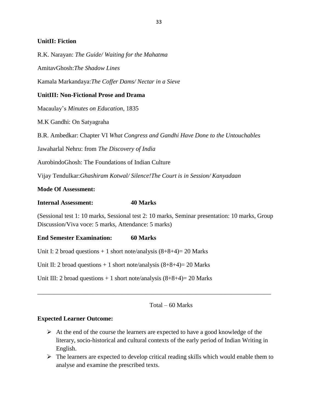# **UnitII: Fiction**

R.K. Narayan: *The Guide/ Waiting for the Mahatma*

AmitavGhosh:*The Shadow Lines*

Kamala Markandaya:*The Coffer Dams/ Nectar in a Sieve*

# **UnitIII: Non-Fictional Prose and Drama**

Macaulay's *Minutes on Education,* 1835

M.K Gandhi: On Satyagraha

B.R. Ambedkar: Chapter VI *What Congress and Gandhi Have Done to the Untouchables*

Jawaharlal Nehru: from *The Discovery of India*

AurobindoGhosh: The Foundations of Indian Culture

Vijay Tendulkar:*Ghashiram Kotwal/ Silence!The Court is in Session/ Kanyadaan*

# **Mode Of Assessment:**

### **Internal Assessment: 40 Marks**

(Sessional test 1: 10 marks, Sessional test 2: 10 marks, Seminar presentation: 10 marks, Group Discussion/Viva voce: 5 marks, Attendance: 5 marks)

# **End Semester Examination: 60 Marks**

Unit I: 2 broad questions  $+1$  short note/analysis  $(8+8+4)=20$  Marks

Unit II: 2 broad questions  $+ 1$  short note/analysis  $(8+8+4)= 20$  Marks

Unit III: 2 broad questions  $+ 1$  short note/analysis  $(8+8+4) = 20$  Marks

Total – 60 Marks

#### **Expected Learner Outcome:**

 $\triangleright$  At the end of the course the learners are expected to have a good knowledge of the literary, socio-historical and cultural contexts of the early period of Indian Writing in English.

\_\_\_\_\_\_\_\_\_\_\_\_\_\_\_\_\_\_\_\_\_\_\_\_\_\_\_\_\_\_\_\_\_\_\_\_\_\_\_\_\_\_\_\_\_\_\_\_\_\_\_\_\_\_\_\_\_\_\_\_\_\_\_\_\_\_\_\_\_\_\_\_\_\_\_

 $\triangleright$  The learners are expected to develop critical reading skills which would enable them to analyse and examine the prescribed texts.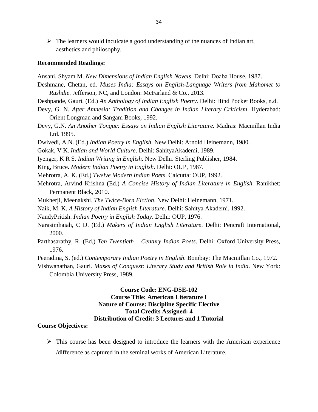$\triangleright$  The learners would inculcate a good understanding of the nuances of Indian art, aesthetics and philosophy.

#### **Recommended Readings:**

- Ansani, Shyam M. *New Dimensions of Indian English Novels*. Delhi: Doaba House, 1987.
- Deshmane, Chetan, ed. *Muses India: Essays on English-Language Writers from Mahomet to Rushdie.* Jefferson, NC, and London: McFarland & Co., 2013.
- Deshpande, Gauri. (Ed.) *An Anthology of Indian English Poetry*. Delhi: Hind Pocket Books, n.d.
- Devy, G. N. *After Amnesia: Tradition and Changes in Indian Literary Criticism*. Hyderabad: Orient Longman and Sangam Books, 1992.
- Devy, G.N. *An Another Tongue: Essays on Indian English Literature.* Madras: Macmillan India Ltd. 1995.
- Dwivedi, A.N. (Ed.) *Indian Poetry in English*. New Delhi: Arnold Heinemann, 1980.
- Gokak, V K. *Indian and World Culture*. Delhi: SahityaAkademi, 1989.
- Iyenger, K R S. *Indian Writing in English*. New Delhi. Sterling Publisher, 1984.
- King, Bruce. *Modern Indian Poetry in English*. Delhi: OUP, 1987.
- Mehrotra, A. K. (Ed.) *Twelve Modern Indian Poets*. Calcutta: OUP, 1992.
- Mehrotra, Arvind Krishna (Ed.) *A Concise History of Indian Literature in English*. Ranikhet: Permanent Black, 2010.
- Mukherji, Meenakshi. *The Twice-Born Fiction*. New Delhi: Heinemann, 1971.
- Naik, M. K. *A History of Indian English Literature*. Delhi: Sahitya Akademi, 1992.
- NandyPritish. *Indian Poetry in English Today*. Delhi: OUP, 1976.
- Narasimhaiah, C D. (Ed.) *Makers of Indian English Literature*. Delhi: Pencraft International, 2000.
- Parthasarathy, R. (Ed.) *Ten Twentieth – Century Indian Poets*. Delhi: Oxford University Press, 1976.
- Peeradina, S. (ed.) *Contemporary Indian Poetry in English*. Bombay: The Macmillan Co., 1972.
- Vishwanathan, Gauri. *Masks of Conquest: Literary Study and British Role in India*. New York: Colombia University Press, 1989.

# **Course Code: ENG-DSE-102 Course Title: American Literature I Nature of Course: Discipline Specific Elective Total Credits Assigned: 4 Distribution of Credit: 3 Lectures and 1 Tutorial**

## **Course Objectives:**

 $\triangleright$  This course has been designed to introduce the learners with the American experience /difference as captured in the seminal works of American Literature.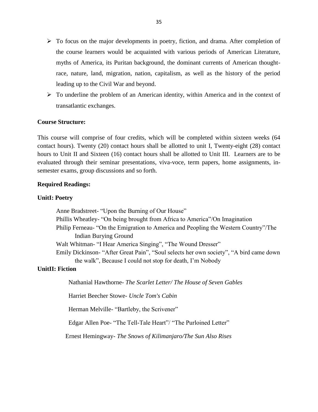- $\triangleright$  To focus on the major developments in poetry, fiction, and drama. After completion of the course learners would be acquainted with various periods of American Literature, myths of America, its Puritan background, the dominant currents of American thoughtrace, nature, land, migration, nation, capitalism, as well as the history of the period leading up to the Civil War and beyond.
- $\triangleright$  To underline the problem of an American identity, within America and in the context of transatlantic exchanges.

#### **Course Structure:**

This course will comprise of four credits, which will be completed within sixteen weeks (64 contact hours). Twenty (20) contact hours shall be allotted to unit I, Twenty-eight (28) contact hours to Unit II and Sixteen (16) contact hours shall be allotted to Unit III. Learners are to be evaluated through their seminar presentations, viva-voce, term papers, home assignments, insemester exams, group discussions and so forth.

#### **Required Readings:**

#### **UnitI: Poetry**

Anne Bradstreet- "Upon the Burning of Our House" Phillis Wheatley- "On being brought from Africa to America"/On Imagination Philip Ferneau- "On the Emigration to America and Peopling the Western Country"/The Indian Burying Ground Walt Whitman- "I Hear America Singing", "The Wound Dresser" Emily Dickinson- "After Great Pain", "Soul selects her own society", "A bird came down the walk", Because I could not stop for death, I'm Nobody

# **UnitII: Fiction**

Nathanial Hawthorne- *The Scarlet Letter/ The House of Seven Gables*

Harriet Beecher Stowe- *Uncle Tom's Cabin*

Herman Melville- "Bartleby, the Scrivener"

Edgar Allen Poe- "The Tell-Tale Heart"/ "The Purloined Letter"

Ernest Hemingway- *The Snows of Kilimanjaro/The Sun Also Rises*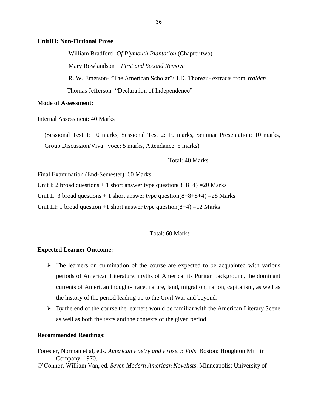#### **UnitIII: Non-Fictional Prose**

William Bradford- *Of Plymouth Plantation* (Chapter two) Mary Rowlandson – *First and Second Remove* R. W. Emerson- "The American Scholar"/H.D. Thoreau- extracts from *Walden* Thomas Jefferson- "Declaration of Independence"

#### **Mode of Assessment:**

Internal Assessment: 40 Marks

(Sessional Test 1: 10 marks, Sessional Test 2: 10 marks, Seminar Presentation: 10 marks, Group Discussion/Viva –voce: 5 marks, Attendance: 5 marks)

Total: 40 Marks

Final Examination (End-Semester): 60 Marks

Unit I: 2 broad questions  $+1$  short answer type question(8+8+4) = 20 Marks

Unit II: 3 broad questions  $+1$  short answer type question(8+8+8+4) = 28 Marks

Unit III: 1 broad question +1 short answer type question( $8+4$ ) =12 Marks

Total: 60 Marks

\_\_\_\_\_\_\_\_\_\_\_\_\_\_\_\_\_\_\_\_\_\_\_\_\_\_\_\_\_\_\_\_\_\_\_\_\_\_\_\_\_\_\_\_\_\_\_\_\_\_\_\_\_\_\_\_\_\_\_\_\_\_\_\_\_\_\_\_\_\_\_\_\_\_\_\_\_\_

#### **Expected Learner Outcome:**

- $\triangleright$  The learners on culmination of the course are expected to be acquainted with various periods of American Literature, myths of America, its Puritan background, the dominant currents of American thought- race, nature, land, migration, nation, capitalism, as well as the history of the period leading up to the Civil War and beyond.
- $\triangleright$  By the end of the course the learners would be familiar with the American Literary Scene as well as both the texts and the contexts of the given period.

#### **Recommended Readings**:

Forester, Norman et al, eds. *American Poetry and Prose. 3 Vols*. Boston: Houghton Mifflin Company, 1970.

O'Connor, William Van, ed. *Seven Modern American Novelists*. Minneapolis: University of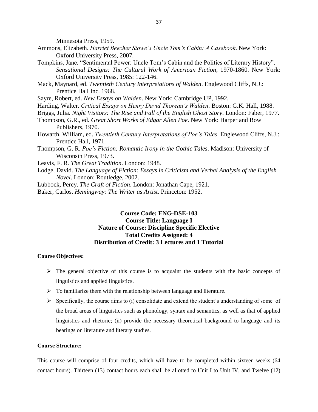Minnesota Press, 1959.

- Ammons, Elizabeth. *Harriet Beecher Stowe's Uncle Tom's Cabin: A Casebook*. New York: Oxford University Press, 2007.
- Tompkins, Jane. "Sentimental Power: Uncle Tom's Cabin and the Politics of Literary History". *Sensational Designs: The Cultural Work of American Fiction*, 1970-1860. New York: Oxford University Press, 1985: 122-146.
- Mack, Maynard, ed. *Twentieth Century Interpretations of Walden*. Englewood Cliffs, N.J.: Prentice Hall Inc. 1968.

Sayre, Robert, ed. *New Essays on Walden*. New York: Cambridge UP, 1992.

- Harding, Walter. *Critical Essays on Henry David Thoreau's Walden*. Boston: G.K. Hall, 1988.
- Briggs, Julia. *Night Visitors: The Rise and Fall of the English Ghost Story*. London: Faber, 1977.
- Thompson, G.R., ed. *Great Short Works of Edgar Allen Poe*. New York: Harper and Row Publishers, 1970.
- Howarth, William, ed. *Twentieth Century Interpretations of Poe's Tales*. Englewood Cliffs, N.J.: Prentice Hall, 1971.
- Thompson, G. R. *Poe's Fiction: Romantic Irony in the Gothic Tales*. Madison: University of Wisconsin Press, 1973.
- Leavis, F. R. *The Great Tradition*. London: 1948.
- Lodge, David. *The Language of Fiction: Essays in Criticism and Verbal Analysis of the English Novel*. London: Routledge, 2002.
- Lubbock, Percy. *The Craft of Fiction*. London: Jonathan Cape, 1921.
- Baker, Carlos. *Hemingway: The Writer as Artist*. Princeton: 1952.

# **Course Code: ENG-DSE-103 Course Title: Language I Nature of Course: Discipline Specific Elective Total Credits Assigned: 4 Distribution of Credit: 3 Lectures and 1 Tutorial**

#### **Course Objectives:**

- $\triangleright$  The general objective of this course is to acquaint the students with the basic concepts of linguistics and applied linguistics.
- $\triangleright$  To familiarize them with the relationship between language and literature.
- $\triangleright$  Specifically, the course aims to (i) consolidate and extend the student's understanding of some of the broad areas of linguistics such as phonology, syntax and semantics, as well as that of applied linguistics and rhetoric; (ii) provide the necessary theoretical background to language and its bearings on literature and literary studies.

#### **Course Structure:**

This course will comprise of four credits, which will have to be completed within sixteen weeks (64 contact hours). Thirteen (13) contact hours each shall be allotted to Unit I to Unit IV, and Twelve (12)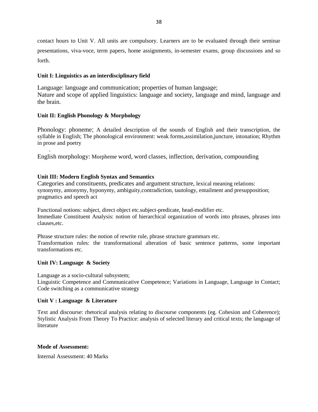contact hours to Unit V. All units are compulsory. Learners are to be evaluated through their seminar presentations, viva-voce, term papers, home assignments, in-semester exams, group discussions and so forth.

#### **Unit I: Linguistics as an interdisciplinary field**

Language: language and communication; properties of human language; Nature and scope of applied linguistics: language and society, language and mind, language and the brain.

### **Unit II: English Phonology & Morphology**

.

Phonology: phoneme; A detailed description of the sounds of English and their transcription, the syllable in English; The phonological environment: weak forms,assimilation,juncture, intonation; Rhythm in prose and poetry

English morphology: Morpheme word, word classes, inflection, derivation, compounding

### **Unit III: Modern English Syntax and Semantics**

Categories and constituents, predicates and argument structure, lexical meaning relations: synonymy, antonymy, hyponymy, ambiguity,contradiction, tautology, entailment and presupposition; pragmatics and speech act

Functional notions: subject, direct object etc.subject-predicate, head-modifier etc. Immediate Constituent Analysis: notion of hierarchical organization of words into phrases, phrases into clauses,etc.

Phrase structure rules: the notion of rewrite rule, phrase structure grammars etc. Transformation rules: the transformational alteration of basic sentence patterns, some important transformations etc.

#### **Unit IV: Language & Society**

Language as a socio-cultural subsystem;

Linguistic Competence and Communicative Competence; Variations in Language, Language in Contact; Code switching as a communicative strategy

#### **Unit V : Language & Literature**

Text and discourse: rhetorical analysis relating to discourse components (eg. Cohesion and Coherence); Stylistic Analysis From Theory To Practice: analysis of selected literary and critical texts; the language of literature

#### **Mode of Assessment:**

Internal Assessment: 40 Marks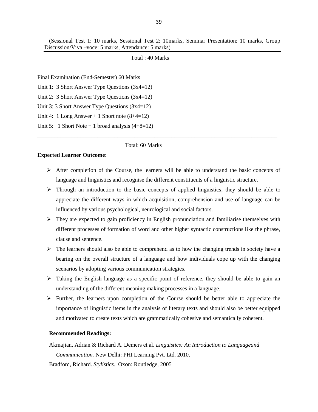Total : 40 Marks

Final Examination (End-Semester) 60 Marks

Unit 1: 3 Short Answer Type Questions (3x4=12)

Unit 2: 3 Short Answer Type Questions (3x4=12)

Unit 3: 3 Short Answer Type Questions (3x4=12)

Unit 4: 1 Long Answer + 1 Short note  $(8+4=12)$ 

Unit 5: 1 Short Note + 1 broad analysis  $(4+8=12)$ 

Total: 60 Marks

#### **Expected Learner Outcome:**

 $\triangleright$  After completion of the Course, the learners will be able to understand the basic concepts of language and linguistics and recognise the different constituents of a linguistic structure.

\_\_\_\_\_\_\_\_\_\_\_\_\_\_\_\_\_\_\_\_\_\_\_\_\_\_\_\_\_\_\_\_\_\_\_\_\_\_\_\_\_\_\_\_\_\_\_\_\_\_\_\_\_\_\_\_\_\_\_\_\_\_\_\_\_\_\_\_\_\_\_\_\_\_\_\_\_\_\_\_\_\_\_\_

- $\triangleright$  Through an introduction to the basic concepts of applied linguistics, they should be able to appreciate the different ways in which acquisition, comprehension and use of language can be influenced by various psychological, neurological and social factors.
- $\triangleright$  They are expected to gain proficiency in English pronunciation and familiarise themselves with different processes of formation of word and other higher syntactic constructions like the phrase, clause and sentence.
- $\triangleright$  The learners should also be able to comprehend as to how the changing trends in society have a bearing on the overall structure of a language and how individuals cope up with the changing scenarios by adopting various communication strategies.
- $\triangleright$  Taking the English language as a specific point of reference, they should be able to gain an understanding of the different meaning making processes in a language.
- $\triangleright$  Further, the learners upon completion of the Course should be better able to appreciate the importance of linguistic items in the analysis of literary texts and should also be better equipped and motivated to create texts which are grammatically cohesive and semantically coherent.

#### **Recommended Readings:**

Akmajian, Adrian & Richard A. Demers et al. *Linguistics: An Introduction to Languageand Communication.* New Delhi: PHI Learning Pvt. Ltd. 2010.

Bradford, Richard. *Stylistics.* Oxon: Routledge, 2005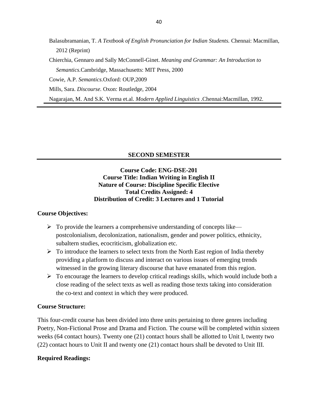Balasubramanian, T. *A Textbook of English Pronunciation for Indian Students.* Chennai: Macmillan, 2012 (Reprint)

Chierchia, Gennaro and Sally McConnell-Ginet. *Meaning and Grammar: An Introduction to Semantics.*Cambridge, Massachusetts: MIT Press, 2000

Cowie, A.P. *Semantics.*Oxford: OUP,2009

Mills, Sara. *Discourse.* Oxon: Routledge, 2004

Nagarajan, M. And S.K. Verma et.al. *Modern Applied Linguistics* .Chennai:Macmillan, 1992.

# **SECOND SEMESTER**

# **Course Code: ENG-DSE-201 Course Title: Indian Writing in English II Nature of Course: Discipline Specific Elective Total Credits Assigned: 4 Distribution of Credit: 3 Lectures and 1 Tutorial**

# **Course Objectives:**

- $\triangleright$  To provide the learners a comprehensive understanding of concepts like postcolonialism, decolonization, nationalism, gender and power politics, ethnicity, subaltern studies, ecocriticism, globalization etc.
- $\triangleright$  To introduce the learners to select texts from the North East region of India thereby providing a platform to discuss and interact on various issues of emerging trends witnessed in the growing literary discourse that have emanated from this region.
- $\triangleright$  To encourage the learners to develop critical readings skills, which would include both a close reading of the select texts as well as reading those texts taking into consideration the co-text and context in which they were produced.

# **Course Structure:**

This four-credit course has been divided into three units pertaining to three genres including Poetry, Non-Fictional Prose and Drama and Fiction. The course will be completed within sixteen weeks (64 contact hours). Twenty one (21) contact hours shall be allotted to Unit I, twenty two (22) contact hours to Unit II and twenty one (21) contact hours shall be devoted to Unit III.

# **Required Readings:**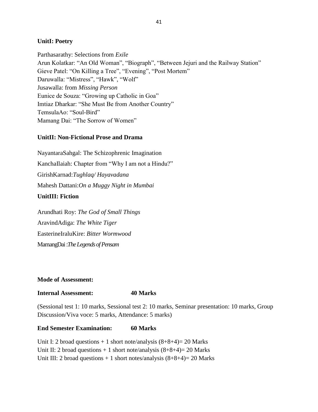# **UnitI: Poetry**

Parthasarathy: Selections from *Exile* Arun Kolatkar: "An Old Woman", "Biograph", "Between Jejuri and the Railway Station" Gieve Patel: "On Killing a Tree", "Evening", "Post Mortem" Daruwalla: "Mistress", "Hawk", "Wolf" Jusawalla: from *Missing Person* Eunice de Souza: "Growing up Catholic in Goa" Imtiaz Dharkar: "She Must Be from Another Country" TemsulaAo: "Soul-Bird" Mamang Dai: "The Sorrow of Women"

# **UnitII: Non-Fictional Prose and Drama**

NayantaraSahgal: The Schizophrenic Imagination KanchaIlaiah: Chapter from "Why I am not a Hindu?" GirishKarnad:*Tughlaq/ Hayavadana* Mahesh Dattani:*On a Muggy Night in Mumbai* **UnitIII: Fiction**

Arundhati Roy: *The God of Small Things* AravindAdiga: *The White Tiger* EasterineIraluKire: *Bitter Wormwood* MamangDai :*The Legends of Pensam*

# **Mode of Assessment:**

# **Internal Assessment: 40 Marks**

(Sessional test 1: 10 marks, Sessional test 2: 10 marks, Seminar presentation: 10 marks, Group Discussion/Viva voce: 5 marks, Attendance: 5 marks)

#### **End Semester Examination: 60 Marks**

Unit I: 2 broad questions  $+1$  short note/analysis  $(8+8+4)=20$  Marks Unit II: 2 broad questions  $+1$  short note/analysis  $(8+8+4)=20$  Marks Unit III: 2 broad questions  $+1$  short notes/analysis  $(8+8+4)=20$  Marks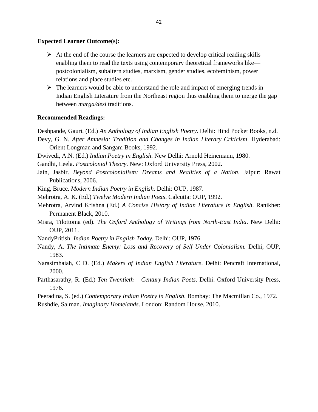### **Expected Learner Outcome(s):**

- $\triangleright$  At the end of the course the learners are expected to develop critical reading skills enabling them to read the texts using contemporary theoretical frameworks like postcolonialism, subaltern studies, marxism, gender studies, ecofeminism, power relations and place studies etc.
- $\triangleright$  The learners would be able to understand the role and impact of emerging trends in Indian English Literature from the Northeast region thus enabling them to merge the gap between *marga/desi* traditions.

#### **Recommended Readings:**

Deshpande, Gauri. (Ed.) *An Anthology of Indian English Poetry*. Delhi: Hind Pocket Books, n.d.

- Devy, G. N. *After Amnesia: Tradition and Changes in Indian Literary Criticism*. Hyderabad: Orient Longman and Sangam Books, 1992.
- Dwivedi, A.N. (Ed.) *Indian Poetry in English*. New Delhi: Arnold Heinemann, 1980.
- Gandhi, Leela. *Postcolonial Theory*. New: Oxford University Press, 2002.
- Jain, Jasbir. *Beyond Postcolonialism: Dreams and Realities of a Nation*. Jaipur: Rawat Publications, 2006.
- King, Bruce. *Modern Indian Poetry in English*. Delhi: OUP, 1987.
- Mehrotra, A. K. (Ed.) *Twelve Modern Indian Poets*. Calcutta: OUP, 1992.
- Mehrotra, Arvind Krishna (Ed.) *A Concise History of Indian Literature in English*. Ranikhet: Permanent Black, 2010.
- Misra, Tilottoma (ed). *The Oxford Anthology of Writings from North-East India*. New Delhi: OUP, 2011.
- NandyPritish. *Indian Poetry in English Today*. Delhi: OUP, 1976.
- Nandy, A. *The Intimate Enemy: Loss and Recovery of Self Under Colonialism.* Delhi, OUP, 1983.
- Narasimhaiah, C D. (Ed.) *Makers of Indian English Literature*. Delhi: Pencraft International, 2000.
- Parthasarathy, R. (Ed.) *Ten Twentieth – Century Indian Poets*. Delhi: Oxford University Press, 1976.
- Peeradina, S. (ed.) *Contemporary Indian Poetry in English*. Bombay: The Macmillan Co., 1972.
- Rushdie, Salman. *Imaginary Homelands*. London: Random House, 2010.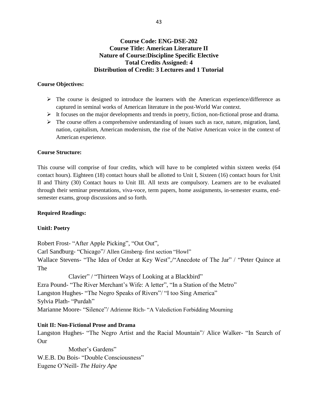# **Course Code: ENG-DSE-202 Course Title: American Literature II Nature of Course:Discipline Specific Elective Total Credits Assigned: 4 Distribution of Credit: 3 Lectures and 1 Tutorial**

### **Course Objectives:**

- $\triangleright$  The course is designed to introduce the learners with the American experience/difference as captured in seminal works of American literature in the post-World War context.
- $\triangleright$  It focuses on the major developments and trends in poetry, fiction, non-fictional prose and drama.
- $\triangleright$  The course offers a comprehensive understanding of issues such as race, nature, migration, land, nation, capitalism, American modernism, the rise of the Native American voice in the context of American experience.

#### **Course Structure:**

This course will comprise of four credits, which will have to be completed within sixteen weeks (64 contact hours). Eighteen (18) contact hours shall be allotted to Unit I, Sixteen (16) contact hours for Unit II and Thirty (30) Contact hours to Unit III. All texts are compulsory. Learners are to be evaluated through their seminar presentations, viva-voce, term papers, home assignments, in-semester exams, endsemester exams, group discussions and so forth.

#### **Required Readings:**

#### **UnitI: Poetry**

Robert Frost- "After Apple Picking", "Out Out", Carl Sandburg- "Chicago"/ Allen Ginsberg- first section "Howl" Wallace Stevens- "The Idea of Order at Key West",/"Anecdote of The Jar" / "Peter Quince at The

Clavier" / "Thirteen Ways of Looking at a Blackbird" Ezra Pound- "The River Merchant's Wife: A letter", "In a Station of the Metro" Langston Hughes- "The Negro Speaks of Rivers"/ "I too Sing America" Sylvia Plath- "Purdah" Marianne Moore- "Silence"/ Adrienne Rich- "A Valediction Forbidding Mourning

# **Unit II: Non-Fictional Prose and Drama**

Langston Hughes- "The Negro Artist and the Racial Mountain"/ Alice Walker- "In Search of Our

Mother's Gardens" W.E.B. Du Bois- "Double Consciousness" Eugene O'Neill- *The Hairy Ape*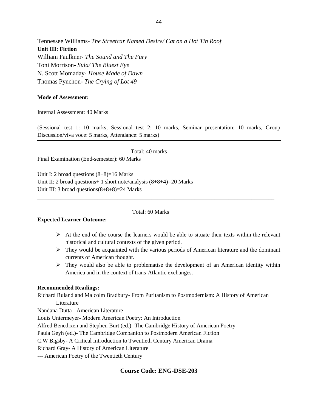Tennessee Williams- *The Streetcar Named Desire/ Cat on a Hot Tin Roof* **Unit III: Fiction** William Faulkner- *The Sound and The Fury* Toni Morrison- *Sula/ The Bluest Eye*  N. Scott Momaday- *House Made of Dawn* Thomas Pynchon- *The Crying of Lot 49*

#### **Mode of Assessment:**

Internal Assessment: 40 Marks

(Sessional test 1: 10 marks, Sessional test 2: 10 marks, Seminar presentation: 10 marks, Group Discussion/viva voce: 5 marks, Attendance: 5 marks)

Total: 40 marks Final Examination (End-semester): 60 Marks

Unit I: 2 broad questions  $(8+8)=16$  Marks Unit II: 2 broad questions + 1 short note/analysis  $(8+8+4)=20$  Marks Unit III: 3 broad questions(8+8+8)=24 Marks

#### Total: 60 Marks

\_\_\_\_\_\_\_\_\_\_\_\_\_\_\_\_\_\_\_\_\_\_\_\_\_\_\_\_\_\_\_\_\_\_\_\_\_\_\_\_\_\_\_\_\_\_\_\_\_\_\_\_\_\_\_\_\_\_\_\_\_\_\_\_\_\_\_\_\_\_\_\_\_\_\_\_\_\_\_\_\_\_\_

#### **Expected Learner Outcome:**

- $\triangleright$  At the end of the course the learners would be able to situate their texts within the relevant historical and cultural contexts of the given period.
- $\triangleright$  They would be acquainted with the various periods of American literature and the dominant currents of American thought.
- $\triangleright$  They would also be able to problematise the development of an American identity within America and in the context of trans-Atlantic exchanges.

#### **Recommended Readings:**

Richard Ruland and Malcolm Bradbury- From Puritanism to Postmodernism: A History of American Literature

Nandana Dutta - American Literature

Louis Untermeyer- Modern American Poetry: An Introduction

Alfred Benedixen and Stephen Burt (ed.)- The Cambridge History of American Poetry

Paula Geyh (ed.)- The Cambridge Companion to Postmodern American Fiction

C.W Bigsby- A Critical Introduction to Twentieth Century American Drama

Richard Gray- A History of American Literature

--- American Poetry of the Twentieth Century

# **Course Code: ENG-DSE-203**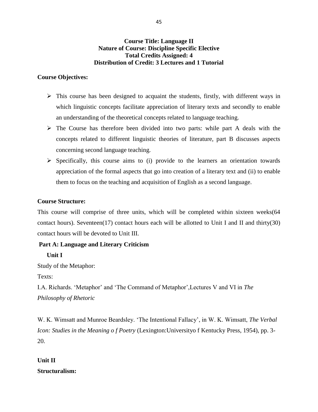# **Course Title: Language II Nature of Course: Discipline Specific Elective Total Credits Assigned: 4 Distribution of Credit: 3 Lectures and 1 Tutorial**

# **Course Objectives:**

- $\triangleright$  This course has been designed to acquaint the students, firstly, with different ways in which linguistic concepts facilitate appreciation of literary texts and secondly to enable an understanding of the theoretical concepts related to language teaching.
- $\triangleright$  The Course has therefore been divided into two parts: while part A deals with the concepts related to different linguistic theories of literature, part B discusses aspects concerning second language teaching.
- $\triangleright$  Specifically, this course aims to (i) provide to the learners an orientation towards appreciation of the formal aspects that go into creation of a literary text and (ii) to enable them to focus on the teaching and acquisition of English as a second language.

# **Course Structure:**

This course will comprise of three units, which will be completed within sixteen weeks(64 contact hours). Seventeen(17) contact hours each will be allotted to Unit I and II and thirty(30) contact hours will be devoted to Unit III.

# **Part A: Language and Literary Criticism**

**Unit I**

Study of the Metaphor:

Texts:

I.A. Richards. 'Metaphor' and 'The Command of Metaphor',Lectures V and VI in *The Philosophy of Rhetoric*

W. K. Wimsatt and Munroe Beardsley. 'The Intentional Fallacy', in W. K. Wimsatt, *The Verbal Icon: Studies in the Meaning o f Poetry* (Lexington:Universityo f Kentucky Press, 1954), pp. 3- 20.

# **Unit II Structuralism:**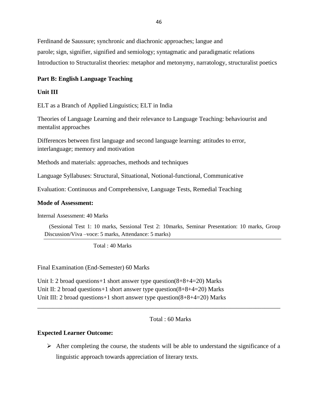Ferdinand de Saussure; synchronic and diachronic approaches; langue and parole; sign, signifier, signified and semiology; syntagmatic and paradigmatic relations Introduction to Structuralist theories: metaphor and metonymy, narratology, structuralist poetics

#### **Part B: English Language Teaching**

### **Unit III**

ELT as a Branch of Applied Linguistics; ELT in India

Theories of Language Learning and their relevance to Language Teaching: behaviourist and mentalist approaches

Differences between first language and second language learning: attitudes to error, interlanguage; memory and motivation

Methods and materials: approaches, methods and techniques

Language Syllabuses: Structural, Situational, Notional-functional, Communicative

Evaluation: Continuous and Comprehensive, Language Tests, Remedial Teaching

#### **Mode of Assessment:**

Internal Assessment: 40 Marks

(Sessional Test 1: 10 marks, Sessional Test 2: 10marks, Seminar Presentation: 10 marks, Group Discussion/Viva –voce: 5 marks, Attendance: 5 marks)

Total : 40 Marks

Final Examination (End-Semester) 60 Marks

Unit I: 2 broad questions+1 short answer type question(8+8+4=20) Marks Unit II: 2 broad questions+1 short answer type question(8+8+4=20) Marks Unit III: 2 broad questions+1 short answer type question(8+8+4=20) Marks

Total : 60 Marks

#### **Expected Learner Outcome:**

 $\triangleright$  After completing the course, the students will be able to understand the significance of a linguistic approach towards appreciation of literary texts.

\_\_\_\_\_\_\_\_\_\_\_\_\_\_\_\_\_\_\_\_\_\_\_\_\_\_\_\_\_\_\_\_\_\_\_\_\_\_\_\_\_\_\_\_\_\_\_\_\_\_\_\_\_\_\_\_\_\_\_\_\_\_\_\_\_\_\_\_\_\_\_\_\_\_\_\_\_\_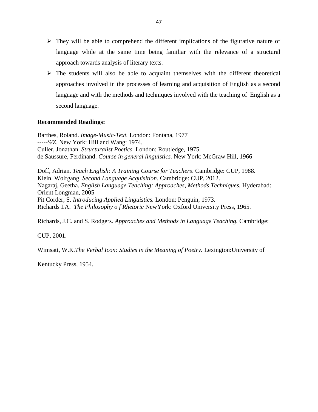- $\triangleright$  They will be able to comprehend the different implications of the figurative nature of language while at the same time being familiar with the relevance of a structural approach towards analysis of literary texts.
- $\triangleright$  The students will also be able to acquaint themselves with the different theoretical approaches involved in the processes of learning and acquisition of English as a second language and with the methods and techniques involved with the teaching of English as a second language.

# **Recommended Readings:**

Barthes, Roland. *Image-Music-Text.* London: Fontana, 1977 -----*S/Z*. New York: Hill and Wang: 1974. Culler, Jonathan. *Structuralist Poetics.* London: Routledge, 1975. de Saussure, Ferdinand. *Course in general linguistics.* New York: McGraw Hill, 1966

Doff, Adrian. *Teach English: A Training Course for Teachers*. Cambridge: CUP, 1988. Klein, Wolfgang. *Second Language Acquisition.* Cambridge: CUP, 2012. Nagaraj, Geetha. *English Language Teaching: Approaches, Methods Techniques.* Hyderabad: Orient Longman, 2005 Pit Corder, S. *Introducing Applied Linguistics.* London: Penguin, 1973. Richards I.A. *The Philosophy o f Rhetoric* NewYork: Oxford University Press, 1965.

Richards, J.C. and S. Rodgers. *Approaches and Methods in Language Teaching.* Cambridge:

CUP, 2001.

Wimsatt, W.K*.The Verbal Icon: Studies in the Meaning of Poetry.* Lexington:University of

Kentucky Press, 1954.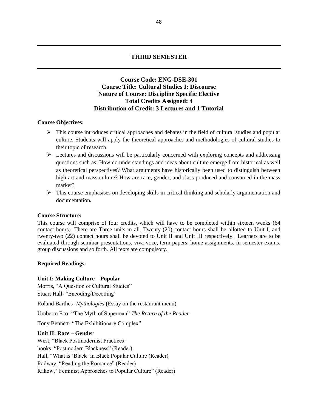#### **THIRD SEMESTER**

# **Course Code: ENG-DSE-301 Course Title: Cultural Studies I: Discourse Nature of Course: Discipline Specific Elective Total Credits Assigned: 4 Distribution of Credit: 3 Lectures and 1 Tutorial**

#### **Course Objectives:**

- $\triangleright$  This course introduces critical approaches and debates in the field of cultural studies and popular culture. Students will apply the theoretical approaches and methodologies of cultural studies to their topic of research.
- $\triangleright$  Lectures and discussions will be particularly concerned with exploring concepts and addressing questions such as: How do understandings and ideas about culture emerge from historical as well as theoretical perspectives? What arguments have historically been used to distinguish between high art and mass culture? How are race, gender, and class produced and consumed in the mass market?
- $\triangleright$  This course emphasises on developing skills in critical thinking and scholarly argumentation and documentation**.**

#### **Course Structure:**

This course will comprise of four credits, which will have to be completed within sixteen weeks (64 contact hours). There are Three units in all. Twenty (20) contact hours shall be allotted to Unit I, and twenty-two (22) contact hours shall be devoted to Unit II and Unit III respectively. Learners are to be evaluated through seminar presentations, viva-voce, term papers, home assignments, in-semester exams, group discussions and so forth. All texts are compulsory.

#### **Required Readings:**

#### **Unit I: Making Culture – Popular**

Morris, "A Question of Cultural Studies" Stuart Hall- "Encoding/Decoding"

Roland Barthes- *Mythologies* (Essay on the restaurant menu)

Umberto Eco- "The Myth of Superman" *The Return of the Reader*

Tony Bennett- "The Exhibitionary Complex"

#### **Unit II: Race – Gender**

West, "Black Postmodernist Practices" hooks, "Postmodern Blackness" (Reader) Hall, "What is 'Black' in Black Popular Culture (Reader) Radway, "Reading the Romance" (Reader) Rakow, "Feminist Approaches to Popular Culture" (Reader)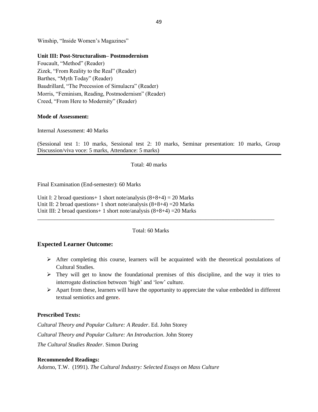Winship, "Inside Women's Magazines"

#### **Unit III: Post-Structuralism– Postmodernism**

Foucault, "Method" (Reader) Zizek, "From Reality to the Real" (Reader) Barthes, "Myth Today" (Reader) Baudrillard, "The Precession of Simulacra" (Reader) Morris, "Feminism, Reading, Postmodernism" (Reader) Creed, "From Here to Modernity" (Reader)

#### **Mode of Assessment:**

Internal Assessment: 40 Marks

(Sessional test 1: 10 marks, Sessional test 2: 10 marks, Seminar presentation: 10 marks, Group Discussion/viva voce: 5 marks, Attendance: 5 marks)

Total: 40 marks

Final Examination (End-semester): 60 Marks

Unit I: 2 broad questions + 1 short note/analysis  $(8+8+4) = 20$  Marks Unit II: 2 broad questions + 1 short note/analysis  $(8+8+4)$  = 20 Marks Unit III: 2 broad questions + 1 short note/analysis  $(8+8+4)$  = 20 Marks

Total: 60 Marks

\_\_\_\_\_\_\_\_\_\_\_\_\_\_\_\_\_\_\_\_\_\_\_\_\_\_\_\_\_\_\_\_\_\_\_\_\_\_\_\_\_\_\_\_\_\_\_\_\_\_\_\_\_\_\_\_\_\_\_\_\_\_\_\_\_\_\_\_\_\_\_\_\_\_\_\_\_\_\_\_\_\_\_

#### **Expected Learner Outcome:**

- $\triangleright$  After completing this course, learners will be acquainted with the theoretical postulations of Cultural Studies.
- $\triangleright$  They will get to know the foundational premises of this discipline, and the way it tries to interrogate distinction between 'high' and 'low' culture.
- $\triangleright$  Apart from these, learners will have the opportunity to appreciate the value embedded in different textual semiotics and genre**.**

#### **Prescribed Texts:**

*Cultural Theory and Popular Culture: A Reader*. Ed. John Storey *Cultural Theory and Popular Culture: An Introduction*. John Storey *The Cultural Studies Reader*. Simon During

#### **Recommended Readings:**

Adorno, T.W. (1991). *The Cultural Industry: Selected Essays on Mass Culture*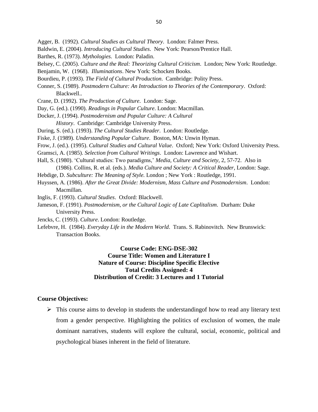- Agger, B. (1992). *Cultural Studies as Cultural Theory*. London: Falmer Press.
- Baldwin, E. (2004). *Introducing Cultural Studies*. New York: Pearson/Prentice Hall.
- Barthes, R. (1973). *Mythologies*. London: Paladin.
- Belsey, C. (2005). *Culture and the Real: Theorizing Cultural Criticism*. London; New York: Routledge.
- Benjamin, W. (1968). *Illuminations*. New York: Schocken Books.
- Bourdieu, P. (1993). *The Field of Cultural Production*. Cambridge: Polity Press.
- Conner, S. (1989). *Postmodern Culture: An Introduction to Theories of the Contemporary*. Oxford: Blackwell..
- Crane, D. (1992). *The Production of Culture*. London: Sage.
- Day, G. (ed.). (1990). *Readings in Popular Culture*. London: Macmillan.
- Docker, J. (1994). *Postmodernism and Popular Culture: A Cultural*
	- *History*. Cambridge: Cambridge University Press.
- During, S. (ed.). (1993). *The Cultural Studies Reader*. London: Routledge.
- Fiske, J. (1989). *Understanding Popular Culture*. Boston, MA: Unwin Hyman.
- Frow, J. (ed.). (1995). *Cultural Studies and Cultural Value*. Oxford; New York: Oxford University Press.
- Gramsci, A. (1985). *Selection from Cultural Writings*. London: Lawrence and Wishart.
- Hall, S. (1980). 'Cultural studies: Two paradigms,' *Media, Culture and Society,* 2, 57-72. Also in (1986). Collins, R. et al. (eds.). *Media Culture and Society: A Critical Reader*, London: Sage.
- Hebdige, D. *Subculture: The Meaning of Style.* London ; New York : Routledge, 1991.
- Huyssen, A. (1986). *After the Great Divide: Modernism, Mass Culture and Postmodernism*. London: Macmillan.
- Inglis, F. (1993). *Cultural Studies*. Oxford: Blackwell.
- Jameson, F. (1991). *Postmodernism, or the Cultural Logic of Late Caplitalism*. Durham: Duke University Press.
- Jencks, C. (1993). *Culture*. London: Routledge.
- Lefebvre, H. (1984). *Everyday Life in the Modern World*. Trans. S. Rabinovitch. New Brunswick: Transaction Books.

# **Course Code: ENG-DSE-302 Course Title: Women and Literature I Nature of Course: Discipline Specific Elective Total Credits Assigned: 4 Distribution of Credit: 3 Lectures and 1 Tutorial**

#### **Course Objectives:**

 $\triangleright$  This course aims to develop in students the understanding f how to read any literary text from a gender perspective. Highlighting the politics of exclusion of women, the male dominant narratives, students will explore the cultural, social, economic, political and psychological biases inherent in the field of literature.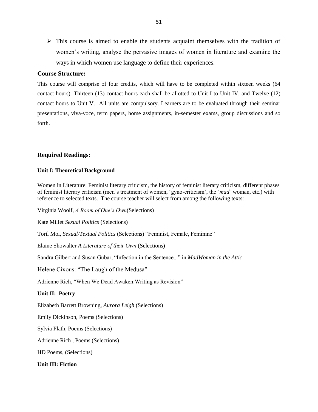$\triangleright$  This course is aimed to enable the students acquaint themselves with the tradition of women's writing, analyse the pervasive images of women in literature and examine the ways in which women use language to define their experiences.

#### **Course Structure:**

This course will comprise of four credits, which will have to be completed within sixteen weeks (64 contact hours). Thirteen (13) contact hours each shall be allotted to Unit I to Unit IV, and Twelve (12) contact hours to Unit V. All units are compulsory. Learners are to be evaluated through their seminar presentations, viva-voce, term papers, home assignments, in-semester exams, group discussions and so forth.

# **Required Readings:**

#### **Unit I: Theoretical Background**

Women in Literature: Feminist literary criticism, the history of feminist literary criticism, different phases of feminist literary criticism (men's treatment of women, 'gyno-criticism', the '*mad'* woman, etc.) with reference to selected texts. The course teacher will select from among the following texts:

Virginia Woolf, *A Room of One's Own*(Selections)

Kate Millet *Sexual Politics* (Selections)

Toril Moi, *Sexual/Textual Politics* (Selections) "Feminist, Female, Feminine"

Elaine Showalter *A Literature of their Own* (Selections)

Sandra Gilbert and Susan Gubar, "Infection in the Sentence..." in *MadWoman in the Attic*

Helene Cixous: "The Laugh of the Medusa"

Adrienne Rich, "When We Dead Awaken:Writing as Revision"

#### **Unit II: Poetry**

Elizabeth Barrett Browning, *Aurora Leigh* (Selections)

Emily Dickinson, Poems (Selections)

Sylvia Plath, Poems (Selections)

Adrienne Rich , Poems (Selections)

HD Poems, (Selections)

#### **Unit III: Fiction**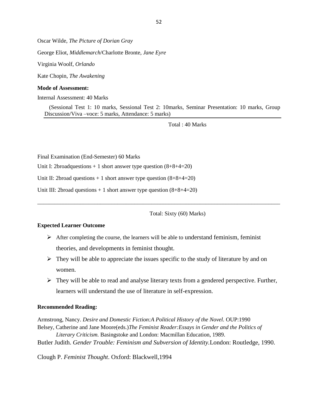Oscar Wilde, *The Picture of Dorian Gray*

George Eliot, *Middlemarch*/Charlotte Bronte, *Jane Eyre*

Virginia Woolf, *Orlando*

Kate Chopin, *The Awakening*

#### **Mode of Assessment:**

Internal Assessment: 40 Marks

(Sessional Test 1: 10 marks, Sessional Test 2: 10marks, Seminar Presentation: 10 marks, Group Discussion/Viva –voce: 5 marks, Attendance: 5 marks)

Total : 40 Marks

Final Examination (End-Semester) 60 Marks

Unit I: 2broadquestions  $+1$  short answer type question  $(8+8+4=20)$ 

Unit II: 2broad questions  $+1$  short answer type question  $(8+8+4=20)$ 

Unit III: 2broad questions + 1 short answer type question (8+8+4=20)

Total: Sixty (60) Marks)

#### **Expected Learner Outcome**

 $\triangleright$  After completing the course, the learners will be able to understand feminism, feminist theories, and developments in feminist thought.

\_\_\_\_\_\_\_\_\_\_\_\_\_\_\_\_\_\_\_\_\_\_\_\_\_\_\_\_\_\_\_\_\_\_\_\_\_\_\_\_\_\_\_\_\_\_\_\_\_\_\_\_\_\_\_\_\_\_\_\_\_\_\_\_\_\_\_\_\_\_\_\_\_\_\_\_\_\_\_\_\_\_\_\_\_

- $\triangleright$  They will be able to appreciate the issues specific to the study of literature by and on women.
- $\triangleright$  They will be able to read and analyse literary texts from a gendered perspective. Further, learners will understand the use of literature in self-expression.

#### **Recommended Reading:**

Armstrong, Nancy. *Desire and Domestic Fiction:A Political History of the Novel.* OUP:1990 Belsey, Catherine and Jane Moore(eds.)*The Feminist Reader:Essays in Gender and the Politics of* 

*Literary Criticism.* Basingstoke and London: Macmillan Education, 1989. Butler Judith. *Gender Trouble: Feminism and Subversion of Identity.*London: Routledge, 1990.

Clough P. *Feminist Thought*. Oxford: Blackwell,1994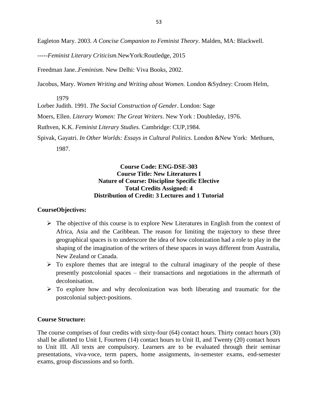Eagleton Mary. 2003. *A Concise Companion to Feminist Theory*. Malden, MA: Blackwell.

-----*Feminist Literary Criticism.*NewYork:Routledge, 2015

Freedman Jane..*Feminism.* New Delhi: Viva Books, 2002.

Jacobus, Mary. *Women Writing and Writing about Women.* London &Sydney: Croom Helm,

1979

Lorber Judith. 1991. *The Social Construction of Gender*. London: Sage

Moers, Ellen. *Literary Women: The Great Writers.* New York : Doubleday, 1976.

Ruthven, K.K. *Feminist Literary Studies.* Cambridge: CUP,1984.

Spivak, Gayatri. *In Other Worlds: Essays in Cultural Politics*. London &New York: Methuen, 1987.

# **Course Code: ENG-DSE-303 Course Title: New Literatures I Nature of Course: Discipline Specific Elective Total Credits Assigned: 4 Distribution of Credit: 3 Lectures and 1 Tutorial**

# **CourseObjectives:**

- $\triangleright$  The objective of this course is to explore New Literatures in English from the context of Africa, Asia and the Caribbean. The reason for limiting the trajectory to these three geographical spaces is to underscore the idea of how colonization had a role to play in the shaping of the imagination of the writers of these spaces in ways different from Australia, New Zealand or Canada.
- $\triangleright$  To explore themes that are integral to the cultural imaginary of the people of these presently postcolonial spaces – their transactions and negotiations in the aftermath of decolonisation.
- $\triangleright$  To explore how and why decolonization was both liberating and traumatic for the postcolonial subject-positions.

# **Course Structure:**

The course comprises of four credits with sixty-four (64) contact hours. Thirty contact hours (30) shall be allotted to Unit I, Fourteen (14) contact hours to Unit II, and Twenty (20) contact hours to Unit III. All texts are compulsory. Learners are to be evaluated through their seminar presentations, viva-voce, term papers, home assignments, in-semester exams, end-semester exams, group discussions and so forth.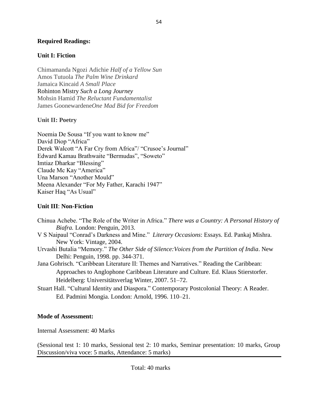# **Required Readings:**

# **Unit I: Fiction**

Chimamanda Ngozi Adichie *Half of a Yellow Sun* Amos Tutuola *The Palm Wine Drinkard* Jamaica Kincaid *A Small Place* Rohinton Mistry *Such a Long Journey* Mohsin Hamid *The Reluctant Fundamentalist* James Goonewardene*One Mad Bid for Freedom*

# **Unit II: Poetry**

Noemia De Sousa "If you want to know me" David Diop "Africa" Derek Walcott "A Far Cry from Africa"/ "Crusoe's Journal" Edward Kamau Brathwaite "Bermudas", "Soweto" Imtiaz Dharkar "Blessing" Claude Mc Kay "America" Una Marson "Another Mould" Meena Alexander "For My Father, Karachi 1947" Kaiser Haq "As Usual"

# **Unit III**: **Non-Fiction**

Chinua Achebe. "The Role of the Writer in Africa." *There was a Country: A Personal History of Biafra.* London: Penguin, 2013. V S Naipaul "Conrad's Darkness and Mine." *Literary Occasions*: Essays. Ed. Pankaj Mishra. New York: Vintage, 2004. Urvashi Butalia "Memory." *The Other Side of Silence:Voices from the Partition of India*. New Delhi: Penguin, 1998. pp. 344-371. Jana Gohrisch. "Caribbean Literature II: Themes and Narratives." Reading the Caribbean: Approaches to Anglophone Caribbean Literature and Culture. Ed. Klaus Stierstorfer. Heidelberg: Universitätsverlag Winter, 2007. 51–72. Stuart Hall. "Cultural Identity and Diaspora." Contemporary Postcolonial Theory: A Reader. Ed. Padmini Mongia. London: Arnold, 1996. 110–21.

# **Mode of Assessment:**

Internal Assessment: 40 Marks

(Sessional test 1: 10 marks, Sessional test 2: 10 marks, Seminar presentation: 10 marks, Group Discussion/viva voce: 5 marks, Attendance: 5 marks)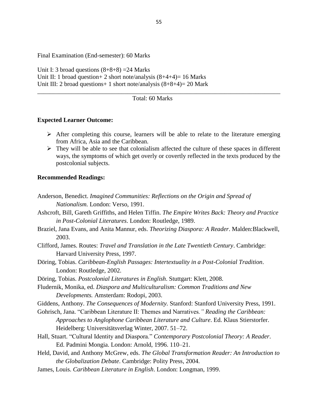Final Examination (End-semester): 60 Marks

Unit I: 3 broad questions  $(8+8+8)$  = 24 Marks Unit II: 1 broad question + 2 short note/analysis  $(8+4+4)= 16$  Marks Unit III: 2 broad questions+ 1 short note/analysis (8+8+4)= 20 Mark

#### Total: 60 Marks

\_\_\_\_\_\_\_\_\_\_\_\_\_\_\_\_\_\_\_\_\_\_\_\_\_\_\_\_\_\_\_\_\_\_\_\_\_\_\_\_\_\_\_\_\_\_\_\_\_\_\_\_\_\_\_\_\_\_\_\_\_\_\_\_\_\_\_\_\_\_\_\_\_\_\_\_\_\_

#### **Expected Learner Outcome:**

- $\triangleright$  After completing this course, learners will be able to relate to the literature emerging from Africa, Asia and the Caribbean.
- $\triangleright$  They will be able to see that colonialism affected the culture of these spaces in different ways, the symptoms of which get overly or covertly reflected in the texts produced by the postcolonial subjects.

#### **Recommended Readings:**

- Anderson, Benedict. *Imagined Communities: Reflections on the Origin and Spread of Nationalism.* London: Verso, 1991.
- Ashcroft, Bill, Gareth Griffiths, and Helen Tiffin. *The Empire Writes Back: Theory and Practice in Post-Colonial Literatures*. London: Routledge, 1989.
- Braziel, Jana Evans, and Anita Mannur, eds. *Theorizing Diaspora: A Reader*. Malden:Blackwell, 2003.
- Clifford, James. Routes: *Travel and Translation in the Late Twentieth Century*. Cambridge: Harvard University Press, 1997.
- Döring, Tobias. *Caribbean-English Passages: Intertextuality in a Post-Colonial Tradition*. London: Routledge, 2002.
- Döring, Tobias. *Postcolonial Literatures in English*. Stuttgart: Klett, 2008.
- Fludernik, Monika, ed. *Diaspora and Multiculturalism: Common Traditions and New Developments.* Amsterdam: Rodopi, 2003.

Giddens, Anthony. *The Consequences of Modernity.* Stanford: Stanford University Press, 1991.

- Gohrisch, Jana. "Caribbean Literature II: Themes and Narratives*." Reading the Caribbean: Approaches to Anglophone Caribbean Literature and Culture*. Ed. Klaus Stierstorfer. Heidelberg: Universitätsverlag Winter, 2007. 51–72.
- Hall, Stuart. "Cultural Identity and Diaspora." *Contemporary Postcolonial Theory: A Reader*. Ed. Padmini Mongia. London: Arnold, 1996. 110–21.
- Held, David, and Anthony McGrew, eds. *The Global Transformation Reader: An Introduction to the Globalization Debate*. Cambridge: Polity Press, 2004.
- James, Louis. *Caribbean Literature in English*. London: Longman, 1999.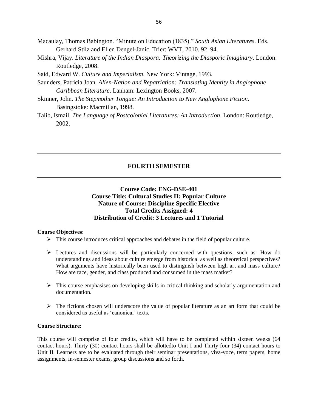- Macaulay, Thomas Babington. "Minute on Education (1835)." *South Asian Literatures*. Eds. Gerhard Stilz and Ellen Dengel-Janic. Trier: WVT, 2010. 92–94.
- Mishra, Vijay. *Literature of the Indian Diaspora: Theorizing the Diasporic Imaginary*. London: Routledge, 2008.

Said, Edward W. *Culture and Imperialism*. New York: Vintage, 1993.

- Saunders, Patricia Joan. *Alien-Nation and Repatriation: Translating Identity in Anglophone Caribbean Literature*. Lanham: Lexington Books, 2007.
- Skinner, John. *The Stepmother Tongue: An Introduction to New Anglophone Fiction*. Basingstoke: Macmillan, 1998.
- Talib, Ismail. *The Language of Postcolonial Literatures: An Introduction*. London: Routledge, 2002.

### **FOURTH SEMESTER**

# **Course Code: ENG-DSE-401 Course Title: Cultural Studies II: Popular Culture Nature of Course: Discipline Specific Elective Total Credits Assigned: 4 Distribution of Credit: 3 Lectures and 1 Tutorial**

#### **Course Objectives:**

- $\triangleright$  This course introduces critical approaches and debates in the field of popular culture.
- $\triangleright$  Lectures and discussions will be particularly concerned with questions, such as: How do understandings and ideas about culture emerge from historical as well as theoretical perspectives? What arguments have historically been used to distinguish between high art and mass culture? How are race, gender, and class produced and consumed in the mass market?
- $\triangleright$  This course emphasises on developing skills in critical thinking and scholarly argumentation and documentation.
- $\triangleright$  The fictions chosen will underscore the value of popular literature as an art form that could be considered as useful as 'canonical' texts.

#### **Course Structure:**

This course will comprise of four credits, which will have to be completed within sixteen weeks (64 contact hours). Thirty (30) contact hours shall be allottedto Unit I and Thirty-four (34) contact hours to Unit II. Learners are to be evaluated through their seminar presentations, viva-voce, term papers, home assignments, in-semester exams, group discussions and so forth.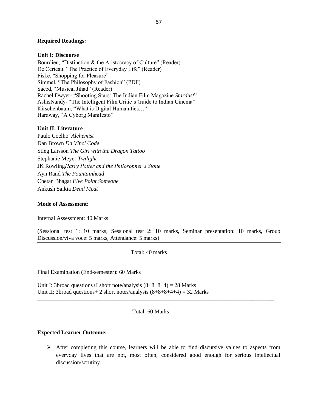#### **Required Readings:**

#### **Unit I: Discourse**

Bourdieu, "Distinction & the Aristocracy of Culture" (Reader) De Certeau, "The Practice of Everyday Life" (Reader) Fiske, "Shopping for Pleasure" Simmel, "The Philosophy of Fashion" (PDF) Saeed, "Musical Jihad" (Reader) Rachel Dwyer- "Shooting Stars: The Indian Film Magazine *Stardust*" AshisNandy- "The Intelligent Film Critic's Guide to Indian Cinema" Kirschenbaum, "What is Digital Humanities…" Haraway, "A Cyborg Manifesto"

#### **Unit II: Literature**

Paulo Coelho *Alchemist* Dan Brown *Da Vinci Code* Stieg Larsson *The Girl with the Dragon Tattoo* Stephanie Meyer *Twilight* JK Rowling*Harry Potter and the Philosopher's Stone* Ayn Rand *The Fountainhead* Chetan Bhagat *Five Point Someone* Ankush Saikia *Dead Meat*

#### **Mode of Assessment:**

Internal Assessment: 40 Marks

(Sessional test 1: 10 marks, Sessional test 2: 10 marks, Seminar presentation: 10 marks, Group Discussion/viva voce: 5 marks, Attendance: 5 marks)

Total: 40 marks

Final Examination (End-semester): 60 Marks

Unit I: 3broad questions+I short note/analysis  $(8+8+8+4) = 28$  Marks Unit II: 3broad questions + 2 short notes/analysis  $(8+8+8+4+4) = 32$  Marks

#### Total: 60 Marks

\_\_\_\_\_\_\_\_\_\_\_\_\_\_\_\_\_\_\_\_\_\_\_\_\_\_\_\_\_\_\_\_\_\_\_\_\_\_\_\_\_\_\_\_\_\_\_\_\_\_\_\_\_\_\_\_\_\_\_\_\_\_\_\_\_\_\_\_\_\_\_\_\_\_\_\_\_\_\_\_\_\_\_

#### **Expected Learner Outcome:**

 $\triangleright$  After completing this course, learners will be able to find discursive values to aspects from everyday lives that are not, most often, considered good enough for serious intellectual discussion/scrutiny.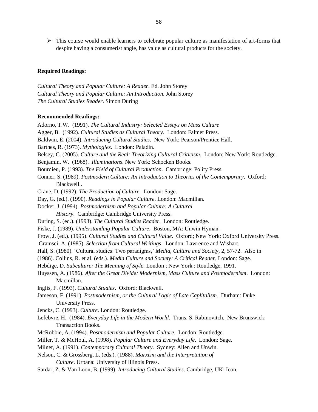$\triangleright$  This course would enable learners to celebrate popular culture as manifestation of art-forms that despite having a consumerist angle, has value as cultural products for the society.

#### **Required Readings:**

*Cultural Theory and Popular Culture: A Reader*. Ed. John Storey *Cultural Theory and Popular Culture: An Introduction*. John Storey *The Cultural Studies Reader*. Simon During

#### **Recommended Readings:**

Adorno, T.W. (1991). *The Cultural Industry: Selected Essays on Mass Culture* Agger, B. (1992). *Cultural Studies as Cultural Theory*. London: Falmer Press. Baldwin, E. (2004). *Introducing Cultural Studies*. New York: Pearson/Prentice Hall. Barthes, R. (1973). *Mythologies*. London: Paladin. Belsey, C. (2005). *Culture and the Real: Theorizing Cultural Criticism*. London; New York: Routledge. Benjamin, W. (1968). *Illuminations*. New York: Schocken Books. Bourdieu, P. (1993). *The Field of Cultural Production*. Cambridge: Polity Press. Conner, S. (1989). *Postmodern Culture: An Introduction to Theories of the Contemporary*. Oxford: Blackwell.. Crane, D. (1992). *The Production of Culture*. London: Sage. Day, G. (ed.). (1990). *Readings in Popular Culture*. London: Macmillan. Docker, J. (1994). *Postmodernism and Popular Culture: A Cultural History*. Cambridge: Cambridge University Press. During, S. (ed.). (1993). *The Cultural Studies Reader*. London: Routledge. Fiske, J. (1989). *Understanding Popular Culture*. Boston, MA: Unwin Hyman. Frow, J. (ed.). (1995). *Cultural Studies and Cultural Value*. Oxford; New York: Oxford University Press. Gramsci, A. (1985). *Selection from Cultural Writings*. London: Lawrence and Wishart. Hall, S. (1980). 'Cultural studies: Two paradigms,' *Media, Culture and Society,* 2, 57-72. Also in (1986). Collins, R. et al. (eds.). *Media Culture and Society: A Critical Reader*, London: Sage. Hebdige, D. *Subculture: The Meaning of Style.* London ; New York : Routledge, 1991. Huyssen, A. (1986). *After the Great Divide: Modernism, Mass Culture and Postmodernism*. London: Macmillan. Inglis, F. (1993). *Cultural Studies*. Oxford: Blackwell. Jameson, F. (1991). *Postmodernism, or the Cultural Logic of Late Caplitalism*. Durham: Duke University Press. Jencks, C. (1993). *Culture*. London: Routledge. Lefebvre, H. (1984). *Everyday Life in the Modern World*. Trans. S. Rabinovitch. New Brunswick: Transaction Books. McRobbie, A. (1994). *Postmodernism and Popular Culture*. London: Routledge. Miller, T. & McHoul, A. (1998). *Popular Culture and Everyday Life*. London: Sage. Milner, A. (1991). *Contemporary Cultural Theory*. Sydney: Allen and Unwin. Nelson, C. & Grossberg, L. (eds.). (1988). *Marxism and the Interpretation of Culture*. Urbana: University of Illinois Press. Sardar, Z. & Van Loon, B. (1999). *Introducing Cultural Studies*. Cambridge, UK: Icon.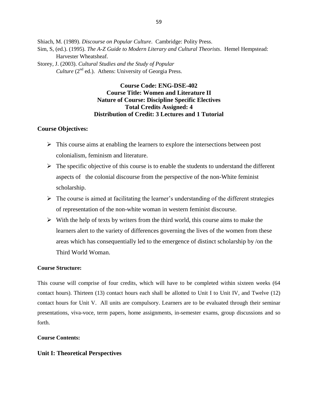Shiach, M. (1989). *Discourse on Popular Culture*. Cambridge: Polity Press.

- Sim, S, (ed.). (1995). *The A-Z Guide to Modern Literary and Cultural Theorists*. Hemel Hempstead: Harvester Wheatsheaf.
- Storey, J. (2003). *Cultural Studies and the Study of Popular Culture* ( $2^{nd}$  ed.). Athens: University of Georgia Press.

# **Course Code: ENG-DSE-402 Course Title: Women and Literature II Nature of Course: Discipline Specific Electives Total Credits Assigned: 4 Distribution of Credit: 3 Lectures and 1 Tutorial**

### **Course Objectives:**

- $\triangleright$  This course aims at enabling the learners to explore the intersections between post colonialism, feminism and literature.
- $\triangleright$  The specific objective of this course is to enable the students to understand the different aspects of the colonial discourse from the perspective of the non-White feminist scholarship.
- $\triangleright$  The course is aimed at facilitating the learner's understanding of the different strategies of representation of the non-white woman in western feminist discourse.
- $\triangleright$  With the help of texts by writers from the third world, this course aims to make the learners alert to the variety of differences governing the lives of the women from these areas which has consequentially led to the emergence of distinct scholarship by /on the Third World Woman.

#### **Course Structure:**

This course will comprise of four credits, which will have to be completed within sixteen weeks (64 contact hours). Thirteen (13) contact hours each shall be allotted to Unit I to Unit IV, and Twelve (12) contact hours for Unit V. All units are compulsory. Learners are to be evaluated through their seminar presentations, viva-voce, term papers, home assignments, in-semester exams, group discussions and so forth.

#### **Course Contents:**

#### **Unit I: Theoretical Perspectives**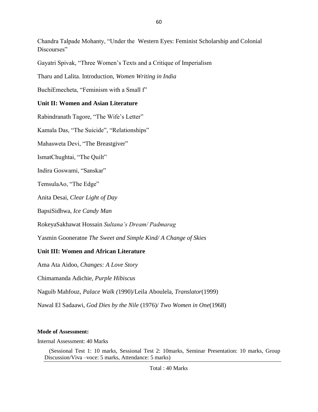Chandra Talpade Mohanty, "Under the Western Eyes: Feminist Scholarship and Colonial Discourses"

Gayatri Spivak, "Three Women's Texts and a Critique of Imperialism

Tharu and Lalita. Introduction, *Women Writing in India*

BuchiEmecheta, "Feminism with a Small f"

# **Unit II: Women and Asian Literature**

Rabindranath Tagore, "The Wife's Letter"

Kamala Das, "The Suicide", "Relationships"

Mahasweta Devi, "The Breastgiver"

IsmatChughtai, "The Quilt"

Indira Goswami, "Sanskar"

TemsulaAo, "The Edge"

Anita Desai, *Clear Light of Day*

BapsiSidhwa, *Ice Candy Man*

RokeyaSakhawat Hossain *Sultana's Dream/ Padmarag*

Yasmin Gooneratne *The Sweet and Simple Kind/ A Change of Skies*

# **Unit III: Women and African Literature**

Ama Ata Aidoo, *Changes: A Love Story*

Chimamanda Adichie, *Purple Hibiscus* 

Naguib Mahfouz, *Palace Walk (*1990)/Leila Aboulela, *Translator*(1999)

Nawal El Sadaawi, *God Dies by the Nile* (1976)/ *Two Women in One*(1968)

# **Mode of Assessment:**

Internal Assessment: 40 Marks

(Sessional Test 1: 10 marks, Sessional Test 2: 10marks, Seminar Presentation: 10 marks, Group Discussion/Viva –voce: 5 marks, Attendance: 5 marks)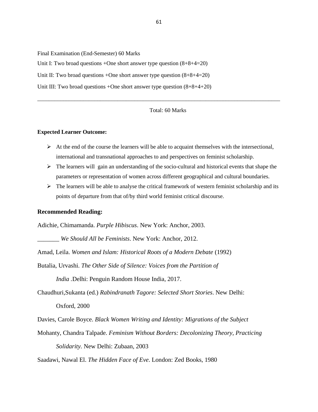Final Examination (End-Semester) 60 Marks Unit I: Two broad questions +One short answer type question  $(8+8+4=20)$ Unit II: Two broad questions +One short answer type question  $(8+8+4=20)$ Unit III: Two broad questions +One short answer type question  $(8+8+4+20)$ 

#### Total: 60 Marks

\_\_\_\_\_\_\_\_\_\_\_\_\_\_\_\_\_\_\_\_\_\_\_\_\_\_\_\_\_\_\_\_\_\_\_\_\_\_\_\_\_\_\_\_\_\_\_\_\_\_\_\_\_\_\_\_\_\_\_\_\_\_\_\_\_\_\_\_\_\_\_\_\_\_\_\_\_\_\_\_\_\_\_\_\_

#### **Expected Learner Outcome:**

- $\triangleright$  At the end of the course the learners will be able to acquaint themselves with the intersectional, international and transnational approaches to and perspectives on feminist scholarship.
- $\triangleright$  The learners will gain an understanding of the socio-cultural and historical events that shape the parameters or representation of women across different geographical and cultural boundaries.
- $\triangleright$  The learners will be able to analyse the critical framework of western feminist scholarship and its points of departure from that of/by third world feminist critical discourse.

#### **Recommended Reading:**

Adichie, Chimamanda. *Purple Hibiscus*. New York: Anchor, 2003.

\_\_\_\_\_\_\_ *We Should All be Feminists*. New York: Anchor, 2012.

Amad, Leila. *Women and Islam: Historical Roots of a Modern Debate* (1992)

Butalia, Urvashi. *The Other Side of Silence: Voices from the Partition of* 

*India .*Delhi: Penguin Random House India, 2017.

Chaudhuri,Sukanta (ed.) *Rabindranath Tagore: Selected Short Stories*. New Delhi: Oxford, 2000

Davies, Carole Boyce. *Black Women Writing and Identity: Migrations of the Subject*

Mohanty, Chandra Talpade. *Feminism Without Borders: Decolonizing Theory, Practicing Solidarity.* New Delhi: Zubaan, 2003

Saadawi, Nawal El. *The Hidden Face of Eve*. London: Zed Books, 1980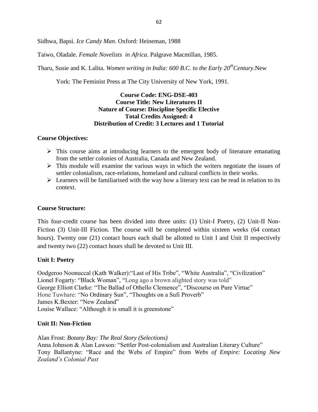Sidhwa, Bapsi. *Ice Candy Man*. Oxford: Heineman, 1988

Taiwo, Oladale. *Female Novelists in Africa*. Palgrave Macmillan, 1985.

Tharu, Susie and K. Lalita. *Women writing in India: 600 B.C. to the Early 20thCentury.*New

York: The Feminist Press at The City University of New York, 1991.

# **Course Code: ENG-DSE-403 Course Title: New Literatures II Nature of Course: Discipline Specific Elective Total Credits Assigned: 4 Distribution of Credit: 3 Lectures and 1 Tutorial**

# **Course Objectives:**

- $\triangleright$  This course aims at introducing learners to the emergent body of literature emanating from the settler colonies of Australia, Canada and New Zealand.
- $\triangleright$  This module will examine the various ways in which the writers negotiate the issues of settler colonialism, race-relations, homeland and cultural conflicts in their works.
- $\triangleright$  Learners will be familiarised with the way how a literary text can be read in relation to its context.

# **Course Structure:**

This four-credit course has been divided into three units: (1) Unit-I Poetry, (2) Unit-II Non-Fiction (3) Unit-III Fiction. The course will be completed within sixteen weeks (64 contact hours). Twenty one (21) contact hours each shall be allotted to Unit I and Unit II respectively and twenty two (22) contact hours shall be devoted to Unit III.

# **Unit I: Poetry**

Oodgeroo Noonuccal (Kath Walker):"Last of His Tribe", "White Australia", "Civilization" Lionel Fogarty: "Black Woman", "Long ago a brown alighted story was told" George Elliott Clarke: "The Ballad of Othello Clemence", "Discourse on Pure Virtue" Hone Tuwhare: "No Ordinary Sun", "Thoughts on a Sufi Proverb" James K.Bexter: "New Zealand" Louise Wallace: "Although it is small it is greenstone"

# **Unit II: Non-Fiction**

Alan Frost: *Botany Bay: The Real Story (Selections)* Anna Johnson & Alan Lawson: "Settler Post-colonialism and Australian Literary Culture" Tony Ballantyne: "Race and the Webs of Empire" from *Webs of Empire: Locating New Zealand's Colonial Past*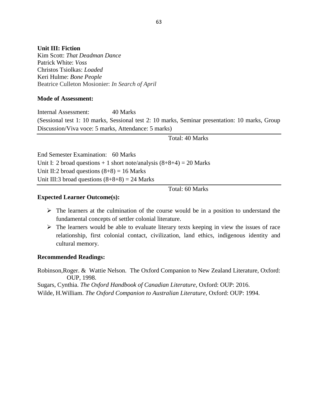### **Unit III: Fiction**

Kim Scott: *That Deadman Dance* Patrick White: *Voss* Christos Tsiolkas: *Loaded*  Keri Hulme: *Bone People* Beatrice Culleton Mosionier: *In Search of April*

#### **Mode of Assessment:**

Internal Assessment: 40 Marks (Sessional test 1: 10 marks, Sessional test 2: 10 marks, Seminar presentation: 10 marks, Group Discussion/Viva voce: 5 marks, Attendance: 5 marks)

Total: 40 Marks

End Semester Examination: 60 Marks Unit I: 2 broad questions  $+ 1$  short note/analysis  $(8+8+4) = 20$  Marks Unit II:2 broad questions  $(8+8) = 16$  Marks Unit III:3 broad questions  $(8+8+8) = 24$  Marks

Total: 60 Marks

### **Expected Learner Outcome(s):**

- $\triangleright$  The learners at the culmination of the course would be in a position to understand the fundamental concepts of settler colonial literature.
- $\triangleright$  The learners would be able to evaluate literary texts keeping in view the issues of race relationship, first colonial contact, civilization, land ethics, indigenous identity and cultural memory.

# **Recommended Readings:**

Robinson,Roger. & Wattie Nelson. The Oxford Companion to New Zealand Literature, Oxford: OUP, 1998. Sugars, Cynthia. *The Oxford Handbook of Canadian Literature*, Oxford: OUP: 2016.

Wilde, H.William. *The Oxford Companion to Australian Literature,* Oxford: OUP: 1994.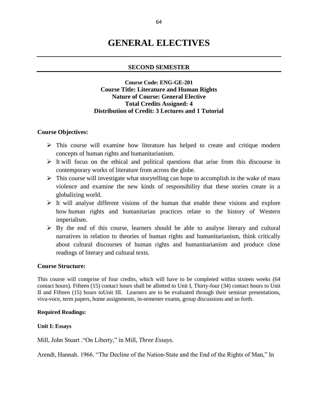# **GENERAL ELECTIVES**

### **SECOND SEMESTER**

# **Course Code: ENG-GE-201 Course Title: Literature and Human Rights Nature of Course: General Elective Total Credits Assigned: 4 Distribution of Credit: 3 Lectures and 1 Tutorial**

#### **Course Objectives:**

- $\triangleright$  This course will examine how literature has helped to create and critique modern concepts of human rights and humanitarianism.
- $\triangleright$  It will focus on the ethical and political questions that arise from this discourse in contemporary works of literature from across the globe.
- $\triangleright$  This course will investigate what storytelling can hope to accomplish in the wake of mass violence and examine the new kinds of responsibility that these stories create in a globalizing world.
- $\triangleright$  It will analyse different visions of the human that enable these visions and explore how human rights and humanitarian practices relate to the history of Western imperialism.
- $\triangleright$  By the end of this course, learners should be able to analyse literary and cultural narratives in relation to theories of human rights and humanitarianism, think critically about cultural discourses of human rights and humanitarianism and produce close readings of literary and cultural texts.

#### **Course Structure:**

This course will comprise of four credits, which will have to be completed within sixteen weeks (64 contact hours). Fifteen (15) contact hours shall be allotted to Unit I, Thirty-four (34) contact hours to Unit II and Fifteen (15) hours toUnit III. Learners are to be evaluated through their seminar presentations, viva-voce, term papers, home assignments, in-semester exams, group discussions and so forth.

#### **Required Readings:**

**Unit I: Essays**

Mill, John Stuart ."On Liberty," in Mill, *Three Essays*.

Arendt, Hannah. 1966. "The Decline of the Nation-State and the End of the Rights of Man," In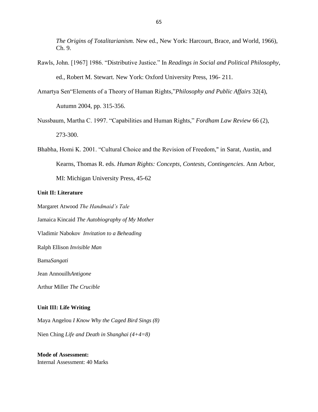*The Origins of Totalitarianism.* New ed., New York: Harcourt, Brace, and World, 1966), Ch. 9.

- Rawls, John. [1967] 1986. "Distributive Justice." In *Readings in Social and Political Philosophy*, ed., Robert M. Stewart. New York: Oxford University Press, 196- 211.
- Amartya Sen"Elements of a Theory of Human Rights,"*Philosophy and Public Affairs* 32(4), Autumn 2004, pp. 315-356.
- Nussbaum, Martha C. 1997. "Capabilities and Human Rights," *Fordham Law Review* 66 (2), 273-300.
- Bhabha, Homi K. 2001. "Cultural Choice and the Revision of Freedom," in Sarat, Austin, and Kearns, Thomas R. eds. *Human Rights: Concepts, Contests, Contingencies*. Ann Arbor, MI: Michigan University Press, 45-62

#### **Unit II: Literature**

Margaret Atwood *The Handmaid's Tale*

Jamaica Kincaid *The Autobiography of My Mother*

Vladimir Nabokov *Invitation to a Beheading*

Ralph Ellison *Invisible Man*

Bama*Sangati*

Jean Annouilh*Antigone*

Arthur Miller *The Crucible*

#### **Unit III: Life Writing**

Maya Angelou *I Know Why the Caged Bird Sings (8)* Nien Ching *Life and Death in Shanghai (4+4=8)*

**Mode of Assessment:** Internal Assessment: 40 Marks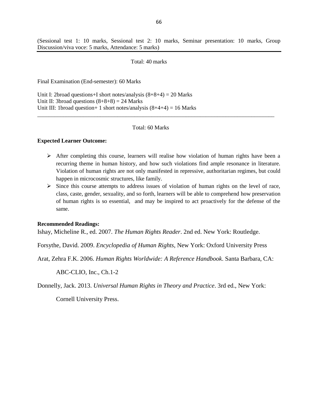(Sessional test 1: 10 marks, Sessional test 2: 10 marks, Seminar presentation: 10 marks, Group Discussion/viva voce: 5 marks, Attendance: 5 marks)

#### Total: 40 marks

Final Examination (End-semester): 60 Marks

Unit I: 2broad questions+I short notes/analysis  $(8+8+4) = 20$  Marks Unit II: 3broad questions  $(8+8+8) = 24$  Marks Unit III: 1broad question + 1 short notes/analysis  $(8+4+4) = 16$  Marks

#### Total: 60 Marks

\_\_\_\_\_\_\_\_\_\_\_\_\_\_\_\_\_\_\_\_\_\_\_\_\_\_\_\_\_\_\_\_\_\_\_\_\_\_\_\_\_\_\_\_\_\_\_\_\_\_\_\_\_\_\_\_\_\_\_\_\_\_\_\_\_\_\_\_\_\_\_\_\_\_\_\_\_\_\_\_\_\_\_

#### **Expected Learner Outcome:**

- $\triangleright$  After completing this course, learners will realise how violation of human rights have been a recurring theme in human history, and how such violations find ample resonance in literature. Violation of human rights are not only manifested in repressive, authoritarian regimes, but could happen in microcosmic structures, like family.
- $\triangleright$  Since this course attempts to address issues of violation of human rights on the level of race, class, caste, gender, sexuality, and so forth, learners will be able to comprehend how preservation of human rights is so essential, and may be inspired to act proactively for the defense of the same.

#### **Recommended Readings:**

Ishay, Micheline R., ed. 2007. *The Human Rights Reader*. 2nd ed. New York: Routledge.

Forsythe, David. 2009. *Encyclopedia of Human Rights*, New York: Oxford University Press

Arat, Zehra F.K. 2006. *Human Rights Worldwide: A Reference Handbook*. Santa Barbara, CA:

ABC-CLIO, Inc., Ch.1-2

Donnelly, Jack. 2013. *Universal Human Rights in Theory and Practice*. 3rd ed., New York:

Cornell University Press.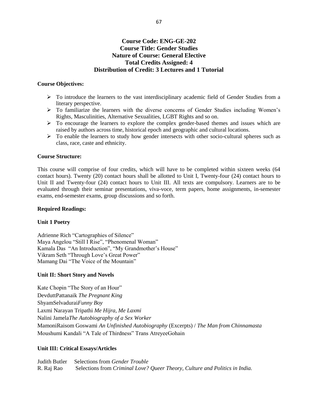# **Course Code: ENG-GE-202 Course Title: Gender Studies Nature of Course: General Elective Total Credits Assigned: 4 Distribution of Credit: 3 Lectures and 1 Tutorial**

#### **Course Objectives:**

- To introduce the learners to the vast interdisciplinary academic field of Gender Studies from a literary perspective.
- $\triangleright$  To familiarize the learners with the diverse concerns of Gender Studies including Women's Rights, Masculinities, Alternative Sexualities, LGBT Rights and so on.
- $\triangleright$  To encourage the learners to explore the complex gender-based themes and issues which are raised by authors across time, historical epoch and geographic and cultural locations.
- $\triangleright$  To enable the learners to study how gender intersects with other socio-cultural spheres such as class, race, caste and ethnicity.

#### **Course Structure:**

This course will comprise of four credits, which will have to be completed within sixteen weeks (64 contact hours). Twenty (20) contact hours shall be allotted to Unit I, Twenty-four (24) contact hours to Unit II and Twenty-four (24) contact hours to Unit III. All texts are compulsory. Learners are to be evaluated through their seminar presentations, viva-voce, term papers, home assignments, in-semester exams, end-semester exams, group discussions and so forth.

#### **Required Readings:**

#### **Unit 1 Poetry**

Adrienne Rich "Cartographies of Silence" Maya Angelou "Still I Rise", "Phenomenal Woman" Kamala Das "An Introduction", "My Grandmother's House" Vikram Seth "Through Love's Great Power" Mamang Dai "The Voice of the Mountain"

#### **Unit II: Short Story and Novels**

Kate Chopin "The Story of an Hour" DevduttPattanaik *The Pregnant King* ShyamSelvadurai*Funny Boy* Laxmi Narayan Tripathi *Me Hijra, Me Laxmi*  Nalini Jamela*The Autobiography of a Sex Worker* MamoniRaisom Goswami *An Unfinished Autobiography* (Excerpts) / *The Man from Chinnamasta* Moushumi Kandali "A Tale of Thirdness" Trans AtreyeeGohain

#### **Unit III: Critical Essays/Articles**

Judith Butler Selections from *Gender Trouble* R. Raj Rao Selections from *Criminal Love? Queer Theory, Culture and Politics in India.*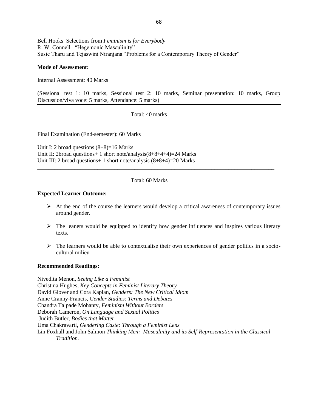Bell Hooks Selections from *Feminism is for Everybody* R. W. Connell "Hegemonic Masculinity" Susie Tharu and Tejaswini Niranjana "Problems for a Contemporary Theory of Gender"

#### **Mode of Assessment:**

Internal Assessment: 40 Marks

(Sessional test 1: 10 marks, Sessional test 2: 10 marks, Seminar presentation: 10 marks, Group Discussion/viva voce: 5 marks, Attendance: 5 marks)

Total: 40 marks

Final Examination (End-semester): 60 Marks

Unit I: 2 broad questions  $(8+8)=16$  Marks Unit II: 2broad questions+ 1 short note/analysis(8+8+4+4)=24 Marks Unit III: 2 broad questions+ 1 short note/analysis (8+8+4)=20 Marks

#### Total: 60 Marks

\_\_\_\_\_\_\_\_\_\_\_\_\_\_\_\_\_\_\_\_\_\_\_\_\_\_\_\_\_\_\_\_\_\_\_\_\_\_\_\_\_\_\_\_\_\_\_\_\_\_\_\_\_\_\_\_\_\_\_\_\_\_\_\_\_\_\_\_\_\_\_\_\_\_\_\_\_\_\_\_\_\_\_

#### **Expected Learner Outcome:**

- $\triangleright$  At the end of the course the learners would develop a critical awareness of contemporary issues around gender.
- $\triangleright$  The leaners would be equipped to identify how gender influences and inspires various literary texts.
- $\triangleright$  The learners would be able to contextualise their own experiences of gender politics in a sociocultural milieu

#### **Recommended Readings:**

Nivedita Menon, *Seeing Like a Feminist* Christina Hughes, *Key Concepts in Feminist Literary Theory* David Glover and Cora Kaplan*, Genders: The New Critical Idiom* Anne Cranny-Francis, *Gender Studies: Terms and Debates* Chandra Talpade Mohanty, *Feminism Without Borders* Deborah Cameron, *On Language and Sexual Politics* Judith Butler, *Bodies that Matter* Uma Chakravarti, *Gendering Caste: Through a Feminist Lens* Lin Foxhall and John Salmon *Thinking Men: Masculinity and its Self-Representation in the Classical Tradition.*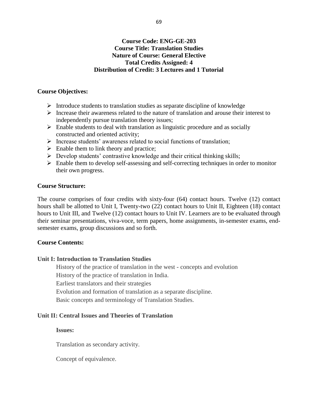# **Course Code: ENG-GE-203 Course Title: Translation Studies Nature of Course: General Elective Total Credits Assigned: 4 Distribution of Credit: 3 Lectures and 1 Tutorial**

# **Course Objectives:**

- $\triangleright$  Introduce students to translation studies as separate discipline of knowledge
- Increase their awareness related to the nature of translation and arouse their interest to independently pursue translation theory issues;
- $\triangleright$  Enable students to deal with translation as linguistic procedure and as socially constructed and oriented activity;
- $\triangleright$  Increase students' awareness related to social functions of translation;
- $\triangleright$  Enable them to link theory and practice;
- $\triangleright$  Develop students' contrastive knowledge and their critical thinking skills;
- $\triangleright$  Enable them to develop self-assessing and self-correcting techniques in order to monitor their own progress.

# **Course Structure:**

The course comprises of four credits with sixty-four (64) contact hours. Twelve (12) contact hours shall be allotted to Unit I, Twenty-two (22) contact hours to Unit II, Eighteen (18) contact hours to Unit III, and Twelve (12) contact hours to Unit IV. Learners are to be evaluated through their seminar presentations, viva-voce, term papers, home assignments, in-semester exams, endsemester exams, group discussions and so forth.

# **Course Contents:**

# **Unit I: Introduction to Translation Studies**

History of the practice of translation in the west - concepts and evolution History of the practice of translation in India. Earliest translators and their strategies Evolution and formation of translation as a separate discipline. Basic concepts and terminology of Translation Studies.

# **Unit II: Central Issues and Theories of Translation**

# **Issues:**

Translation as secondary activity.

Concept of equivalence.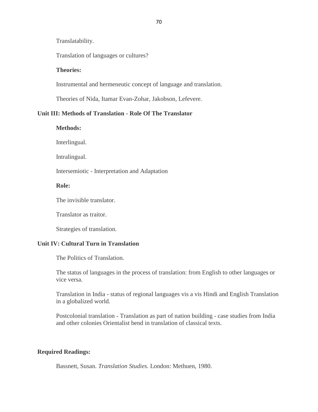Translatability.

Translation of languages or cultures?

### **Theories:**

Instrumental and hermeneutic concept of language and translation.

Theories of Nida, Itamar Evan-Zohar, Jakobson, Lefevere.

### **Unit III: Methods of Translation - Role Of The Translator**

**Methods:**

Interlingual.

Intralingual.

Intersemiotic - Interpretation and Adaptation

### **Role:**

The invisible translator.

Translator as traitor.

Strategies of translation.

### **Unit IV: Cultural Turn in Translation**

The Politics of Translation.

The status of languages in the process of translation: from English to other languages or vice versa.

Translation in India - status of regional languages vis a vis Hindi and English Translation in a globalized world.

Postcolonial translation - Translation as part of nation building - case studies from India and other colonies Orientalist bend in translation of classical texts.

### **Required Readings:**

Bassnett, Susan. *Translation Studies*. London: Methuen, 1980.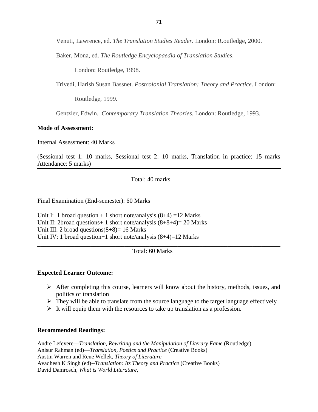Venuti, Lawrence, ed. *The Translation Studies Reader*. London: R.outledge, 2000.

Baker, Mona, ed. *The Routledge Encyclopaedia of Translation Studies*.

London: Routledge, 1998.

Trivedi, Harish Susan Bassnet. *Postcolonial Translation: Theory and Practice*. London:

Routledge, 1999.

Gentzler, Edwin. *Contemporary Translation Theories*. London: Routledge, 1993.

### **Mode of Assessment:**

Internal Assessment: 40 Marks

(Sessional test 1: 10 marks, Sessional test 2: 10 marks, Translation in practice: 15 marks Attendance: 5 marks)

Total: 40 marks

Final Examination (End-semester): 60 Marks

Unit I: 1 broad question  $+ 1$  short note/analysis  $(8+4) = 12$  Marks Unit II: 2broad questions + 1 short note/analysis  $(8+8+4)=20$  Marks Unit III: 2 broad questions $(8+8)=16$  Marks Unit IV: 1 broad question+1 short note/analysis  $(8+4)=12$  Marks

Total: 60 Marks

\_\_\_\_\_\_\_\_\_\_\_\_\_\_\_\_\_\_\_\_\_\_\_\_\_\_\_\_\_\_\_\_\_\_\_\_\_\_\_\_\_\_\_\_\_\_\_\_\_\_\_\_\_\_\_\_\_\_\_\_\_\_\_\_\_\_\_\_\_\_\_\_\_\_\_\_\_\_

# **Expected Learner Outcome:**

- $\triangleright$  After completing this course, learners will know about the history, methods, issues, and politics of translation
- $\triangleright$  They will be able to translate from the source language to the target language effectively
- $\triangleright$  It will equip them with the resources to take up translation as a profession.

#### **Recommended Readings:**

Andre Lefevere—*Translation, Rewriting and the Manipulation of Literary Fame.*(Routledge) Anisur Rahman (ed)—*Translation, Poetics and Practice* (Creative Books) Austin Warren and Rene Wellek, *Theory of Literature* Avadhesh K Singh (ed)--*Translation: Its Theory and Practice* (Creative Books) David Damrosch, *What is World Literature*,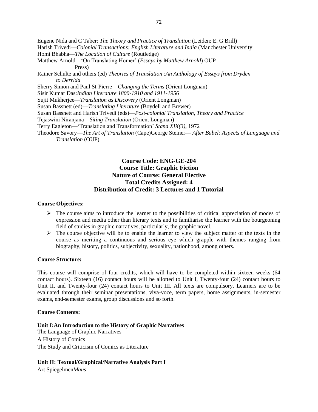Eugene Nida and C Taber: *The Theory and Practice of Translation* (Leiden: E. G Brill) Harish Trivedi—*Colonial Transactions: English Literature and India* (Manchester University Homi Bhabha—*The Location of Culture* (Routledge) Matthew Arnold—'On Translating Homer' (*Essays by Matthew Arnold*) OUP Press) Rainer Schulte and others (ed) *Theories of Translation :An Anthology of Essays from Dryden to Derrida* Sherry Simon and Paul St-Pierre—*Changing the Terms* (Orient Longman) Sisir Kumar Das:*Indian Literature 1800-1910 and 1911-1956* Sujit Mukherjee—*Translation as Discovery* (Orient Longman) Susan Bassnett (ed)—*Translating Literature* (Boydell and Brewer) Susan Bassnett and Harish Trivedi (eds)—*Post-colonial Translation, Theory and Practice*  Tejaswini Niranjana—*Siting Translation* (Orient Longman) Terry Eagleton—'Translation and Transformation' *Stand XIX(3),* 1972 Theodore Savory—*The Art of Translation* (Cape)George Steiner— *After Babel: Aspects of Language and Translation* (OUP)

# **Course Code: ENG-GE-204 Course Title: Graphic Fiction Nature of Course: General Elective Total Credits Assigned: 4 Distribution of Credit: 3 Lectures and 1 Tutorial**

#### **Course Objectives:**

- $\triangleright$  The course aims to introduce the learner to the possibilities of critical appreciation of modes of expression and media other than literary texts and to familiarise the learner with the bourgeoning field of studies in graphic narratives, particularly, the graphic novel.
- $\triangleright$  The course objective will be to enable the learner to view the subject matter of the texts in the course as meriting a continuous and serious eye which grapple with themes ranging from biography, history, politics, subjectivity, sexuality, nationhood, among others.

#### **Course Structure:**

This course will comprise of four credits, which will have to be completed within sixteen weeks (64 contact hours). Sixteen (16) contact hours will be allotted to Unit I, Twenty-four (24) contact hours to Unit II, and Twenty-four (24) contact hours to Unit III. All texts are compulsory. Learners are to be evaluated through their seminar presentations, viva-voce, term papers, home assignments, in-semester exams, end-semester exams, group discussions and so forth.

#### **Course Contents:**

#### **Unit I:An Introduction to the History of Graphic Narratives**

The Language of Graphic Narratives A History of Comics The Study and Criticism of Comics as Literature

#### **Unit II: Textual/Graphical/Narrative Analysis Part I**

Art Spiegelmen*Maus*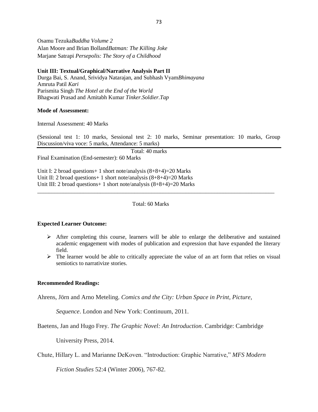Osamu Tezuka*Buddha Volume 2* Alan Moore and Brian Bolland*Batman: The Killing Joke* Marjane Satrapi *Persepolis: The Story of a Childhood*

#### **Unit III: Textual/Graphical/Narrative Analysis Part II**

Durga Bai, S. Anand, Srividya Natarajan, and Subhash Vyam*Bhimayana* Amruta Patil *Kari* Parismita Singh *The Hotel at the End of the World* Bhagwati Prasad and Amitabh Kumar *Tinker.Soldier.Tap*

#### **Mode of Assessment:**

Internal Assessment: 40 Marks

(Sessional test 1: 10 marks, Sessional test 2: 10 marks, Seminar presentation: 10 marks, Group Discussion/viva voce: 5 marks, Attendance: 5 marks)

Total: 40 marks

Final Examination (End-semester): 60 Marks

Unit I: 2 broad questions+ 1 short note/analysis (8+8+4)=20 Marks Unit II: 2 broad questions+ 1 short note/analysis (8+8+4)=20 Marks Unit III: 2 broad questions + 1 short note/analysis  $(8+8+4)=20$  Marks

#### Total: 60 Marks

\_\_\_\_\_\_\_\_\_\_\_\_\_\_\_\_\_\_\_\_\_\_\_\_\_\_\_\_\_\_\_\_\_\_\_\_\_\_\_\_\_\_\_\_\_\_\_\_\_\_\_\_\_\_\_\_\_\_\_\_\_\_\_\_\_\_\_\_\_\_\_\_\_\_\_\_\_\_\_\_\_\_\_

#### **Expected Learner Outcome:**

- $\triangleright$  After completing this course, learners will be able to enlarge the deliberative and sustained academic engagement with modes of publication and expression that have expanded the literary field.
- $\triangleright$  The learner would be able to critically appreciate the value of an art form that relies on visual semiotics to narrativize stories.

#### **Recommended Readings:**

Ahrens, Jörn and Arno Meteling. *Comics and the City: Urban Space in Print, Picture,* 

*Sequence*. London and New York: Continuum, 2011.

Baetens, Jan and Hugo Frey. *The Graphic Novel: An Introduction*. Cambridge: Cambridge

University Press, 2014.

Chute, Hillary L. and Marianne DeKoven. "Introduction: Graphic Narrative," *MFS Modern* 

*Fiction Studies* 52:4 (Winter 2006), 767-82.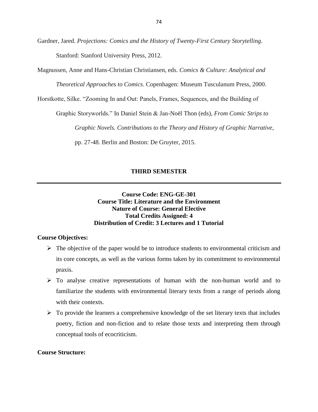Gardner, Jared. *Projections: Comics and the History of Twenty-First Century Storytelling*. Stanford: Stanford University Press, 2012.

Magnussen, Anne and Hans-Christian Christiansen, eds. *Comics & Culture: Analytical and* 

*Theoretical Approaches to Comics*. Copenhagen: Museum Tusculanum Press, 2000.

Horstkotte, Silke. "Zooming In and Out: Panels, Frames, Sequences, and the Building of

Graphic Storyworlds." In Daniel Stein & Jan-Noël Thon (eds), *From Comic Strips to* 

*Graphic Novels. Contributions to the Theory and History of Graphic Narrative*,

pp. 27-48. Berlin and Boston: De Gruyter, 2015.

#### **THIRD SEMESTER**

## **Course Code: ENG-GE-301 Course Title: Literature and the Environment Nature of Course: General Elective Total Credits Assigned: 4 Distribution of Credit: 3 Lectures and 1 Tutorial**

### **Course Objectives:**

- $\triangleright$  The objective of the paper would be to introduce students to environmental criticism and its core concepts, as well as the various forms taken by its commitment to environmental praxis.
- $\triangleright$  To analyse creative representations of human with the non-human world and to familiarize the students with environmental literary texts from a range of periods along with their contexts.
- $\triangleright$  To provide the learners a comprehensive knowledge of the set literary texts that includes poetry, fiction and non-fiction and to relate those texts and interpreting them through conceptual tools of ecocriticism.

### **Course Structure:**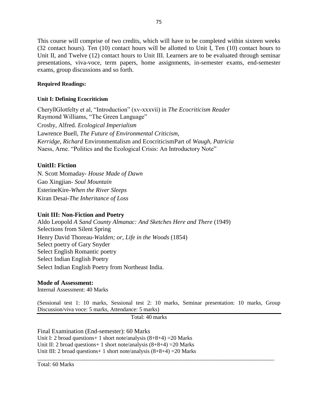This course will comprise of two credits, which will have to be completed within sixteen weeks (32 contact hours). Ten (10) contact hours will be allotted to Unit I, Ten (10) contact hours to Unit II, and Twelve (12) contact hours to Unit III. Learners are to be evaluated through seminar presentations, viva-voce, term papers, home assignments, in-semester exams, end-semester exams, group discussions and so forth.

## **Required Readings:**

## **Unit I: Defining Ecocriticism**

CheryllGlotfelty et al, "Introduction" (xv-xxxvii) in *The Ecocriticism Reader* Raymond Williams, "The Green Language" Crosby, Alfred. *Ecological Imperialism* Lawrence Buell*, The Future of Environmental Criticism*, *Kerridge, Richard* Environmentalism and EcocriticismPart of *Waugh, Patricia* Naess, Arne. "Politics and the Ecological Crisis: An Introductory Note"

## **UnitII: Fiction**

N. Scott Momaday- *House Made of Dawn* Gao Xingjian- *Soul Mountain* EsterineKire-*When the River Sleeps* Kiran Desai*-The Inheritance of Loss*

### **Unit III: Non-Fiction and Poetry**

Aldo Leopold *A Sand County Almanac: And Sketches Here and There* (1949) Selections from Silent Spring Henry David Thoreau-*Walden; or, Life in the Woods* (1854) Select poetry of Gary Snyder Select English Romantic poetry Select Indian English Poetry Select Indian English Poetry from Northeast India.

## **Mode of Assessment:**

Internal Assessment: 40 Marks

(Sessional test 1: 10 marks, Sessional test 2: 10 marks, Seminar presentation: 10 marks, Group Discussion/viva voce: 5 marks, Attendance: 5 marks)

\_\_\_\_\_\_\_\_\_\_\_\_\_\_\_\_\_\_\_\_\_\_\_\_\_\_\_\_\_\_\_\_\_\_\_\_\_\_\_\_\_\_\_\_\_\_\_\_\_\_\_\_\_\_\_\_\_\_\_\_\_\_\_\_\_\_\_\_\_\_\_\_\_\_\_\_\_\_\_\_\_\_\_

Total: 40 marks

Final Examination (End-semester): 60 Marks Unit I: 2 broad questions + 1 short note/analysis  $(8+8+4)$  = 20 Marks Unit II: 2 broad questions + 1 short note/analysis  $(8+8+4)$  = 20 Marks Unit III: 2 broad questions + 1 short note/analysis  $(8+8+4)$  = 20 Marks

Total: 60 Marks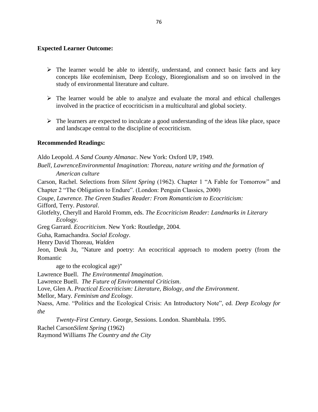### **Expected Learner Outcome:**

- $\triangleright$  The learner would be able to identify, understand, and connect basic facts and key concepts like ecofeminism, Deep Ecology, Bioregionalism and so on involved in the study of environmental literature and culture.
- $\triangleright$  The learner would be able to analyze and evaluate the moral and ethical challenges involved in the practice of ecocriticism in a multicultural and global society.
- $\triangleright$  The learners are expected to inculcate a good understanding of the ideas like place, space and landscape central to the discipline of ecocriticism.

### **Recommended Readings:**

Aldo Leopold. *A Sand County Almanac*. New York: Oxford UP, 1949. *Buell, LawrenceEnvironmental Imagination: Thoreau, nature writing and the formation of American culture* Carson, Rachel. Selections from *Silent Spring* (1962). Chapter 1 "A Fable for Tomorrow" and Chapter 2 "The Obligation to Endure". (London: Penguin Classics, 2000) *Coupe, Lawrence. The Green Studies Reader: From Romanticism to Ecocriticism:*  Gifford, Terry. *Pastoral*. Glotfelty, Cheryll and Harold Fromm, eds. *The Ecocriticism Reader: Landmarks in Literary Ecology*. Greg Garrard. *Ecocriticism*. New York: Routledge, 2004. Guha, Ramachandra. *Social Ecology*. Henry David Thoreau, *Walden*  Jeon, Deuk Ju, "Nature and poetry: An ecocritical approach to modern poetry (from the Romantic age to the ecological age)" Lawrence Buell. *The Environmental Imagination*. Lawrence Buell. *The Future of Environmental Criticism*. Love, Glen A. *Practical Ecocriticism: Literature, Biology, and the Environment*. Mellor, Mary*. Feminism and Ecology.* Naess, Arne. "Politics and the Ecological Crisis: An Introductory Note", ed. *Deep Ecology for the Twenty-First Century*. George, Sessions. London. Shambhala. 1995. Rachel Carson*Silent Spring* (1962)

Raymond Williams *The Country and the City*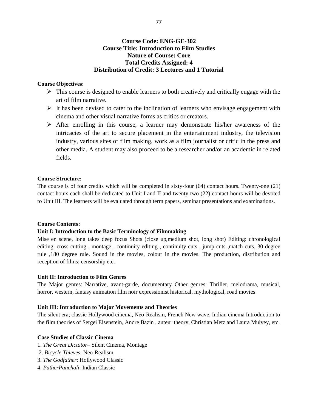## **Course Code: ENG-GE-302 Course Title: Introduction to Film Studies Nature of Course: Core Total Credits Assigned: 4 Distribution of Credit: 3 Lectures and 1 Tutorial**

#### **Course Objectives:**

- $\triangleright$  This course is designed to enable learners to both creatively and critically engage with the art of film narrative.
- $\triangleright$  It has been devised to cater to the inclination of learners who envisage engagement with cinema and other visual narrative forms as critics or creators.
- $\triangleright$  After enrolling in this course, a learner may demonstrate his/her awareness of the intricacies of the art to secure placement in the entertainment industry, the television industry, various sites of film making, work as a film journalist or critic in the press and other media. A student may also proceed to be a researcher and/or an academic in related fields.

#### **Course Structure:**

The course is of four credits which will be completed in sixty-four (64) contact hours. Twenty-one (21) contact hours each shall be dedicated to Unit I and II and twenty-two (22) contact hours will be devoted to Unit III. The learners will be evaluated through term papers, seminar presentations and examinations.

#### **Course Contents:**

### **Unit I: Introduction to the Basic Terminology of Filmmaking**

Mise en scene, long takes deep focus Shots (close up,medium shot, long shot) Editing: chronological editing, cross cutting, montage, continuity editing, continuity cuts, jump cuts, match cuts, 30 degree rule ,180 degree rule. Sound in the movies, colour in the movies. The production, distribution and reception of films; censorship etc.

#### **Unit II: Introduction to Film Genres**

The Major genres: Narrative, avant-garde, documentary Other genres: Thriller, melodrama, musical, horror, western, fantasy animation film noir expressionist historical, mythological, road movies

#### **Unit III: Introduction to Major Movements and Theories**

The silent era; classic Hollywood cinema, Neo-Realism, French New wave, Indian cinema Introduction to the film theories of Sergei Eisenstein, Andre Bazin , auteur theory, Christian Metz and Laura Mulvey, etc.

#### **Case Studies of Classic Cinema**

- 1. *The Great Dictator* Silent Cinema, Montage
- 2. *Bicycle Thieves*: Neo-Realism
- 3. *The Godfather*: Hollywood Classic
- 4. *PatherPanchali*: Indian Classic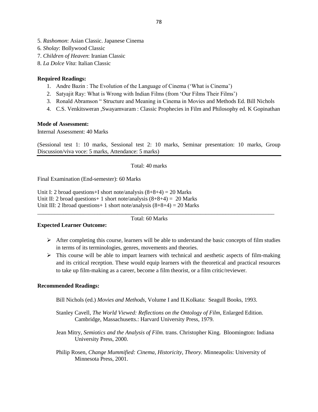- 5. *Rashomon*: Asian Classic. Japanese Cinema
- 6*. Sholay*: Bollywood Classic
- 7. *Children of Heaven*: Iranian Classic
- 8. *La Dolce Vita*: Italian Classic

## **Required Readings:**

- 1. Andre Bazin : The Evolution of the Language of Cinema ('What is Cinema')
- 2. Satyajit Ray: What is Wrong with Indian Films (from 'Our Films Their Films')
- 3. Ronald Abramson " Structure and Meaning in Cinema in Movies and Methods Ed. Bill Nichols
- 4. C.S. Venkitsweran ,Swayamvaram : Classic Prophecies in Film and Philosophy ed. K Gopinathan

## **Mode of Assessment:**

Internal Assessment: 40 Marks

(Sessional test 1: 10 marks, Sessional test 2: 10 marks, Seminar presentation: 10 marks, Group Discussion/viva voce: 5 marks, Attendance: 5 marks)

### Total: 40 marks

Final Examination (End-semester): 60 Marks

Unit I: 2 broad questions + I short note/analysis  $(8+8+4) = 20$  Marks Unit II: 2 broad questions + 1 short note/analysis  $(8+8+4) = 20$  Marks Unit III: 2 lbroad questions + 1 short note/analysis  $(8+8+4) = 20$  Marks

Total: 60 Marks

\_\_\_\_\_\_\_\_\_\_\_\_\_\_\_\_\_\_\_\_\_\_\_\_\_\_\_\_\_\_\_\_\_\_\_\_\_\_\_\_\_\_\_\_\_\_\_\_\_\_\_\_\_\_\_\_\_\_\_\_\_\_\_\_\_\_\_\_\_\_\_\_\_\_\_\_\_\_\_\_\_\_\_

### **Expected Learner Outcome:**

- $\triangleright$  After completing this course, learners will be able to understand the basic concepts of film studies in terms of its terminologies, genres, movements and theories.
- $\triangleright$  This course will be able to impart learners with technical and aesthetic aspects of film-making and its critical reception. These would equip learners with the theoretical and practical resources to take up film-making as a career, become a film theorist, or a film critic/reviewer.

### **Recommended Readings:**

Bill Nichols (ed.) *Movies and Methods,* Volume I and II*.*Kolkata: Seagull Books, 1993.

- Stanley Cavell, *The World Viewed: Reflections on the Ontology of Film*, Enlarged Edition. Cambridge, Massachusetts.: Harvard University Press, 1979.
- Jean Mitry, *Semiotics and the Analysis of Film.* trans. Christopher King. Bloomington: Indiana University Press, 2000.
- Philip Rosen, *Change Mummified: Cinema, Historicity, Theory.* Minneapolis: University of Minnesota Press, 2001.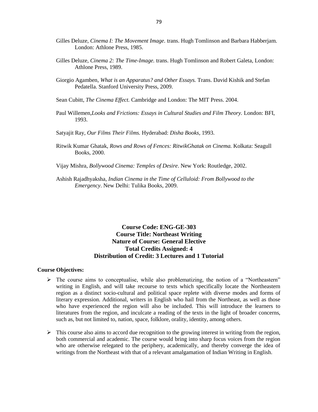- Gilles Deluze, *Cinema I: The Movement Image.* trans. Hugh Tomlinson and Barbara Habberjam. London: Athlone Press, 1985.
- Gilles Deluze, *Cinema 2: The Time-Image.* trans. Hugh Tomlinson and Robert Galeta, London: Athlone Press, 1989.
- Giorgio Agamben*, What is an Apparatus? and Other Essays.* Trans. David Kishik and Stefan Pedatella. Stanford University Press, 2009.
- Sean Cubitt, *The Cinema Effect.* Cambridge and London: The MIT Press. 2004.
- Paul Willemen,*Looks and Frictions: Essays in Cultural Studies and Film Theory.* London: BFI, 1993.
- Satyajit Ray, *Our Films Their Films.* Hyderabad: *Disha Books*, 1993.
- Ritwik Kumar Ghatak, *Rows and Rows of Fences: RitwikGhatak on Cinema.* Kolkata: Seagull Books, 2000.
- Vijay Mishra*, Bollywood Cinema: Temples of Desire*. New York: Routledge, 2002.
- Ashish Rajadhyaksha, *Indian Cinema in the Time of Celluloid: From Bollywood to the Emergency*. New Delhi: Tulika Books, 2009.

## **Course Code: ENG-GE-303 Course Title: Northeast Writing Nature of Course: General Elective Total Credits Assigned: 4 Distribution of Credit: 3 Lectures and 1 Tutorial**

#### **Course Objectives:**

- $\triangleright$  The course aims to conceptualise, while also problematizing, the notion of a "Northeastern" writing in English, and will take recourse to texts which specifically locate the Northeastern region as a distinct socio-cultural and political space replete with diverse modes and forms of literary expression. Additional, writers in English who hail from the Northeast, as well as those who have experienced the region will also be included. This will introduce the learners to literatures from the region, and inculcate a reading of the texts in the light of broader concerns, such as, but not limited to, nation, space, folklore, orality, identity, among others.
- $\triangleright$  This course also aims to accord due recognition to the growing interest in writing from the region, both commercial and academic. The course would bring into sharp focus voices from the region who are otherwise relegated to the periphery, academically, and thereby converge the idea of writings from the Northeast with that of a relevant amalgamation of Indian Writing in English.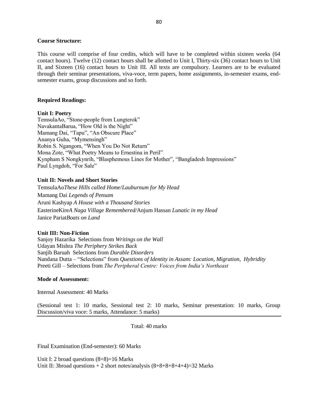#### **Course Structure:**

This course will comprise of four credits, which will have to be completed within sixteen weeks (64 contact hours). Twelve (12) contact hours shall be allotted to Unit I, Thirty-six (36) contact hours to Unit II, and Sixteen (16) contact hours to Unit III. All texts are compulsory. Learners are to be evaluated through their seminar presentations, viva-voce, term papers, home assignments, in-semester exams, endsemester exams, group discussions and so forth.

#### **Required Readings:**

#### **Unit I: Poetry**

TemsulaAo, "Stone-people from Lungterok" NavakantaBarua, "How Old is the Night" Mamang Dai, "Tapu", "An Obscure Place" Ananya Guha, "Mymensingh" Robin S. Ngangom, "When You Do Not Return" Mona Zote, "What Poetry Means to Ernestina in Peril" Kynpham S Nongkynrih, "Blasphemous Lines for Mother", "Bangladesh Impressions" Paul Lyngdoh, "For Sale"

#### **Unit II: Novels and Short Stories**

TemsulaAo*These Hills called Home*/*Lauburnum for My Head* Mamang Dai *Legends of Pensam* Aruni Kashyap *A House with a Thousand Stories* EasterineKire*A Naga Village Remembered/*Anjum Hassan *Lunatic in my Head* Janice Pariat*Boats on Land*

#### **Unit III: Non-Fiction**

Sanjoy Hazarika Selections from *Writings on the Wall* Udayan Mishra *The Periphery Strikes Back* Sanjib Baruah Selections from *Durable Disorders* Nandana Dutta – "Selections" from *Questions of Identity in Assam: Location, Migration, Hybridity* Preeti Gill – Selections from *The Peripheral Centre: Voices from India's Northeast*

#### **Mode of Assessment:**

Internal Assessment: 40 Marks

(Sessional test 1: 10 marks, Sessional test 2: 10 marks, Seminar presentation: 10 marks, Group Discussion/viva voce: 5 marks, Attendance: 5 marks)

Total: 40 marks

Final Examination (End-semester): 60 Marks

Unit I: 2 broad questions (8+8)=16 Marks Unit II: 3broad questions  $+ 2$  short notes/analysis  $(8+8+8+8+4+4)=32$  Marks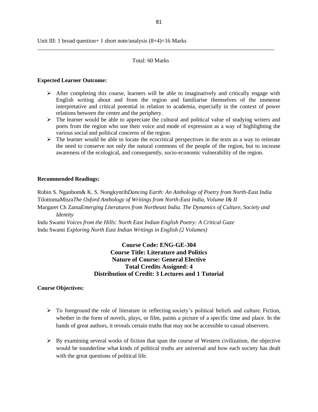#### Total: 60 Marks

\_\_\_\_\_\_\_\_\_\_\_\_\_\_\_\_\_\_\_\_\_\_\_\_\_\_\_\_\_\_\_\_\_\_\_\_\_\_\_\_\_\_\_\_\_\_\_\_\_\_\_\_\_\_\_\_\_\_\_\_\_\_\_\_\_\_\_\_\_\_\_\_\_\_\_\_\_\_\_\_\_\_\_

#### **Expected Learner Outcome:**

- $\triangleright$  After completing this course, learners will be able to imaginatively and critically engage with English writing about and from the region and familiarise themselves of the immense interpretative and critical potential in relation to academia, especially in the context of power relations between the centre and the periphery.
- $\triangleright$  The learner would be able to appreciate the cultural and political value of studying writers and poets from the region who use their voice and mode of expression as a way of highlighting the various social and political concerns of the region.
- $\triangleright$  The learner would be able to locate the ecocritical perspectives in the texts as a way to reiterate the need to conserve not only the natural commons of the people of the region, but to increase awareness of the ecological, and consequently, socio-economic vulnerability of the region.

#### **Recommended Readings:**

Robin S. Nganbom& K. S. Nongkynrih*Dancing Earth: An Anthology of Poetry from North-East India* TilottomaMisra*The Oxford Anthology of Writings from North-East India, Volume I& II* Margaret Ch Zama*Emerging Literatures from Northeast India. The Dynamics of Culture, Society and Identity*

Indu Swami *Voices from the Hills: North East Indian English Poetry: A Critical Gaze* Indu Swami *Exploring North East Indian Writings in English (2 Volumes)*

> **Course Code: ENG-GE-304 Course Title: Literature and Politics Nature of Course: General Elective Total Credits Assigned: 4 Distribution of Credit: 3 Lectures and 1 Tutorial**

#### **Course Objectives:**

- $\triangleright$  To foreground the role of literature in reflecting society's political beliefs and culture. Fiction, whether in the form of novels, plays, or film, paints a picture of a specific time and place. In the hands of great authors, it reveals certain truths that may not be accessible to casual observers.
- $\triangleright$  By examining several works of fiction that span the course of Western civilization, the objective would be tounderline what kinds of political truths are universal and how each society has dealt with the great questions of political life.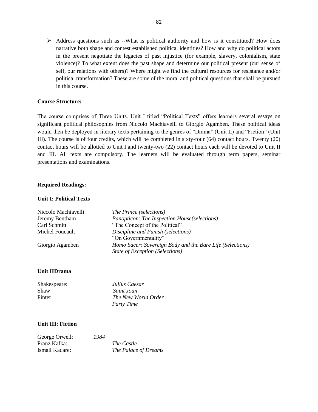$\triangleright$  Address questions such as --What is political authority and how is it constituted? How does narrative both shape and contest established political identities? How and why do political actors in the present negotiate the legacies of past injustice (for example, slavery, colonialism, state violence)? To what extent does the past shape and determine our political present (our sense of self, our relations with others)? Where might we find the cultural resources for resistance and/or political transformation? These are some of the moral and political questions that shall be pursued in this course.

### **Course Structure:**

The course comprises of Three Units. Unit I titled "Political Texts" offers learners several essays on significant political philosophies from Niccolo Machiavelli to Giorgio Agamben. These political ideas would then be deployed in literary texts pertaining to the genres of "Drama" (Unit II) and "Fiction" (Unit III). The course is of four credits, which will be completed in sixty-four (64) contact hours. Twenty (20) contact hours will be allotted to Unit I and twenty-two (22) contact hours each will be devoted to Unit II and III. All texts are compulsory. The learners will be evaluated through term papers, seminar presentations and examinations.

#### **Required Readings:**

#### **Unit I: Political Texts**

| Niccolo Machiavelli | <i>The Prince (selections)</i>                            |
|---------------------|-----------------------------------------------------------|
| Jeremy Bentham      | Panopticon: The Inspection House(selections)              |
| Carl Schmitt        | "The Concept of the Political"                            |
| Michel Foucault     | Discipline and Punish (selections)                        |
|                     | "On Governmentality"                                      |
| Giorgio Agamben     | Homo Sacer: Sovereign Body and the Bare Life (Selections) |
|                     | State of Exception (Selections)                           |

#### **Unit IIDrama**

| Shakespeare: | Julius Caesar       |
|--------------|---------------------|
| Shaw         | Saint Joan          |
| Pinter       | The New World Order |
|              | <b>Party Time</b>   |

#### **Unit III: Fiction**

| George Orwell: | 1984 |                      |
|----------------|------|----------------------|
| Franz Kafka:   |      | The Castle           |
| Ismail Kadare: |      | The Palace of Dreams |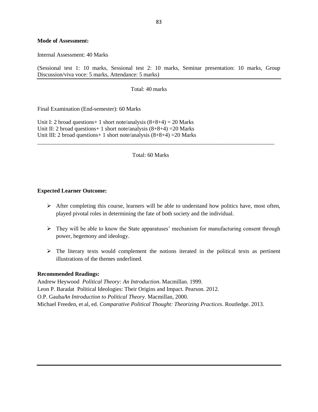#### **Mode of Assessment:**

Internal Assessment: 40 Marks

(Sessional test 1: 10 marks, Sessional test 2: 10 marks, Seminar presentation: 10 marks, Group Discussion/viva voce: 5 marks, Attendance: 5 marks)

Total: 40 marks

Final Examination (End-semester): 60 Marks

Unit I: 2 broad questions + 1 short note/analysis  $(8+8+4) = 20$  Marks Unit II: 2 broad questions + 1 short note/analysis  $(8+8+4)$  = 20 Marks Unit III: 2 broad questions + 1 short note/analysis  $(8+8+4)$  = 20 Marks

Total: 60 Marks

\_\_\_\_\_\_\_\_\_\_\_\_\_\_\_\_\_\_\_\_\_\_\_\_\_\_\_\_\_\_\_\_\_\_\_\_\_\_\_\_\_\_\_\_\_\_\_\_\_\_\_\_\_\_\_\_\_\_\_\_\_\_\_\_\_\_\_\_\_\_\_\_\_\_\_\_\_\_\_\_\_\_\_

#### **Expected Learner Outcome:**

- $\triangleright$  After completing this course, learners will be able to understand how politics have, most often, played pivotal roles in determining the fate of both society and the individual.
- $\triangleright$  They will be able to know the State apparatuses' mechanism for manufacturing consent through power, hegemony and ideology.
- $\triangleright$  The literary texts would complement the notions iterated in the political texts as pertinent illustrations of the themes underlined.

#### **Recommended Readings:**

Andrew Heywood *Political Theory: An Introduction*. Macmillan. 1999. Leon P. Baradat Political Ideologies: Their Origins and Impact. Pearson. 2012. O.P. Gauba*An Introduction to Political Theory*. Macmillan, 2000. Michael Freeden, et al, ed. *Comparative Political Thought: Theorizing Practices*. Routledge. 2013.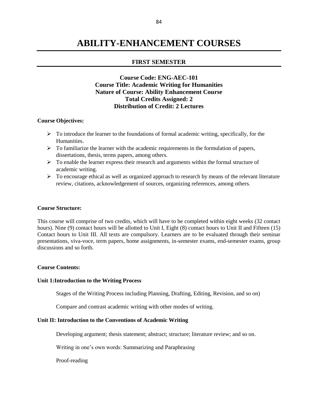# **ABILITY-ENHANCEMENT COURSES**

#### **FIRST SEMESTER**

## **Course Code: ENG-AEC-101 Course Title: Academic Writing for Humanities Nature of Course: Ability Enhancement Course Total Credits Assigned: 2 Distribution of Credit: 2 Lectures**

#### **Course Objectives:**

- $\triangleright$  To introduce the learner to the foundations of formal academic writing, specifically, for the Humanities.
- $\triangleright$  To familiarize the learner with the academic requirements in the formulation of papers, dissertations, thesis, terms papers, among others.
- $\triangleright$  To enable the learner express their research and arguments within the formal structure of academic writing.
- $\triangleright$  To encourage ethical as well as organized approach to research by means of the relevant literature review, citations, acknowledgement of sources, organizing references, among others.

#### **Course Structure:**

This course will comprise of two credits, which will have to be completed within eight weeks (32 contact hours). Nine (9) contact hours will be allotted to Unit I, Eight (8) contact hours to Unit II and Fifteen (15) Contact hours to Unit III. All texts are compulsory. Learners are to be evaluated through their seminar presentations, viva-voce, term papers, home assignments, in-semester exams, end-semester exams, group discussions and so forth.

#### **Course Contents:**

#### **Unit 1:Introduction to the Writing Process**

Stages of the Writing Process including Planning, Drafting, Editing, Revision, and so on)

Compare and contrast academic writing with other modes of writing.

#### **Unit II: Introduction to the Conventions of Academic Writing**

Developing argument; thesis statement; abstract; structure; literature review; and so on.

Writing in one's own words: Summarizing and Paraphrasing

Proof-reading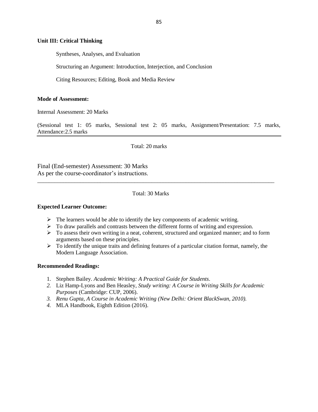#### **Unit III: Critical Thinking**

Syntheses, Analyses, and Evaluation

Structuring an Argument: Introduction, Interjection, and Conclusion

Citing Resources; Editing, Book and Media Review

#### **Mode of Assessment:**

Internal Assessment: 20 Marks

(Sessional test 1: 05 marks, Sessional test 2: 05 marks, Assignment/Presentation: 7.5 marks, Attendance:2.5 marks

Total: 20 marks

Final (End-semester) Assessment: 30 Marks As per the course-coordinator's instructions.

#### Total: 30 Marks

\_\_\_\_\_\_\_\_\_\_\_\_\_\_\_\_\_\_\_\_\_\_\_\_\_\_\_\_\_\_\_\_\_\_\_\_\_\_\_\_\_\_\_\_\_\_\_\_\_\_\_\_\_\_\_\_\_\_\_\_\_\_\_\_\_\_\_\_\_\_\_\_\_\_\_\_\_\_\_\_\_\_\_

#### **Expected Learner Outcome:**

- $\triangleright$  The learners would be able to identify the key components of academic writing.
- $\triangleright$  To draw parallels and contrasts between the different forms of writing and expression.
- $\triangleright$  To assess their own writing in a neat, coherent, structured and organized manner; and to form arguments based on these principles.
- $\triangleright$  To identify the unique traits and defining features of a particular citation format, namely, the Modern Language Association.

#### **Recommended Readings:**

- 1. Stephen Bailey. *Academic Writing: A Practical Guide for Students*.
- *2.* Liz Hamp-Lyons and Ben Heasley, *Study writing: A Course in Writing Skills for Academic Purposes* (Cambridge: CUP, 2006).
- *3. Renu Gupta, A Course in Academic Writing (New Delhi: Orient BlackSwan, 2010).*
- *4.* MLA Handbook, Eighth Edition (2016).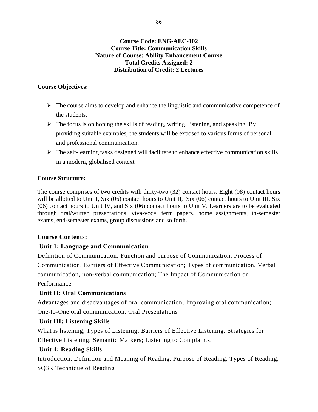## **Course Code: ENG-AEC-102 Course Title: Communication Skills Nature of Course: Ability Enhancement Course Total Credits Assigned: 2 Distribution of Credit: 2 Lectures**

## **Course Objectives:**

- $\triangleright$  The course aims to develop and enhance the linguistic and communicative competence of the students.
- $\triangleright$  The focus is on honing the skills of reading, writing, listening, and speaking. By providing suitable examples, the students will be exposed to various forms of personal and professional communication.
- $\triangleright$  The self-learning tasks designed will facilitate to enhance effective communication skills in a modern, globalised context

## **Course Structure:**

The course comprises of two credits with thirty-two (32) contact hours. Eight (08) contact hours will be allotted to Unit I, Six (06) contact hours to Unit II, Six (06) contact hours to Unit III, Six (06) contact hours to Unit IV, and Six (06) contact hours to Unit V. Learners are to be evaluated through oral/written presentations, viva-voce, term papers, home assignments, in-semester exams, end-semester exams, group discussions and so forth.

## **Course Contents:**

## **Unit 1: Language and Communication**

Definition of Communication; Function and purpose of Communication; Process of Communication; Barriers of Effective Communication; Types of communication, Verbal communication, non-verbal communication; The Impact of Communication on Performance

## **Unit II: Oral Communications**

Advantages and disadvantages of oral communication; Improving oral communication; One-to-One oral communication; Oral Presentations

## **Unit III: Listening Skills**

What is listening; Types of Listening; Barriers of Effective Listening; Strategies for Effective Listening; Semantic Markers; Listening to Complaints.

## **Unit 4: Reading Skills**

Introduction, Definition and Meaning of Reading, Purpose of Reading, Types of Reading, SQ3R Technique of Reading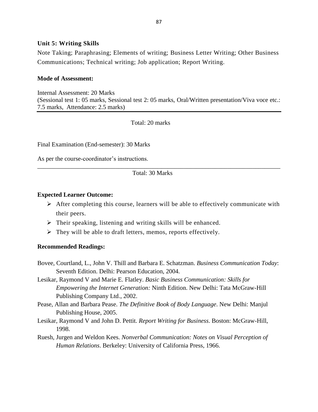## **Unit 5: Writing Skills**

Note Taking; Paraphrasing; Elements of writing; Business Letter Writing; Other Business Communications; Technical writing; Job application; Report Writing.

## **Mode of Assessment:**

Internal Assessment: 20 Marks (Sessional test 1: 05 marks, Sessional test 2: 05 marks, Oral/Written presentation/Viva voce etc.: 7.5 marks, Attendance: 2.5 marks)

Total: 20 marks

Final Examination (End-semester): 30 Marks

As per the course-coordinator's instructions.

Total: 30 Marks

\_\_\_\_\_\_\_\_\_\_\_\_\_\_\_\_\_\_\_\_\_\_\_\_\_\_\_\_\_\_\_\_\_\_\_\_\_\_\_\_\_\_\_\_\_\_\_\_\_\_\_\_\_\_\_\_\_\_\_\_\_\_\_\_\_\_\_\_\_\_\_\_\_\_\_\_\_\_

## **Expected Learner Outcome:**

- $\triangleright$  After completing this course, learners will be able to effectively communicate with their peers.
- $\triangleright$  Their speaking, listening and writing skills will be enhanced.
- $\triangleright$  They will be able to draft letters, memos, reports effectively.

## **Recommended Readings:**

- Bovee, Courtland, L., John V. Thill and Barbara E. Schatzman. *Business Communication Today*: Seventh Edition. Delhi: Pearson Education, 2004.
- Lesikar, Raymond V and Marie E. Flatley. *Basic Business Communication: Skills for Empowering the Internet Generation:* Ninth Edition. New Delhi: Tata McGraw-Hill Publishing Company Ltd., 2002.
- Pease, Allan and Barbara Pease. *The Definitive Book of Body Language*. New Delhi: Manjul Publishing House, 2005.
- Lesikar, Raymond V and John D. Pettit. *Report Writing for Business*. Boston: McGraw-Hill, 1998.
- Ruesh, Jurgen and Weldon Kees. *Nonverbal Communication: Notes on Visual Perception of Human Relations*. Berkeley: University of California Press, 1966.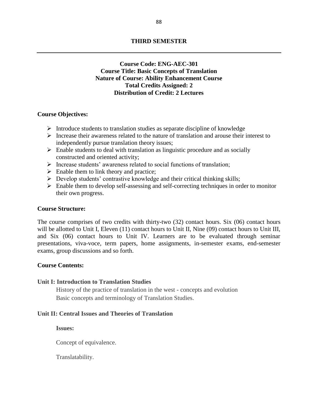## **Course Code: ENG-AEC-301 Course Title: Basic Concepts of Translation Nature of Course: Ability Enhancement Course Total Credits Assigned: 2 Distribution of Credit: 2 Lectures**

### **Course Objectives:**

- $\triangleright$  Introduce students to translation studies as separate discipline of knowledge
- Increase their awareness related to the nature of translation and arouse their interest to independently pursue translation theory issues;
- $\triangleright$  Enable students to deal with translation as linguistic procedure and as socially constructed and oriented activity;
- $\triangleright$  Increase students' awareness related to social functions of translation;
- $\triangleright$  Enable them to link theory and practice;
- $\triangleright$  Develop students' contrastive knowledge and their critical thinking skills;
- $\triangleright$  Enable them to develop self-assessing and self-correcting techniques in order to monitor their own progress.

#### **Course Structure:**

The course comprises of two credits with thirty-two (32) contact hours. Six (06) contact hours will be allotted to Unit I, Eleven (11) contact hours to Unit II, Nine (09) contact hours to Unit III, and Six (06) contact hours to Unit IV. Learners are to be evaluated through seminar presentations, viva-voce, term papers, home assignments, in-semester exams, end-semester exams, group discussions and so forth.

#### **Course Contents:**

#### **Unit I: Introduction to Translation Studies**

History of the practice of translation in the west - concepts and evolution Basic concepts and terminology of Translation Studies.

#### **Unit II: Central Issues and Theories of Translation**

**Issues:**

Concept of equivalence.

Translatability.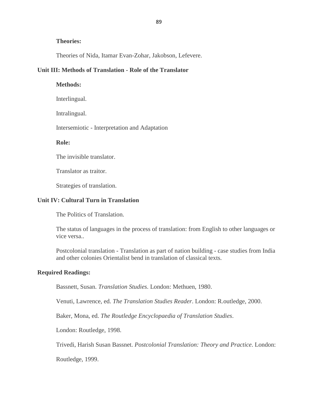### **Theories:**

Theories of Nida, Itamar Evan-Zohar, Jakobson, Lefevere.

### **Unit III: Methods of Translation - Role of the Translator**

**Methods:** Interlingual. Intralingual. Intersemiotic - Interpretation and Adaptation

#### **Role:**

The invisible translator.

Translator as traitor.

Strategies of translation.

### **Unit IV: Cultural Turn in Translation**

The Politics of Translation.

The status of languages in the process of translation: from English to other languages or vice versa..

Postcolonial translation - Translation as part of nation building - case studies from India and other colonies Orientalist bend in translation of classical texts.

### **Required Readings:**

Bassnett, Susan. *Translation Studies*. London: Methuen, 1980.

Venuti, Lawrence, ed. *The Translation Studies Reader*. London: R.outledge, 2000.

Baker, Mona, ed. *The Routledge Encyclopaedia of Translation Studies*.

London: Routledge, 1998.

Trivedi, Harish Susan Bassnet. *Postcolonial Translation: Theory and Practice*. London:

Routledge, 1999.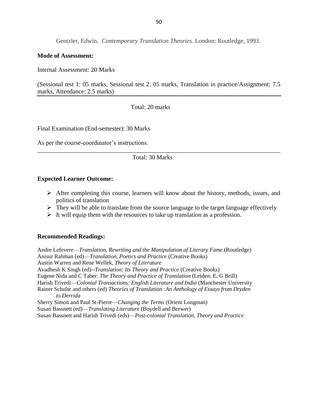Gentzler, Edwin. *Contemporary Translation Theories*. London: Routledge, 1993.

### **Mode of Assessment:**

Internal Assessment: 20 Marks

(Sessional test 1: 05 marks, Sessional test 2: 05 marks, Translation in practice/Assignment: 7.5 marks, Attendance: 2.5 marks)

Total: 20 marks

Final Examination (End-semester): 30 Marks

As per the course-coordinator's instructions.

### Total: 30 Marks

\_\_\_\_\_\_\_\_\_\_\_\_\_\_\_\_\_\_\_\_\_\_\_\_\_\_\_\_\_\_\_\_\_\_\_\_\_\_\_\_\_\_\_\_\_\_\_\_\_\_\_\_\_\_\_\_\_\_\_\_\_\_\_\_\_\_\_\_\_\_\_\_\_\_\_\_\_\_

### **Expected Learner Outcome:**

- $\triangleright$  After completing this course, learners will know about the history, methods, issues, and politics of translation
- $\triangleright$  They will be able to translate from the source language to the target language effectively
- $\triangleright$  It will equip them with the resources to take up translation as a profession.

### **Recommended Readings:**

Andre Lefevere—*Translation, Rewriting and the Manipulation of Literary Fame.*(Routledge) Anisur Rahman (ed)—*Translation, Poetics and Practice* (Creative Books) Austin Warren and Rene Wellek, *Theory of Literature* Avadhesh K Singh (ed)--*Translation: Its Theory and Practice* (Creative Books) Eugene Nida and C Taber: *The Theory and Practice of Translation* (Leiden: E. G Brill) Harish Trivedi—*Colonial Transactions: English Literature and India* (Manchester University Rainer Schulte and others (ed) *Theories of Translation :An Anthology of Essays from Dryden to Derrida* Sherry Simon and Paul St-Pierre—*Changing the Terms* (Orient Longman) Susan Bassnett (ed)—*Translating Literature* (Boydell and Brewer) Susan Bassnett and Harish Trivedi (eds)—*Post-colonial Translation, Theory and Practice*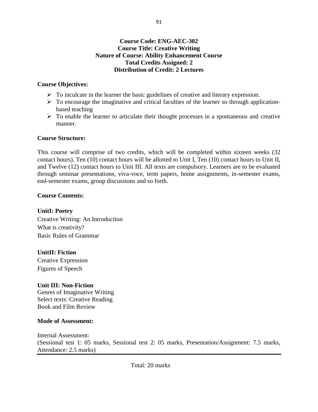## **Course Code: ENG-AEC-302 Course Title: Creative Writing Nature of Course: Ability Enhancement Course Total Credits Assigned: 2 Distribution of Credit: 2 Lectures**

## **Course Objectives:**

- $\triangleright$  To inculcate in the learner the basic guidelines of creative and literary expression.
- $\triangleright$  To encourage the imaginative and critical faculties of the learner so through applicationbased teaching
- $\triangleright$  To enable the learner to articulate their thought processes in a spontaneous and creative manner.

## **Course Structure:**

This course will comprise of two credits, which will be completed within sixteen weeks (32 contact hours). Ten (10) contact hours will be allotted to Unit I, Ten (10) contact hours to Unit II, and Twelve (12) contact hours to Unit III. All texts are compulsory. Learners are to be evaluated through seminar presentations, viva-voce, term papers, home assignments, in-semester exams, end-semester exams, group discussions and so forth.

## **Course Contents:**

## **UnitI: Poetry**

Creative Writing: An Introduction What is creativity? Basic Rules of Grammar

## **UnitII: Fiction**

Creative Expression Figures of Speech

## **Unit III: Non-Fiction**

Genres of Imaginative Writing Select texts: Creative Reading Book and Film Review

## **Mode of Assessment:**

Internal Assessment: (Sessional test 1: 05 marks, Sessional test 2: 05 marks, Presentation/Assignment: 7.5 marks, Attendance: 2.5 marks)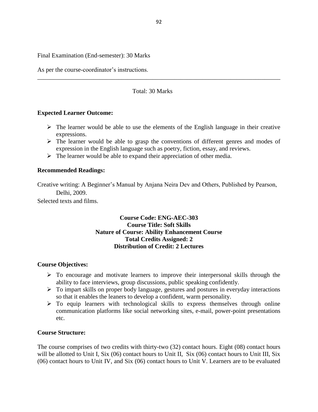Final Examination (End-semester): 30 Marks

As per the course-coordinator's instructions.

### Total: 30 Marks

\_\_\_\_\_\_\_\_\_\_\_\_\_\_\_\_\_\_\_\_\_\_\_\_\_\_\_\_\_\_\_\_\_\_\_\_\_\_\_\_\_\_\_\_\_\_\_\_\_\_\_\_\_\_\_\_\_\_\_\_\_\_\_\_\_\_\_\_\_\_\_\_\_\_\_\_\_\_

### **Expected Learner Outcome:**

- $\triangleright$  The learner would be able to use the elements of the English language in their creative expressions.
- $\triangleright$  The learner would be able to grasp the conventions of different genres and modes of expression in the English language such as poetry, fiction, essay, and reviews.
- $\triangleright$  The learner would be able to expand their appreciation of other media.

#### **Recommended Readings:**

Creative writing: A Beginner's Manual by Anjana Neira Dev and Others, Published by Pearson, Delhi, 2009.

Selected texts and films.

## **Course Code: ENG-AEC-303 Course Title: Soft Skills Nature of Course: Ability Enhancement Course Total Credits Assigned: 2 Distribution of Credit: 2 Lectures**

#### **Course Objectives:**

- $\triangleright$  To encourage and motivate learners to improve their interpersonal skills through the ability to face interviews, group discussions, public speaking confidently.
- $\triangleright$  To impart skills on proper body language, gestures and postures in everyday interactions so that it enables the leaners to develop a confident, warm personality.
- $\triangleright$  To equip learners with technological skills to express themselves through online communication platforms like social networking sites, e-mail, power-point presentations etc.

### **Course Structure:**

The course comprises of two credits with thirty-two (32) contact hours. Eight (08) contact hours will be allotted to Unit I, Six (06) contact hours to Unit II, Six (06) contact hours to Unit III, Six (06) contact hours to Unit IV, and Six (06) contact hours to Unit V. Learners are to be evaluated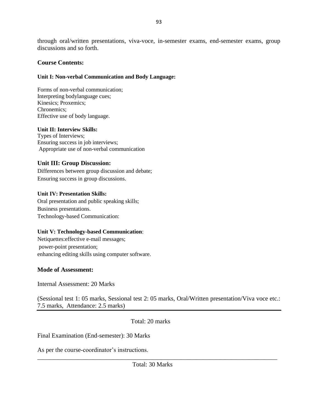through oral/written presentations, viva-voce, in-semester exams, end-semester exams, group discussions and so forth.

## **Course Contents:**

## **Unit I: Non-verbal Communication and Body Language:**

Forms of non-verbal communication; Interpreting bodylanguage cues; Kinesics; Proxemics; Chronemics; Effective use of body language.

## **Unit II: Interview Skills:**

Types of Interviews; Ensuring success in job interviews; Appropriate use of non-verbal communication

## **Unit III: Group Discussion:**

Differences between group discussion and debate; Ensuring success in group discussions.

## **Unit IV: Presentation Skills:**

Oral presentation and public speaking skills; Business presentations. Technology-based Communication:

## **Unit V: Technology-based Communication**:

Netiquettes:effective e-mail messages; power-point presentation; enhancing editing skills using computer software.

## **Mode of Assessment:**

Internal Assessment: 20 Marks

(Sessional test 1: 05 marks, Sessional test 2: 05 marks, Oral/Written presentation/Viva voce etc.: 7.5 marks, Attendance: 2.5 marks)

Total: 20 marks

Final Examination (End-semester): 30 Marks

As per the course-coordinator's instructions.

Total: 30 Marks

\_\_\_\_\_\_\_\_\_\_\_\_\_\_\_\_\_\_\_\_\_\_\_\_\_\_\_\_\_\_\_\_\_\_\_\_\_\_\_\_\_\_\_\_\_\_\_\_\_\_\_\_\_\_\_\_\_\_\_\_\_\_\_\_\_\_\_\_\_\_\_\_\_\_\_\_\_